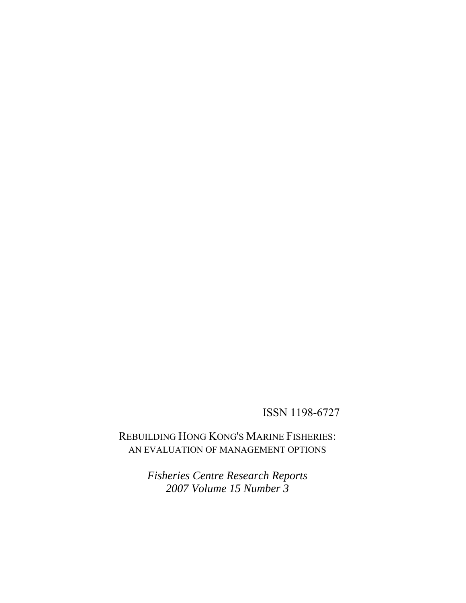# ISSN 1198-6727

REBUILDING HONG KONG'S MARINE FISHERIES: AN EVALUATION OF MANAGEMENT OPTIONS

> *Fisheries Centre Research Reports 2007 Volume 15 Number 3*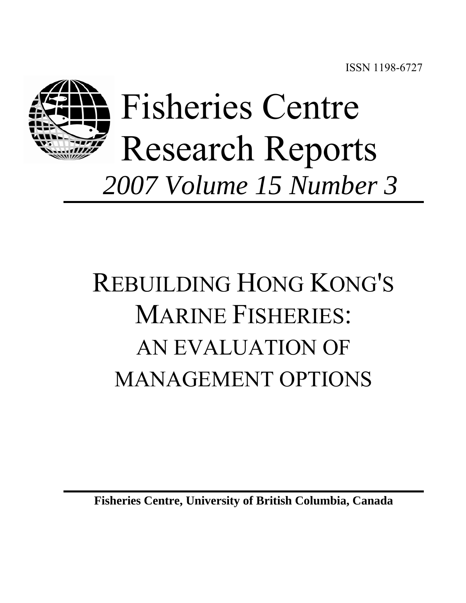

# REBUILDING HONG KONG'S MARINE FISHERIES: AN EVALUATION OF MANAGEMENT OPTIONS

**Fisheries Centre, University of British Columbia, Canada**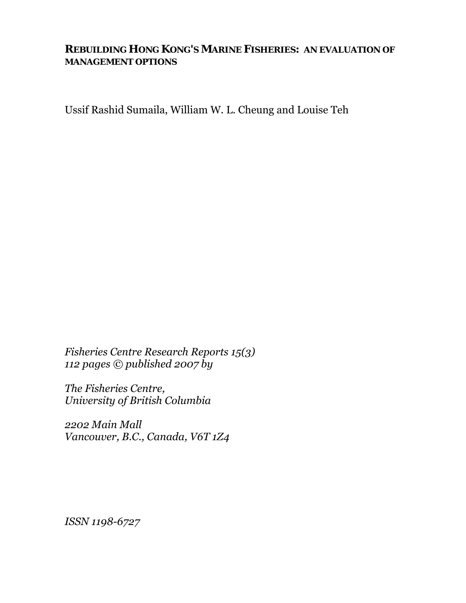# **REBUILDING HONG KONG'S MARINE FISHERIES: AN EVALUATION OF MANAGEMENT OPTIONS**

Ussif Rashid Sumaila, William W. L. Cheung and Louise Teh

*Fisheries Centre Research Reports 15(3) 112 pages © published 2007 by* 

*The Fisheries Centre, University of British Columbia* 

*2202 Main Mall Vancouver, B.C., Canada, V6T 1Z4* 

*ISSN 1198-6727*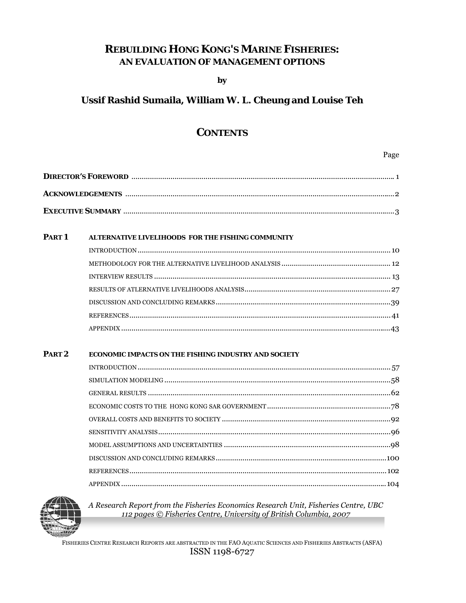# **REBUILDING HONG KONG'S MARINE FISHERIES:** AN EVALUATION OF MANAGEMENT OPTIONS

by

## Ussif Rashid Sumaila, William W. L. Cheung and Louise Teh

## **CONTENTS**

Page

| PART <sub>1</sub> | ALTERNATIVE LIVELIHOODS FOR THE FISHING COMMUNITY |  |
|-------------------|---------------------------------------------------|--|
|                   |                                                   |  |
|                   |                                                   |  |
|                   |                                                   |  |
|                   |                                                   |  |
|                   |                                                   |  |
|                   |                                                   |  |
|                   |                                                   |  |

#### PART<sub>2</sub> ECONOMIC IMPACTS ON THE FISHING INDUSTRY AND SOCIETY



A Research Report from the Fisheries Economics Research Unit, Fisheries Centre, UBC 112 pages © Fisheries Centre, University of British Columbia, 2007

FISHERIES CENTRE RESEARCH REPORTS ARE ABSTRACTED IN THE FAO AQUATIC SCIENCES AND FISHERIES ABSTRACTS (ASFA) ISSN 1198-6727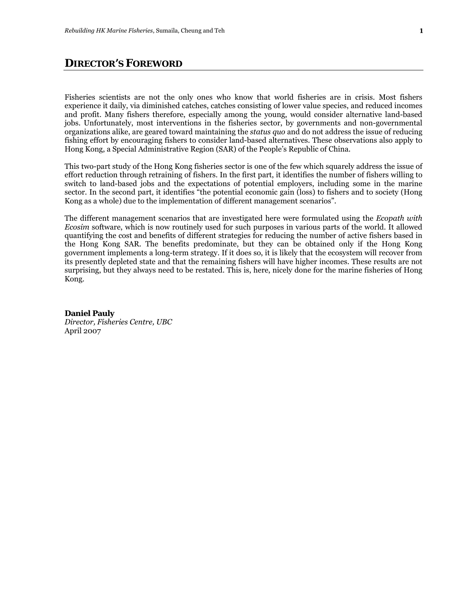#### **DIRECTOR'S FOREWORD**

Fisheries scientists are not the only ones who know that world fisheries are in crisis. Most fishers experience it daily, via diminished catches, catches consisting of lower value species, and reduced incomes and profit. Many fishers therefore, especially among the young, would consider alternative land-based jobs. Unfortunately, most interventions in the fisheries sector, by governments and non-governmental organizations alike, are geared toward maintaining the *status quo* and do not address the issue of reducing fishing effort by encouraging fishers to consider land-based alternatives. These observations also apply to Hong Kong, a Special Administrative Region (SAR) of the People's Republic of China.

This two-part study of the Hong Kong fisheries sector is one of the few which squarely address the issue of effort reduction through retraining of fishers. In the first part, it identifies the number of fishers willing to switch to land-based jobs and the expectations of potential employers, including some in the marine sector. In the second part, it identifies "the potential economic gain (loss) to fishers and to society (Hong Kong as a whole) due to the implementation of different management scenarios".

The different management scenarios that are investigated here were formulated using the *Ecopath with Ecosim* software, which is now routinely used for such purposes in various parts of the world. It allowed quantifying the cost and benefits of different strategies for reducing the number of active fishers based in the Hong Kong SAR. The benefits predominate, but they can be obtained only if the Hong Kong government implements a long-term strategy. If it does so, it is likely that the ecosystem will recover from its presently depleted state and that the remaining fishers will have higher incomes. These results are not surprising, but they always need to be restated. This is, here, nicely done for the marine fisheries of Hong Kong.

#### **Daniel Pauly**

*Director, Fisheries Centre, UBC*  April 2007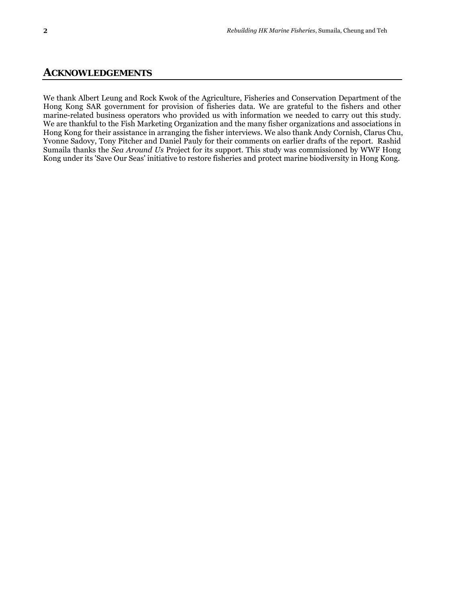#### **ACKNOWLEDGEMENTS**

We thank Albert Leung and Rock Kwok of the Agriculture, Fisheries and Conservation Department of the Hong Kong SAR government for provision of fisheries data. We are grateful to the fishers and other marine-related business operators who provided us with information we needed to carry out this study. We are thankful to the Fish Marketing Organization and the many fisher organizations and associations in Hong Kong for their assistance in arranging the fisher interviews. We also thank Andy Cornish, Clarus Chu, Yvonne Sadovy, Tony Pitcher and Daniel Pauly for their comments on earlier drafts of the report. Rashid Sumaila thanks the *Sea Around Us* Project for its support. This study was commissioned by WWF Hong Kong under its 'Save Our Seas' initiative to restore fisheries and protect marine biodiversity in Hong Kong.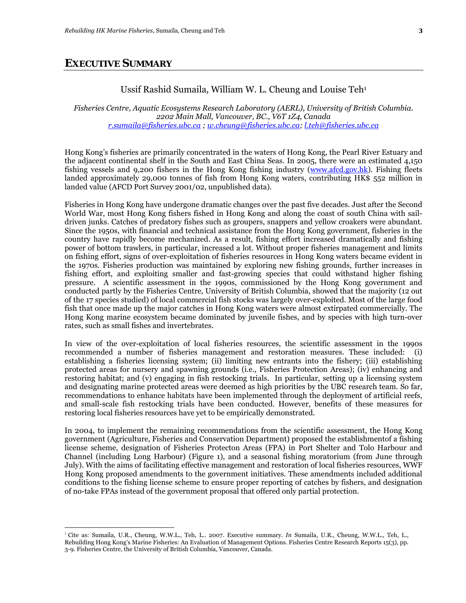1

#### Ussif Rashid Sumaila, William W. L. Cheung and Louise Teh1

*Fisheries Centre, Aquatic Ecosystems Research Laboratory (AERL), University of British Columbia. 2202 Main Mall, Vancouver, BC., V6T 1Z4, Canada r.sumaila@fisheries.ubc.ca ; w.cheung@fisheries.ubc.ca; l.teh@fisheries.ubc.ca* 

Hong Kong's fisheries are primarily concentrated in the waters of Hong Kong, the Pearl River Estuary and the adjacent continental shelf in the South and East China Seas. In 2005, there were an estimated 4,150 fishing vessels and 9,200 fishers in the Hong Kong fishing industry (www.afcd.gov.hk). Fishing fleets landed approximately 29,000 tonnes of fish from Hong Kong waters, contributing HK\$ 552 million in landed value (AFCD Port Survey 2001/02, unpublished data).

Fisheries in Hong Kong have undergone dramatic changes over the past five decades. Just after the Second World War, most Hong Kong fishers fished in Hong Kong and along the coast of south China with saildriven junks. Catches of predatory fishes such as groupers, snappers and yellow croakers were abundant. Since the 1950s, with financial and technical assistance from the Hong Kong government, fisheries in the country have rapidly become mechanized. As a result, fishing effort increased dramatically and fishing power of bottom trawlers, in particular, increased a lot. Without proper fisheries management and limits on fishing effort, signs of over-exploitation of fisheries resources in Hong Kong waters became evident in the 1970s. Fisheries production was maintained by exploring new fishing grounds, further increases in fishing effort, and exploiting smaller and fast-growing species that could withstand higher fishing pressure. A scientific assessment in the 1990s, commissioned by the Hong Kong government and conducted partly by the Fisheries Centre, University of British Columbia, showed that the majority (12 out of the 17 species studied) of local commercial fish stocks was largely over-exploited. Most of the large food fish that once made up the major catches in Hong Kong waters were almost extirpated commercially. The Hong Kong marine ecosystem became dominated by juvenile fishes, and by species with high turn-over rates, such as small fishes and invertebrates.

In view of the over-exploitation of local fisheries resources, the scientific assessment in the 1990s recommended a number of fisheries management and restoration measures. These included: (i) establishing a fisheries licensing system; (ii) limiting new entrants into the fishery; (iii) establishing protected areas for nursery and spawning grounds (i.e., Fisheries Protection Areas); (iv) enhancing and restoring habitat; and (v) engaging in fish restocking trials. In particular, setting up a licensing system and designating marine protected areas were deemed as high priorities by the UBC research team. So far, recommendations to enhance habitats have been implemented through the deployment of artificial reefs, and small-scale fish restocking trials have been conducted. However, benefits of these measures for restoring local fisheries resources have yet to be empirically demonstrated.

In 2004, to implement the remaining recommendations from the scientific assessment, the Hong Kong government (Agriculture, Fisheries and Conservation Department) proposed the establishmentof a fishing license scheme, designation of Fisheries Protecton Areas (FPA) in Port Shelter and Tolo Harbour and Channel (including Long Harbour) (Figure 1), and a seasonal fishing moratorium (from June through July). With the aims of facilitating effective management and restoration of local fisheries resources, WWF Hong Kong proposed amendments to the government initiatives. These amendments included additional conditions to the fishing license scheme to ensure proper reporting of catches by fishers, and designation of no-take FPAs instead of the government proposal that offered only partial protection.

<sup>1</sup> Cite as: Sumaila, U.R., Cheung, W.W.L., Teh, L.. 2007. Executive summary. *In* Sumaila, U.R., Cheung, W.W.L., Teh, L., Rebuilding Hong Kong's Marine Fisheries: An Evaluation of Management Options. Fisheries Centre Research Reports 15(3), pp. 3-9. Fisheries Centre, the University of British Columbia, Vancouver, Canada.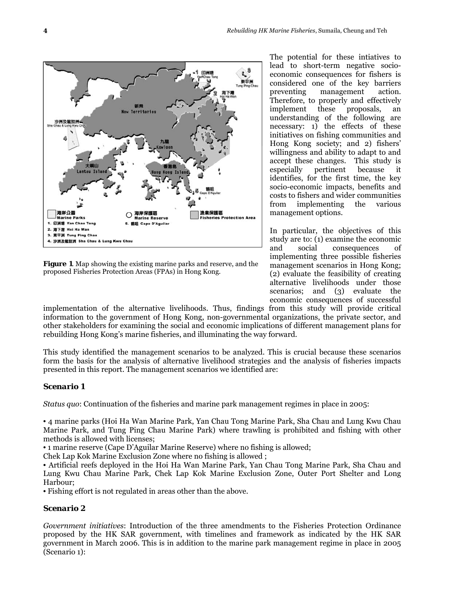

**Figure 1**. Map showing the existing marine parks and reserve, and the proposed Fisheries Protection Areas (FPAs) in Hong Kong.

The potential for these intiatives to lead to short-term negative socioeconomic consequences for fishers is considered one of the key barriers preventing management action. Therefore, to properly and effectively<br>implement these proposals, an implement these proposals, an understanding of the following are necessary: 1) the effects of these initiatives on fishing communities and Hong Kong society; and 2) fishers' willingness and ability to adapt to and accept these changes. This study is especially pertinent because it identifies, for the first time, the key socio-economic impacts, benefits and costs to fishers and wider communities from implementing the various management options.

In particular, the objectives of this study are to: (1) examine the economic and social consequences of implementing three possible fisheries management scenarios in Hong Kong; (2) evaluate the feasibility of creating alternative livelihoods under those scenarios; and (3) evaluate the economic consequences of successful

implementation of the alternative livelihoods. Thus, findings from this study will provide critical information to the government of Hong Kong, non-governmental organizations, the private sector, and other stakeholders for examining the social and economic implications of different management plans for rebuilding Hong Kong's marine fisheries, and illuminating the way forward.

This study identified the management scenarios to be analyzed. This is crucial because these scenarios form the basis for the analysis of alternative livelihood strategies and the analysis of fisheries impacts presented in this report. The management scenarios we identified are:

#### *Scenario 1*

*Status quo*: Continuation of the fisheries and marine park management regimes in place in 2005:

• 4 marine parks (Hoi Ha Wan Marine Park, Yan Chau Tong Marine Park, Sha Chau and Lung Kwu Chau Marine Park, and Tung Ping Chau Marine Park) where trawling is prohibited and fishing with other methods is allowed with licenses;

• 1 marine reserve (Cape D'Aguilar Marine Reserve) where no fishing is allowed;

Chek Lap Kok Marine Exclusion Zone where no fishing is allowed ;

• Artificial reefs deployed in the Hoi Ha Wan Marine Park, Yan Chau Tong Marine Park, Sha Chau and Lung Kwu Chau Marine Park, Chek Lap Kok Marine Exclusion Zone, Outer Port Shelter and Long Harbour;

• Fishing effort is not regulated in areas other than the above.

#### *Scenario 2*

*Government initiatives*: Introduction of the three amendments to the Fisheries Protection Ordinance proposed by the HK SAR government, with timelines and framework as indicated by the HK SAR government in March 2006. This is in addition to the marine park management regime in place in 2005 (Scenario 1):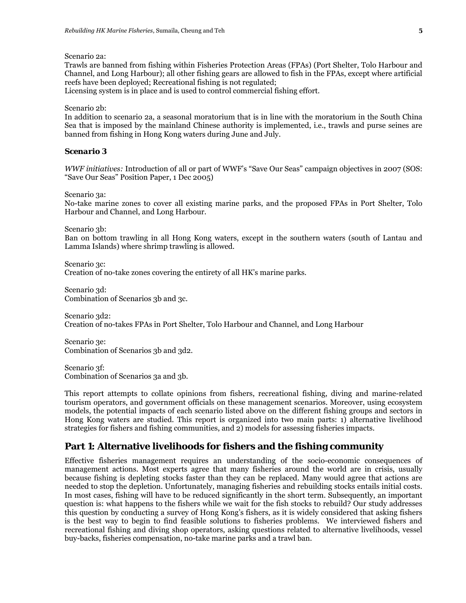Scenario 2a:

Trawls are banned from fishing within Fisheries Protection Areas (FPAs) (Port Shelter, Tolo Harbour and Channel, and Long Harbour); all other fishing gears are allowed to fish in the FPAs, except where artificial reefs have been deployed; Recreational fishing is not regulated;

Licensing system is in place and is used to control commercial fishing effort.

Scenario 2b:

In addition to scenario 2a, a seasonal moratorium that is in line with the moratorium in the South China Sea that is imposed by the mainland Chinese authority is implemented, i.e., trawls and purse seines are banned from fishing in Hong Kong waters during June and July.

#### *Scenario 3*

*WWF initiatives:* Introduction of all or part of WWF's "Save Our Seas" campaign objectives in 2007 (SOS: "Save Our Seas" Position Paper, 1 Dec 2005)

Scenario 3a:

No-take marine zones to cover all existing marine parks, and the proposed FPAs in Port Shelter, Tolo Harbour and Channel, and Long Harbour.

Scenario 3b:

Ban on bottom trawling in all Hong Kong waters, except in the southern waters (south of Lantau and Lamma Islands) where shrimp trawling is allowed.

Scenario 3c: Creation of no-take zones covering the entirety of all HK's marine parks.

Scenario 3d: Combination of Scenarios 3b and 3c.

Scenario 3d2: Creation of no-takes FPAs in Port Shelter, Tolo Harbour and Channel, and Long Harbour

Scenario 3e: Combination of Scenarios 3b and 3d2.

Scenario 3f: Combination of Scenarios 3a and 3b.

This report attempts to collate opinions from fishers, recreational fishing, diving and marine-related tourism operators, and government officials on these management scenarios. Moreover, using ecosystem models, the potential impacts of each scenario listed above on the different fishing groups and sectors in Hong Kong waters are studied. This report is organized into two main parts: 1) alternative livelihood strategies for fishers and fishing communities, and 2) models for assessing fisheries impacts.

#### **Part 1: Alternative livelihoods for fishers and the fishing community**

Effective fisheries management requires an understanding of the socio-economic consequences of management actions. Most experts agree that many fisheries around the world are in crisis, usually because fishing is depleting stocks faster than they can be replaced. Many would agree that actions are needed to stop the depletion. Unfortunately, managing fisheries and rebuilding stocks entails initial costs. In most cases, fishing will have to be reduced significantly in the short term. Subsequently, an important question is: what happens to the fishers while we wait for the fish stocks to rebuild? Our study addresses this question by conducting a survey of Hong Kong's fishers, as it is widely considered that asking fishers is the best way to begin to find feasible solutions to fisheries problems. We interviewed fishers and recreational fishing and diving shop operators, asking questions related to alternative livelihoods, vessel buy-backs, fisheries compensation, no-take marine parks and a trawl ban.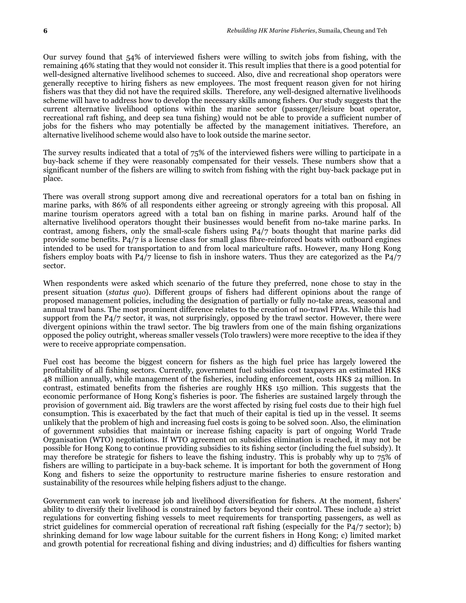Our survey found that 54% of interviewed fishers were willing to switch jobs from fishing, with the remaining 46% stating that they would not consider it. This result implies that there is a good potential for well-designed alternative livelihood schemes to succeed. Also, dive and recreational shop operators were generally receptive to hiring fishers as new employees. The most frequent reason given for not hiring fishers was that they did not have the required skills. Therefore, any well-designed alternative livelihoods scheme will have to address how to develop the necessary skills among fishers. Our study suggests that the current alternative livelihood options within the marine sector (passenger/leisure boat operator, recreational raft fishing, and deep sea tuna fishing) would not be able to provide a sufficient number of jobs for the fishers who may potentially be affected by the management initiatives. Therefore, an alternative livelihood scheme would also have to look outside the marine sector.

The survey results indicated that a total of 75% of the interviewed fishers were willing to participate in a buy-back scheme if they were reasonably compensated for their vessels. These numbers show that a significant number of the fishers are willing to switch from fishing with the right buy-back package put in place.

There was overall strong support among dive and recreational operators for a total ban on fishing in marine parks, with 86% of all respondents either agreeing or strongly agreeing with this proposal. All marine tourism operators agreed with a total ban on fishing in marine parks. Around half of the alternative livelihood operators thought their businesses would benefit from no-take marine parks. In contrast, among fishers, only the small-scale fishers using P4/7 boats thought that marine parks did provide some benefits. P4/7 is a license class for small glass fibre-reinforced boats with outboard engines intended to be used for transportation to and from local mariculture rafts. However, many Hong Kong fishers employ boats with P4/7 license to fish in inshore waters. Thus they are categorized as the P4/7 sector.

When respondents were asked which scenario of the future they preferred, none chose to stay in the present situation (*status quo*). Different groups of fishers had different opinions about the range of proposed management policies, including the designation of partially or fully no-take areas, seasonal and annual trawl bans. The most prominent difference relates to the creation of no-trawl FPAs. While this had support from the P4/7 sector, it was, not surprisingly, opposed by the trawl sector. However, there were divergent opinions within the trawl sector. The big trawlers from one of the main fishing organizations opposed the policy outright, whereas smaller vessels (Tolo trawlers) were more receptive to the idea if they were to receive appropriate compensation.

Fuel cost has become the biggest concern for fishers as the high fuel price has largely lowered the profitability of all fishing sectors. Currently, government fuel subsidies cost taxpayers an estimated HK\$ 48 million annually, while management of the fisheries, including enforcement, costs HK\$ 24 million. In contrast, estimated benefits from the fisheries are roughly HK\$ 150 million. This suggests that the economic performance of Hong Kong's fisheries is poor. The fisheries are sustained largely through the provision of government aid. Big trawlers are the worst affected by rising fuel costs due to their high fuel consumption. This is exacerbated by the fact that much of their capital is tied up in the vessel. It seems unlikely that the problem of high and increasing fuel costs is going to be solved soon. Also, the elimination of government subsidies that maintain or increase fishing capacity is part of ongoing World Trade Organisation (WTO) negotiations. If WTO agreement on subsidies elimination is reached, it may not be possible for Hong Kong to continue providing subsidies to its fishing sector (including the fuel subsidy). It may therefore be strategic for fishers to leave the fishing industry. This is probably why up to 75% of fishers are willing to participate in a buy-back scheme. It is important for both the government of Hong Kong and fishers to seize the opportunity to restructure marine fisheries to ensure restoration and sustainability of the resources while helping fishers adjust to the change.

Government can work to increase job and livelihood diversification for fishers. At the moment, fishers' ability to diversify their livelihood is constrained by factors beyond their control. These include a) strict regulations for converting fishing vessels to meet requirements for transporting passengers, as well as strict guidelines for commercial operation of recreational raft fishing (especially for the P4/7 sector); b) shrinking demand for low wage labour suitable for the current fishers in Hong Kong; c) limited market and growth potential for recreational fishing and diving industries; and d) difficulties for fishers wanting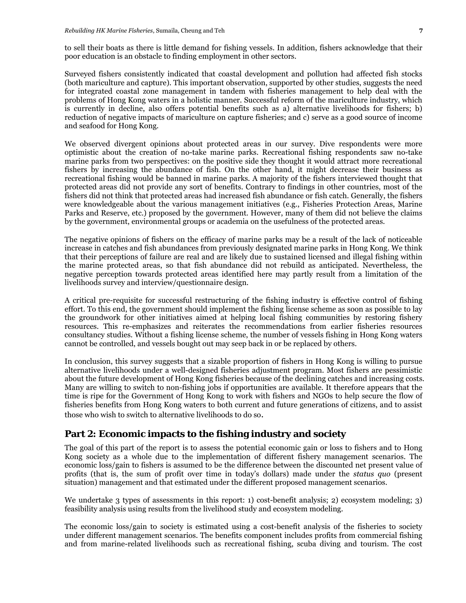to sell their boats as there is little demand for fishing vessels. In addition, fishers acknowledge that their poor education is an obstacle to finding employment in other sectors.

Surveyed fishers consistently indicated that coastal development and pollution had affected fish stocks (both mariculture and capture). This important observation, supported by other studies, suggests the need for integrated coastal zone management in tandem with fisheries management to help deal with the problems of Hong Kong waters in a holistic manner. Successful reform of the mariculture industry, which is currently in decline, also offers potential benefits such as a) alternative livelihoods for fishers; b) reduction of negative impacts of mariculture on capture fisheries; and c) serve as a good source of income and seafood for Hong Kong.

We observed divergent opinions about protected areas in our survey. Dive respondents were more optimistic about the creation of no-take marine parks. Recreational fishing respondents saw no-take marine parks from two perspectives: on the positive side they thought it would attract more recreational fishers by increasing the abundance of fish. On the other hand, it might decrease their business as recreational fishing would be banned in marine parks. A majority of the fishers interviewed thought that protected areas did not provide any sort of benefits. Contrary to findings in other countries, most of the fishers did not think that protected areas had increased fish abundance or fish catch. Generally, the fishers were knowledgeable about the various management initiatives (e.g., Fisheries Protection Areas, Marine Parks and Reserve, etc.) proposed by the government. However, many of them did not believe the claims by the government, environmental groups or academia on the usefulness of the protected areas.

The negative opinions of fishers on the efficacy of marine parks may be a result of the lack of noticeable increase in catches and fish abundances from previously designated marine parks in Hong Kong. We think that their perceptions of failure are real and are likely due to sustained licensed and illegal fishing within the marine protected areas, so that fish abundance did not rebuild as anticipated. Nevertheless, the negative perception towards protected areas identified here may partly result from a limitation of the livelihoods survey and interview/questionnaire design.

A critical pre-requisite for successful restructuring of the fishing industry is effective control of fishing effort. To this end, the government should implement the fishing license scheme as soon as possible to lay the groundwork for other initiatives aimed at helping local fishing communities by restoring fishery resources. This re-emphasizes and reiterates the recommendations from earlier fisheries resources consultancy studies. Without a fishing license scheme, the number of vessels fishing in Hong Kong waters cannot be controlled, and vessels bought out may seep back in or be replaced by others.

In conclusion, this survey suggests that a sizable proportion of fishers in Hong Kong is willing to pursue alternative livelihoods under a well-designed fisheries adjustment program. Most fishers are pessimistic about the future development of Hong Kong fisheries because of the declining catches and increasing costs. Many are willing to switch to non-fishing jobs if opportunities are available. It therefore appears that the time is ripe for the Government of Hong Kong to work with fishers and NGOs to help secure the flow of fisheries benefits from Hong Kong waters to both current and future generations of citizens, and to assist those who wish to switch to alternative livelihoods to do so.

#### **Part 2: Economic impacts to the fishing industry and society**

The goal of this part of the report is to assess the potential economic gain or loss to fishers and to Hong Kong society as a whole due to the implementation of different fishery management scenarios. The economic loss/gain to fishers is assumed to be the difference between the discounted net present value of profits (that is, the sum of profit over time in today's dollars) made under the *status quo* (present situation) management and that estimated under the different proposed management scenarios.

We undertake 3 types of assessments in this report: 1) cost-benefit analysis; 2) ecosystem modeling; 3) feasibility analysis using results from the livelihood study and ecosystem modeling.

The economic loss/gain to society is estimated using a cost-benefit analysis of the fisheries to society under different management scenarios. The benefits component includes profits from commercial fishing and from marine-related livelihoods such as recreational fishing, scuba diving and tourism. The cost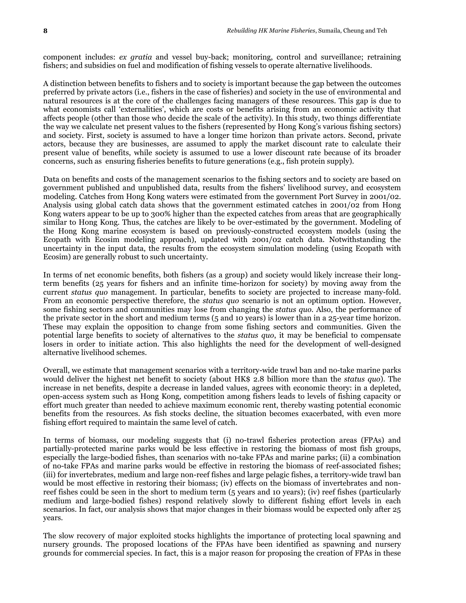component includes: *ex gratia* and vessel buy-back; monitoring, control and surveillance; retraining fishers; and subsidies on fuel and modification of fishing vessels to operate alternative livelihoods.

A distinction between benefits to fishers and to society is important because the gap between the outcomes preferred by private actors (i.e., fishers in the case of fisheries) and society in the use of environmental and natural resources is at the core of the challenges facing managers of these resources. This gap is due to what economists call 'externalities', which are costs or benefits arising from an economic activity that affects people (other than those who decide the scale of the activity). In this study, two things differentiate the way we calculate net present values to the fishers (represented by Hong Kong's various fishing sectors) and society. First, society is assumed to have a longer time horizon than private actors. Second, private actors, because they are businesses, are assumed to apply the market discount rate to calculate their present value of benefits, while society is assumed to use a lower discount rate because of its broader concerns, such as ensuring fisheries benefits to future generations (e.g., fish protein supply).

Data on benefits and costs of the management scenarios to the fishing sectors and to society are based on government published and unpublished data, results from the fishers' livelihood survey, and ecosystem modeling. Catches from Hong Kong waters were estimated from the government Port Survey in 2001/02. Analysis using global catch data shows that the government estimated catches in 2001/02 from Hong Kong waters appear to be up to 300% higher than the expected catches from areas that are geographically similar to Hong Kong. Thus, the catches are likely to be over-estimated by the government. Modeling of the Hong Kong marine ecosystem is based on previously-constructed ecosystem models (using the Ecopath with Ecosim modeling approach), updated with 2001/02 catch data. Notwithstanding the uncertainty in the input data, the results from the ecosystem simulation modeling (using Ecopath with Ecosim) are generally robust to such uncertainty.

In terms of net economic benefits, both fishers (as a group) and society would likely increase their longterm benefits (25 years for fishers and an infinite time-horizon for society) by moving away from the current *status quo* management. In particular, benefits to society are projected to increase many-fold. From an economic perspective therefore, the *status quo* scenario is not an optimum option. However, some fishing sectors and communities may lose from changing the *status quo*. Also, the performance of the private sector in the short and medium terms (5 and 10 years) is lower than in a 25-year time horizon. These may explain the opposition to change from some fishing sectors and communities. Given the potential large benefits to society of alternatives to the *status quo*, it may be beneficial to compensate losers in order to initiate action. This also highlights the need for the development of well-designed alternative livelihood schemes.

Overall, we estimate that management scenarios with a territory-wide trawl ban and no-take marine parks would deliver the highest net benefit to society (about HK\$ 2.8 billion more than the *status quo*). The increase in net benefits, despite a decrease in landed values, agrees with economic theory: in a depleted, open-access system such as Hong Kong, competition among fishers leads to levels of fishing capacity or effort much greater than needed to achieve maximum economic rent, thereby wasting potential economic benefits from the resources. As fish stocks decline, the situation becomes exacerbated, with even more fishing effort required to maintain the same level of catch.

In terms of biomass, our modeling suggests that (i) no-trawl fisheries protection areas (FPAs) and partially-protected marine parks would be less effective in restoring the biomass of most fish groups, especially the large-bodied fishes, than scenarios with no-take FPAs and marine parks; (ii) a combination of no-take FPAs and marine parks would be effective in restoring the biomass of reef-associated fishes; (iii) for invertebrates, medium and large non-reef fishes and large pelagic fishes, a territory-wide trawl ban would be most effective in restoring their biomass; (iv) effects on the biomass of invertebrates and nonreef fishes could be seen in the short to medium term (5 years and 10 years); (iv) reef fishes (particularly medium and large-bodied fishes) respond relatively slowly to different fishing effort levels in each scenarios. In fact, our analysis shows that major changes in their biomass would be expected only after 25 years.

The slow recovery of major exploited stocks highlights the importance of protecting local spawning and nursery grounds. The proposed locations of the FPAs have been identified as spawning and nursery grounds for commercial species. In fact, this is a major reason for proposing the creation of FPAs in these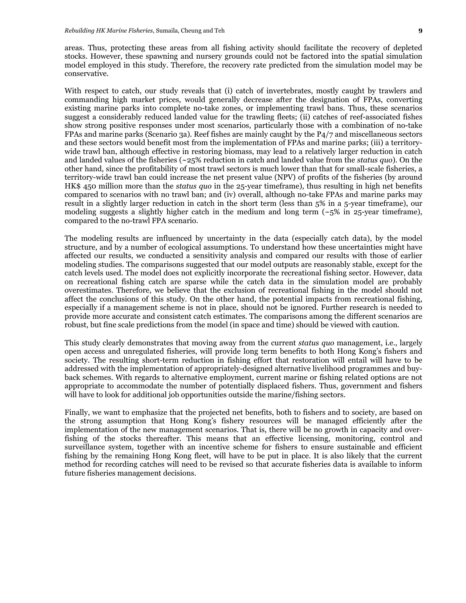areas. Thus, protecting these areas from all fishing activity should facilitate the recovery of depleted stocks. However, these spawning and nursery grounds could not be factored into the spatial simulation model employed in this study. Therefore, the recovery rate predicted from the simulation model may be conservative.

With respect to catch, our study reveals that (i) catch of invertebrates, mostly caught by trawlers and commanding high market prices, would generally decrease after the designation of FPAs, converting existing marine parks into complete no-take zones, or implementing trawl bans. Thus, these scenarios suggest a considerably reduced landed value for the trawling fleets; (ii) catches of reef-associated fishes show strong positive responses under most scenarios, particularly those with a combination of no-take FPAs and marine parks (Scenario 3a). Reef fishes are mainly caught by the P4/7 and miscellaneous sectors and these sectors would benefit most from the implementation of FPAs and marine parks; (iii) a territorywide trawl ban, although effective in restoring biomass, may lead to a relatively larger reduction in catch and landed values of the fisheries (~25% reduction in catch and landed value from the *status quo*). On the other hand, since the profitability of most trawl sectors is much lower than that for small-scale fisheries, a territory-wide trawl ban could increase the net present value (NPV) of profits of the fisheries (by around HK\$ 450 million more than the *status quo* in the 25-year timeframe), thus resulting in high net benefits compared to scenarios with no trawl ban; and (iv) overall, although no-take FPAs and marine parks may result in a slightly larger reduction in catch in the short term (less than 5% in a 5-year timeframe), our modeling suggests a slightly higher catch in the medium and long term  $({}_{25}\%$  in 25-year timeframe), compared to the no-trawl FPA scenario.

The modeling results are influenced by uncertainty in the data (especially catch data), by the model structure, and by a number of ecological assumptions. To understand how these uncertainties might have affected our results, we conducted a sensitivity analysis and compared our results with those of earlier modeling studies. The comparisons suggested that our model outputs are reasonably stable, except for the catch levels used. The model does not explicitly incorporate the recreational fishing sector. However, data on recreational fishing catch are sparse while the catch data in the simulation model are probably overestimates. Therefore, we believe that the exclusion of recreational fishing in the model should not affect the conclusions of this study. On the other hand, the potential impacts from recreational fishing, especially if a management scheme is not in place, should not be ignored. Further research is needed to provide more accurate and consistent catch estimates. The comparisons among the different scenarios are robust, but fine scale predictions from the model (in space and time) should be viewed with caution.

This study clearly demonstrates that moving away from the current *status quo* management, i.e., largely open access and unregulated fisheries, will provide long term benefits to both Hong Kong's fishers and society. The resulting short-term reduction in fishing effort that restoration will entail will have to be addressed with the implementation of appropriately-designed alternative livelihood programmes and buyback schemes. With regards to alternative employment, current marine or fishing related options are not appropriate to accommodate the number of potentially displaced fishers. Thus, government and fishers will have to look for additional job opportunities outside the marine/fishing sectors.

Finally, we want to emphasize that the projected net benefits, both to fishers and to society, are based on the strong assumption that Hong Kong's fishery resources will be managed efficiently after the implementation of the new management scenarios. That is, there will be no growth in capacity and overfishing of the stocks thereafter. This means that an effective licensing, monitoring, control and surveillance system, together with an incentive scheme for fishers to ensure sustainable and efficient fishing by the remaining Hong Kong fleet, will have to be put in place. It is also likely that the current method for recording catches will need to be revised so that accurate fisheries data is available to inform future fisheries management decisions.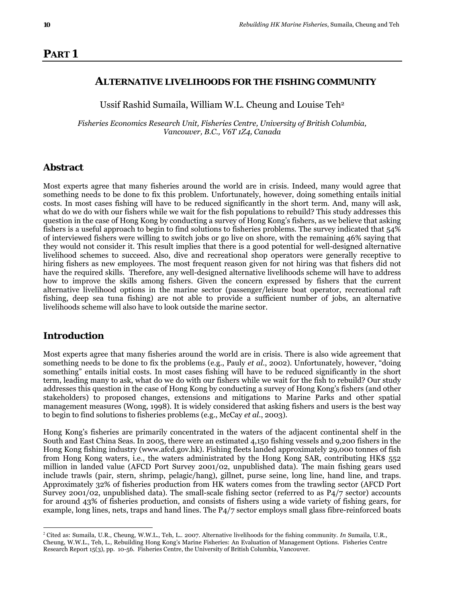### **PART 1**

#### **ALTERNATIVE LIVELIHOODS FOR THE FISHING COMMUNITY**

Ussif Rashid Sumaila, William W.L. Cheung and Louise Teh2

*Fisheries Economics Research Unit, Fisheries Centre, University of British Columbia, Vancouver, B.C., V6T 1Z4, Canada* 

#### **Abstract**

Most experts agree that many fisheries around the world are in crisis. Indeed, many would agree that something needs to be done to fix this problem. Unfortunately, however, doing something entails initial costs. In most cases fishing will have to be reduced significantly in the short term. And, many will ask, what do we do with our fishers while we wait for the fish populations to rebuild? This study addresses this question in the case of Hong Kong by conducting a survey of Hong Kong's fishers, as we believe that asking fishers is a useful approach to begin to find solutions to fisheries problems. The survey indicated that 54% of interviewed fishers were willing to switch jobs or go live on shore, with the remaining 46% saying that they would not consider it. This result implies that there is a good potential for well-designed alternative livelihood schemes to succeed. Also, dive and recreational shop operators were generally receptive to hiring fishers as new employees. The most frequent reason given for not hiring was that fishers did not have the required skills. Therefore, any well-designed alternative livelihoods scheme will have to address how to improve the skills among fishers. Given the concern expressed by fishers that the current alternative livelihood options in the marine sector (passenger/leisure boat operator, recreational raft fishing, deep sea tuna fishing) are not able to provide a sufficient number of jobs, an alternative livelihoods scheme will also have to look outside the marine sector.

#### **Introduction**

 $\overline{a}$ 

Most experts agree that many fisheries around the world are in crisis. There is also wide agreement that something needs to be done to fix the problems (e.g., Pauly *et al*., 2002). Unfortunately, however, "doing something" entails initial costs. In most cases fishing will have to be reduced significantly in the short term, leading many to ask, what do we do with our fishers while we wait for the fish to rebuild? Our study addresses this question in the case of Hong Kong by conducting a survey of Hong Kong's fishers (and other stakeholders) to proposed changes, extensions and mitigations to Marine Parks and other spatial management measures (Wong, 1998). It is widely considered that asking fishers and users is the best way to begin to find solutions to fisheries problems (e.g., McCay *et al*., 2003).

Hong Kong's fisheries are primarily concentrated in the waters of the adjacent continental shelf in the South and East China Seas. In 2005, there were an estimated 4,150 fishing vessels and 9,200 fishers in the Hong Kong fishing industry (www.afcd.gov.hk). Fishing fleets landed approximately 29,000 tonnes of fish from Hong Kong waters, i.e., the waters administrated by the Hong Kong SAR, contributing HK\$ 552 million in landed value (AFCD Port Survey 2001/02, unpublished data). The main fishing gears used include trawls (pair, stern, shrimp, pelagic/hang), gillnet, purse seine, long line, hand line, and traps. Approximately 32% of fisheries production from HK waters comes from the trawling sector (AFCD Port Survey 2001/02, unpublished data). The small-scale fishing sector (referred to as P4/7 sector) accounts for around 43% of fisheries production, and consists of fishers using a wide variety of fishing gears, for example, long lines, nets, traps and hand lines. The P4/7 sector employs small glass fibre-reinforced boats

<sup>2</sup> Cited as: Sumaila, U.R., Cheung, W.W.L., Teh, L.. 2007. Alternative livelihoods for the fishing community. *In* Sumaila, U.R., Cheung, W.W.L., Teh, L., Rebuilding Hong Kong's Marine Fisheries: An Evaluation of Management Options. Fisheries Centre Research Report 15(3), pp. 10-56. Fisheries Centre, the University of British Columbia, Vancouver.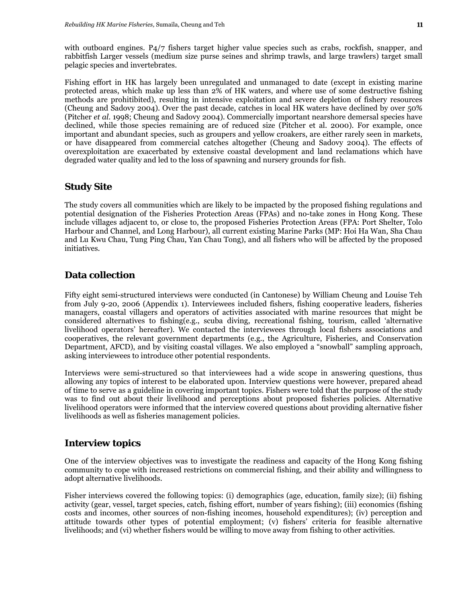with outboard engines. P<sub>4</sub>/7 fishers target higher value species such as crabs, rockfish, snapper, and rabbitfish Larger vessels (medium size purse seines and shrimp trawls, and large trawlers) target small pelagic species and invertebrates.

Fishing effort in HK has largely been unregulated and unmanaged to date (except in existing marine protected areas, which make up less than 2% of HK waters, and where use of some destructive fishing methods are prohitibited), resulting in intensive exploitation and severe depletion of fishery resources (Cheung and Sadovy 2004). Over the past decade, catches in local HK waters have declined by over 50% (Pitcher *et al*. 1998; Cheung and Sadovy 2004). Commercially important nearshore demersal species have declined, while those species remaining are of reduced size (Pitcher et al. 2000). For example, once important and abundant species, such as groupers and yellow croakers, are either rarely seen in markets, or have disappeared from commercial catches altogether (Cheung and Sadovy 2004). The effects of overexploitation are exacerbated by extensive coastal development and land reclamations which have degraded water quality and led to the loss of spawning and nursery grounds for fish.

#### **Study Site**

The study covers all communities which are likely to be impacted by the proposed fishing regulations and potential designation of the Fisheries Protection Areas (FPAs) and no-take zones in Hong Kong. These include villages adjacent to, or close to, the proposed Fisheries Protection Areas (FPA: Port Shelter, Tolo Harbour and Channel, and Long Harbour), all current existing Marine Parks (MP: Hoi Ha Wan, Sha Chau and Lu Kwu Chau, Tung Ping Chau, Yan Chau Tong), and all fishers who will be affected by the proposed initiatives.

#### **Data collection**

Fifty eight semi-structured interviews were conducted (in Cantonese) by William Cheung and Louise Teh from July 9-20, 2006 (Appendix 1). Interviewees included fishers, fishing cooperative leaders, fisheries managers, coastal villagers and operators of activities associated with marine resources that might be considered alternatives to fishing(e.g., scuba diving, recreational fishing, tourism, called 'alternative livelihood operators' hereafter). We contacted the interviewees through local fishers associations and cooperatives, the relevant government departments (e.g., the Agriculture, Fisheries, and Conservation Department, AFCD), and by visiting coastal villages. We also employed a "snowball" sampling approach, asking interviewees to introduce other potential respondents.

Interviews were semi-structured so that interviewees had a wide scope in answering questions, thus allowing any topics of interest to be elaborated upon. Interview questions were however, prepared ahead of time to serve as a guideline in covering important topics. Fishers were told that the purpose of the study was to find out about their livelihood and perceptions about proposed fisheries policies. Alternative livelihood operators were informed that the interview covered questions about providing alternative fisher livelihoods as well as fisheries management policies.

#### **Interview topics**

One of the interview objectives was to investigate the readiness and capacity of the Hong Kong fishing community to cope with increased restrictions on commercial fishing, and their ability and willingness to adopt alternative livelihoods.

Fisher interviews covered the following topics: (i) demographics (age, education, family size); (ii) fishing activity (gear, vessel, target species, catch, fishing effort, number of years fishing); (iii) economics (fishing costs and incomes, other sources of non-fishing incomes, household expenditures); (iv) perception and attitude towards other types of potential employment; (v) fishers' criteria for feasible alternative livelihoods; and (vi) whether fishers would be willing to move away from fishing to other activities.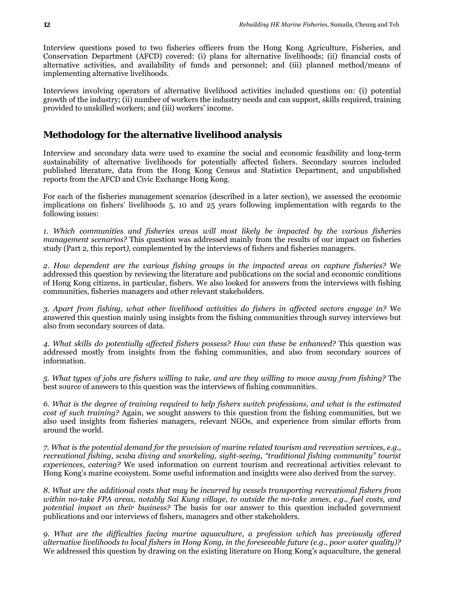Interview questions posed to two fisheries officers from the Hong Kong Agriculture, Fisheries, and Conservation Department (AFCD) covered: (i) plans for alternative livelihoods; (ii) financial costs of alternative activities, and availability of funds and personnel; and (iii) planned method/means of implementing alternative livelihoods.

Interviews involving operators of alternative livelihood activities included questions on: (i) potential growth of the industry; (ii) number of workers the industry needs and can support, skills required, training provided to unskilled workers; and (iii) workers' income.

## **Methodology for the alternative livelihood analysis**

Interview and secondary data were used to examine the social and economic feasibility and long-term sustainability of alternative livelihoods for potentially affected fishers. Secondary sources included published literature, data from the Hong Kong Census and Statistics Department, and unpublished reports from the AFCD and Civic Exchange Hong Kong.

For each of the fisheries management scenarios (described in a later section), we assessed the economic implications on fishers' livelihoods 5, 10 and 25 years following implementation with regards to the following issues:

*1. Which communities and fisheries areas will most likely be impacted by the various fisheries management scenarios?* This question was addressed mainly from the results of our impact on fisheries study (Part 2, this report*),* complemented by the interviews of fishers and fisheries managers.

*2. How dependent are the various fishing groups in the impacted areas on capture fisheries?* We addressed this question by reviewing the literature and publications on the social and economic conditions of Hong Kong citizens, in particular, fishers. We also looked for answers from the interviews with fishing communities, fisheries managers and other relevant stakeholders.

*3. Apart from fishing, what other livelihood activities do fishers in affected sectors engage in?* We answered this question mainly using insights from the fishing communities through survey interviews but also from secondary sources of data.

*4. What skills do potentially affected fishers possess? How can these be enhanced?* This question was addressed mostly from insights from the fishing communities, and also from secondary sources of information.

*5. What types of jobs are fishers willing to take, and are they willing to move away from fishing?* The best source of answers to this question was the interviews of fishing communities.

*6. What is the degree of training required to help fishers switch professions, and what is the estimated cost of such training?* Again, we sought answers to this question from the fishing communities, but we also used insights from fisheries managers, relevant NGOs, and experience from similar efforts from around the world.

*7. What is the potential demand for the provision of marine related tourism and recreation services, e.g., recreational fishing, scuba diving and snorkeling, sight-seeing, "traditional fishing community" tourist experiences, catering?* We used information on current tourism and recreational activities relevant to Hong Kong's marine ecosystem. Some useful information and insights were also derived from the survey.

*8. What are the additional costs that may be incurred by vessels transporting recreational fishers from within no-take FPA areas, notably Sai Kung village, to outside the no-take zones, e.g., fuel costs, and potential impact on their business?* The basis for our answer to this question included government publications and our interviews of fishers, managers and other stakeholders.

*9. What are the difficulties facing marine aquaculture, a profession which has previously offered alternative livelihoods to local fishers in Hong Kong, in the foreseeable future (e.g., poor water quality)?* We addressed this question by drawing on the existing literature on Hong Kong's aquaculture, the general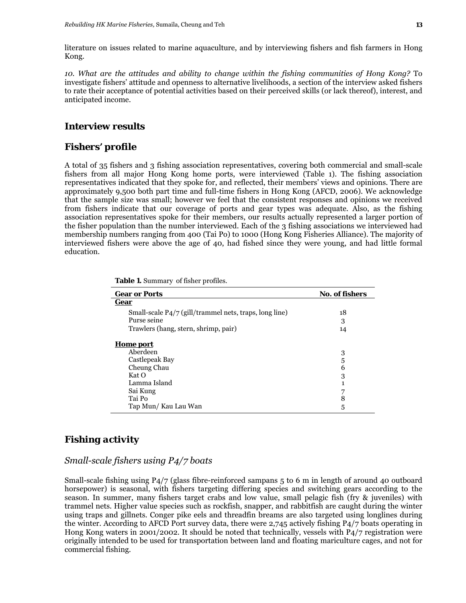*10. What are the attitudes and ability to change within the fishing communities of Hong Kong?* To investigate fishers' attitude and openness to alternative livelihoods, a section of the interview asked fishers to rate their acceptance of potential activities based on their perceived skills (or lack thereof), interest, and anticipated income.

#### **Interview results**

#### *Fishers' profile*

A total of 35 fishers and 3 fishing association representatives, covering both commercial and small-scale fishers from all major Hong Kong home ports, were interviewed (Table 1). The fishing association representatives indicated that they spoke for, and reflected, their members' views and opinions. There are approximately 9,500 both part time and full-time fishers in Hong Kong (AFCD, 2006). We acknowledge that the sample size was small; however we feel that the consistent responses and opinions we received from fishers indicate that our coverage of ports and gear types was adequate. Also, as the fishing association representatives spoke for their members, our results actually represented a larger portion of the fisher population than the number interviewed. Each of the 3 fishing associations we interviewed had membership numbers ranging from 400 (Tai Po) to 1000 (Hong Kong Fisheries Alliance). The majority of interviewed fishers were above the age of 40, had fished since they were young, and had little formal education.

| <b>Gear or Ports</b>                                   | <b>No. of fishers</b> |
|--------------------------------------------------------|-----------------------|
| Gear                                                   |                       |
| Small-scale P4/7 (gill/trammel nets, traps, long line) | 18                    |
| Purse seine                                            | 3                     |
| Trawlers (hang, stern, shrimp, pair)                   | 14                    |
| <b>Home</b> port                                       |                       |
| Aberdeen                                               | 3                     |
| Castlepeak Bay                                         | 5                     |
| Cheung Chau                                            | 6                     |
| Kat O                                                  | 3                     |
| Lamma Island                                           |                       |
| Sai Kung                                               |                       |
| Tai Po                                                 | 8                     |
| Tap Mun/Kau Lau Wan                                    | 5                     |

**Table 1.** Summary of fisher profiles.

## *Fishing activity*

#### *Small-scale fishers using P4/7 boats*

Small-scale fishing using P4/7 (glass fibre-reinforced sampans 5 to 6 m in length of around 40 outboard horsepower) is seasonal, with fishers targeting differing species and switching gears according to the season. In summer, many fishers target crabs and low value, small pelagic fish (fry & juveniles) with trammel nets. Higher value species such as rockfish, snapper, and rabbitfish are caught during the winter using traps and gillnets. Conger pike eels and threadfin breams are also targeted using longlines during the winter. According to AFCD Port survey data, there were 2,745 actively fishing P4/7 boats operating in Hong Kong waters in 2001/2002. It should be noted that technically, vessels with P4/7 registration were originally intended to be used for transportation between land and floating mariculture cages, and not for commercial fishing.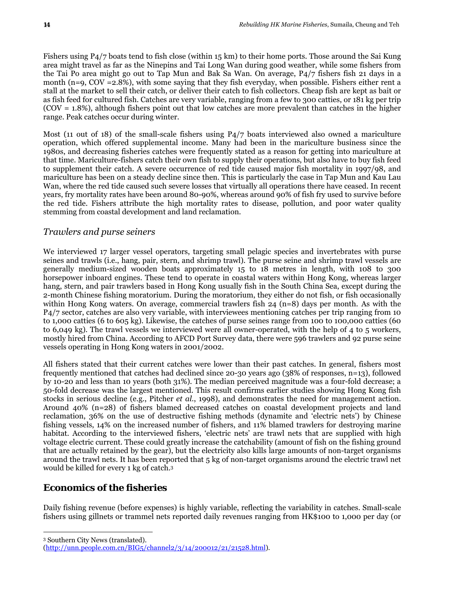Fishers using P4/7 boats tend to fish close (within 15 km) to their home ports. Those around the Sai Kung area might travel as far as the Ninepins and Tai Long Wan during good weather, while some fishers from the Tai Po area might go out to Tap Mun and Bak Sa Wan. On average, P4/7 fishers fish 21 days in a month (n=9, COV =2.8%), with some saying that they fish everyday, when possible. Fishers either rent a stall at the market to sell their catch, or deliver their catch to fish collectors. Cheap fish are kept as bait or as fish feed for cultured fish. Catches are very variable, ranging from a few to 300 catties, or 181 kg per trip (COV = 1.8%), although fishers point out that low catches are more prevalent than catches in the higher range. Peak catches occur during winter.

Most (11 out of 18) of the small-scale fishers using P4/7 boats interviewed also owned a mariculture operation, which offered supplemental income. Many had been in the mariculture business since the 1980s, and decreasing fisheries catches were frequently stated as a reason for getting into mariculture at that time. Mariculture-fishers catch their own fish to supply their operations, but also have to buy fish feed to supplement their catch. A severe occurrence of red tide caused major fish mortality in 1997/98, and mariculture has been on a steady decline since then. This is particularly the case in Tap Mun and Kau Lau Wan, where the red tide caused such severe losses that virtually all operations there have ceased. In recent years, fry mortality rates have been around 80-90%, whereas around 90% of fish fry used to survive before the red tide. Fishers attribute the high mortality rates to disease, pollution, and poor water quality stemming from coastal development and land reclamation.

#### *Trawlers and purse seiners*

We interviewed 17 larger vessel operators, targeting small pelagic species and invertebrates with purse seines and trawls (i.e., hang, pair, stern, and shrimp trawl). The purse seine and shrimp trawl vessels are generally medium-sized wooden boats approximately 15 to 18 metres in length, with 108 to 300 horsepower inboard engines. These tend to operate in coastal waters within Hong Kong, whereas larger hang, stern, and pair trawlers based in Hong Kong usually fish in the South China Sea, except during the 2-month Chinese fishing moratorium. During the moratorium, they either do not fish, or fish occasionally within Hong Kong waters. On average, commercial trawlers fish 24 (n=8) days per month. As with the P4/7 sector, catches are also very variable, with interviewees mentioning catches per trip ranging from 10 to 1,000 catties (6 to 605 kg). Likewise, the catches of purse seines range from 100 to 100,000 catties (60 to 6,049 kg). The trawl vessels we interviewed were all owner-operated, with the help of 4 to 5 workers, mostly hired from China. According to AFCD Port Survey data, there were 596 trawlers and 92 purse seine vessels operating in Hong Kong waters in 2001/2002.

All fishers stated that their current catches were lower than their past catches. In general, fishers most frequently mentioned that catches had declined since 20-30 years ago (38% of responses, n=13), followed by 10-20 and less than 10 years (both 31%). The median perceived magnitude was a four-fold decrease; a 50-fold decrease was the largest mentioned. This result confirms earlier studies showing Hong Kong fish stocks in serious decline (e.g., Pitcher *et al*., 1998), and demonstrates the need for management action. Around 40% (n=28) of fishers blamed decreased catches on coastal development projects and land reclamation, 36% on the use of destructive fishing methods (dynamite and 'electric nets') by Chinese fishing vessels, 14% on the increased number of fishers, and 11% blamed trawlers for destroying marine habitat. According to the interviewed fishers, 'electric nets' are trawl nets that are supplied with high voltage electric current. These could greatly increase the catchability (amount of fish on the fishing ground that are actually retained by the gear), but the electricity also kills large amounts of non-target organisms around the trawl nets. It has been reported that 5 kg of non-target organisms around the electric trawl net would be killed for every 1 kg of catch.3

## *Economics of the fisheries*

Daily fishing revenue (before expenses) is highly variable, reflecting the variability in catches. Small-scale fishers using gillnets or trammel nets reported daily revenues ranging from HK\$100 to 1,000 per day (or

 $\overline{a}$ 3 Southern City News (translated).

<sup>(</sup>http://unn.people.com.cn/BIG5/channel2/3/14/200012/21/21528.html).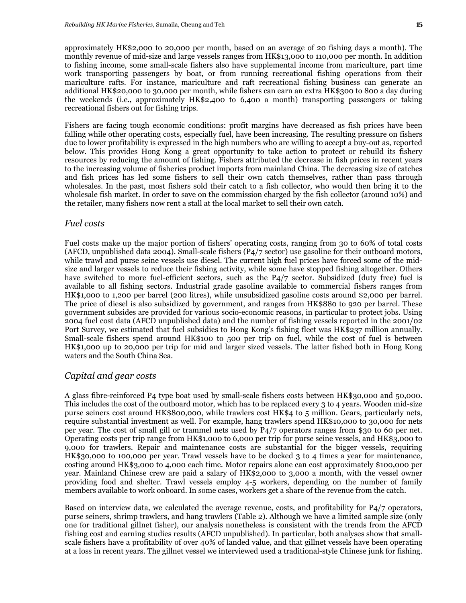approximately HK\$2,000 to 20,000 per month, based on an average of 20 fishing days a month). The monthly revenue of mid-size and large vessels ranges from HK\$13,000 to 110,000 per month. In addition to fishing income, some small-scale fishers also have supplemental income from mariculture, part time work transporting passengers by boat, or from running recreational fishing operations from their mariculture rafts. For instance, mariculture and raft recreational fishing business can generate an additional HK\$20,000 to 30,000 per month, while fishers can earn an extra HK\$300 to 800 a day during the weekends (i.e., approximately HK\$2,400 to 6,400 a month) transporting passengers or taking recreational fishers out for fishing trips.

Fishers are facing tough economic conditions: profit margins have decreased as fish prices have been falling while other operating costs, especially fuel, have been increasing. The resulting pressure on fishers due to lower profitability is expressed in the high numbers who are willing to accept a buy-out as, reported below. This provides Hong Kong a great opportunity to take action to protect or rebuild its fishery resources by reducing the amount of fishing. Fishers attributed the decrease in fish prices in recent years to the increasing volume of fisheries product imports from mainland China. The decreasing size of catches and fish prices has led some fishers to sell their own catch themselves, rather than pass through wholesales. In the past, most fishers sold their catch to a fish collector, who would then bring it to the wholesale fish market. In order to save on the commission charged by the fish collector (around 10%) and the retailer, many fishers now rent a stall at the local market to sell their own catch.

#### *Fuel costs*

Fuel costs make up the major portion of fishers' operating costs, ranging from 30 to 60% of total costs (AFCD, unpublished data 2004). Small-scale fishers (P4/7 sector) use gasoline for their outboard motors, while trawl and purse seine vessels use diesel. The current high fuel prices have forced some of the midsize and larger vessels to reduce their fishing activity, while some have stopped fishing altogether. Others have switched to more fuel-efficient sectors, such as the P4/7 sector. Subsidized (duty free) fuel is available to all fishing sectors. Industrial grade gasoline available to commercial fishers ranges from HK\$1,000 to 1,200 per barrel (200 litres), while unsubsidized gasoline costs around \$2,000 per barrel. The price of diesel is also subsidized by government, and ranges from HK\$880 to 920 per barrel. These government subsides are provided for various socio-economic reasons, in particular to protect jobs. Using 2004 fuel cost data (AFCD unpublished data) and the number of fishing vessels reported in the 2001/02 Port Survey, we estimated that fuel subsidies to Hong Kong's fishing fleet was HK\$237 million annually. Small-scale fishers spend around HK\$100 to 500 per trip on fuel, while the cost of fuel is between HK\$1,000 up to 20,000 per trip for mid and larger sized vessels. The latter fished both in Hong Kong waters and the South China Sea.

#### *Capital and gear costs*

A glass fibre-reinforced P4 type boat used by small-scale fishers costs between HK\$30,000 and 50,000. This includes the cost of the outboard motor, which has to be replaced every 3 to 4 years. Wooden mid-size purse seiners cost around HK\$800,000, while trawlers cost HK\$4 to 5 million. Gears, particularly nets, require substantial investment as well. For example, hang trawlers spend HK\$10,000 to 30,000 for nets per year. The cost of small gill or trammel nets used by P4/7 operators ranges from \$30 to 60 per net. Operating costs per trip range from HK\$1,000 to 6,000 per trip for purse seine vessels, and HK\$3,000 to 9,000 for trawlers. Repair and maintenance costs are substantial for the bigger vessels, requiring HK\$30,000 to 100,000 per year. Trawl vessels have to be docked 3 to 4 times a year for maintenance, costing around HK\$3,000 to 4,000 each time. Motor repairs alone can cost approximately \$100,000 per year. Mainland Chinese crew are paid a salary of HK\$2,000 to 3,000 a month, with the vessel owner providing food and shelter. Trawl vessels employ 4-5 workers, depending on the number of family members available to work onboard. In some cases, workers get a share of the revenue from the catch.

Based on interview data, we calculated the average revenue, costs, and profitability for P4/7 operators, purse seiners, shrimp trawlers, and hang trawlers (Table 2). Although we have a limited sample size (only one for traditional gillnet fisher), our analysis nonetheless is consistent with the trends from the AFCD fishing cost and earning studies results (AFCD unpublished). In particular, both analyses show that smallscale fishers have a profitability of over 40% of landed value, and that gillnet vessels have been operating at a loss in recent years. The gillnet vessel we interviewed used a traditional-style Chinese junk for fishing.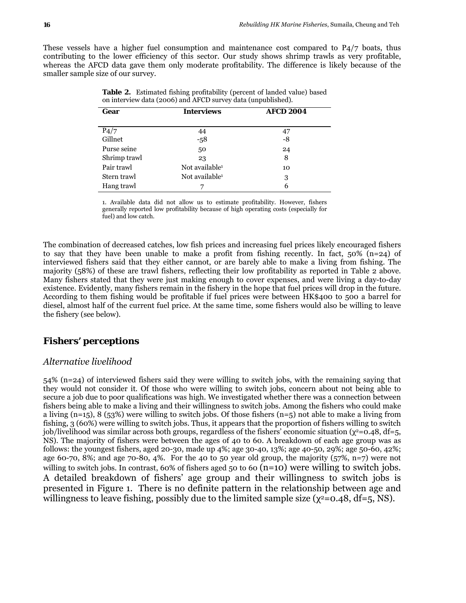These vessels have a higher fuel consumption and maintenance cost compared to P4/7 boats, thus contributing to the lower efficiency of this sector. Our study shows shrimp trawls as very profitable, whereas the AFCD data gave them only moderate profitability. The difference is likely because of the smaller sample size of our survey.

| Gear         | <b>Interviews</b>          | <b>AFCD 2004</b> |
|--------------|----------------------------|------------------|
|              |                            |                  |
| P4/7         | 44                         | 47               |
| Gillnet      | $-58$                      | -8               |
| Purse seine  | 50                         | 24               |
| Shrimp trawl | 23                         | 8                |
| Pair trawl   | Not available <sup>1</sup> | 10               |
| Stern trawl  | Not available <sup>1</sup> | 3                |
| Hang trawl   |                            | 6                |

**Table 2.** Estimated fishing profitability (percent of landed value) based on interview data (2006) and AFCD survey data (unpublished).

1. Available data did not allow us to estimate profitability. However, fishers generally reported low profitability because of high operating costs (especially for fuel) and low catch.

The combination of decreased catches, low fish prices and increasing fuel prices likely encouraged fishers to say that they have been unable to make a profit from fishing recently. In fact,  $50\%$  (n=24) of interviewed fishers said that they either cannot, or are barely able to make a living from fishing. The majority (58%) of these are trawl fishers, reflecting their low profitability as reported in Table 2 above. Many fishers stated that they were just making enough to cover expenses, and were living a day-to-day existence. Evidently, many fishers remain in the fishery in the hope that fuel prices will drop in the future. According to them fishing would be profitable if fuel prices were between HK\$400 to 500 a barrel for diesel, almost half of the current fuel price. At the same time, some fishers would also be willing to leave the fishery (see below).

## *Fishers' perceptions*

#### *Alternative livelihood*

54% (n=24) of interviewed fishers said they were willing to switch jobs, with the remaining saying that they would not consider it. Of those who were willing to switch jobs, concern about not being able to secure a job due to poor qualifications was high. We investigated whether there was a connection between fishers being able to make a living and their willingness to switch jobs. Among the fishers who could make a living (n=15), 8 (53%) were willing to switch jobs. Of those fishers (n=5) not able to make a living from fishing, 3 (60%) were willing to switch jobs. Thus, it appears that the proportion of fishers willing to switch job/livelihood was similar across both groups, regardless of the fishers' economic situation ( $\chi^2$ =0.48, df=5, NS). The majority of fishers were between the ages of 40 to 60. A breakdown of each age group was as follows: the youngest fishers, aged 20-30, made up 4%; age 30-40, 13%; age 40-50, 29%; age 50-60, 42%; age 60-70, 8%; and age 70-80, 4%. For the 40 to 50 year old group, the majority (57%, n=7) were not willing to switch jobs. In contrast, 60% of fishers aged 50 to 60  $(n=10)$  were willing to switch jobs. A detailed breakdown of fishers' age group and their willingness to switch jobs is presented in Figure 1. There is no definite pattern in the relationship between age and willingness to leave fishing, possibly due to the limited sample size ( $\chi^2$ =0.48, df=5, NS).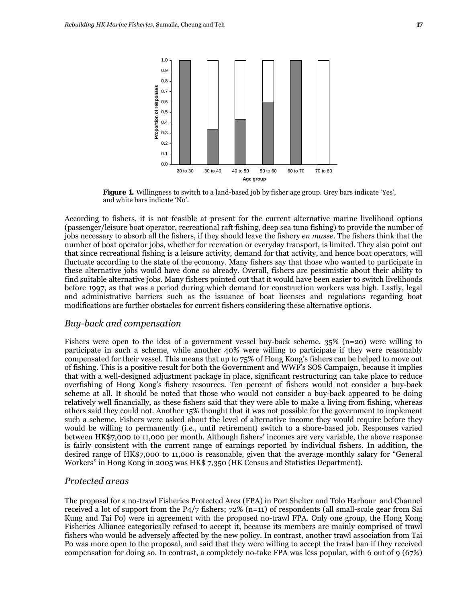

**Figure 1.** Willingness to switch to a land-based job by fisher age group. Grey bars indicate 'Yes', and white bars indicate 'No'.

According to fishers, it is not feasible at present for the current alternative marine livelihood options (passenger/leisure boat operator, recreational raft fishing, deep sea tuna fishing) to provide the number of jobs necessary to absorb all the fishers, if they should leave the fishery *en masse*. The fishers think that the number of boat operator jobs, whether for recreation or everyday transport, is limited. They also point out that since recreational fishing is a leisure activity, demand for that activity, and hence boat operators, will fluctuate according to the state of the economy. Many fishers say that those who wanted to participate in these alternative jobs would have done so already. Overall, fishers are pessimistic about their ability to find suitable alternative jobs. Many fishers pointed out that it would have been easier to switch livelihoods before 1997, as that was a period during which demand for construction workers was high. Lastly, legal and administrative barriers such as the issuance of boat licenses and regulations regarding boat modifications are further obstacles for current fishers considering these alternative options.

#### *Buy-back and compensation*

Fishers were open to the idea of a government vessel buy-back scheme. 35% (n=20) were willing to participate in such a scheme, while another 40% were willing to participate if they were reasonably compensated for their vessel. This means that up to 75% of Hong Kong's fishers can be helped to move out of fishing. This is a positive result for both the Government and WWF's SOS Campaign, because it implies that with a well-designed adjustment package in place, significant restructuring can take place to reduce overfishing of Hong Kong's fishery resources. Ten percent of fishers would not consider a buy-back scheme at all. It should be noted that those who would not consider a buy-back appeared to be doing relatively well financially, as these fishers said that they were able to make a living from fishing, whereas others said they could not. Another 15% thought that it was not possible for the government to implement such a scheme. Fishers were asked about the level of alternative income they would require before they would be willing to permanently (i.e., until retirement) switch to a shore-based job. Responses varied between HK\$7,000 to 11,000 per month. Although fishers' incomes are very variable, the above response is fairly consistent with the current range of earnings reported by individual fishers. In addition, the desired range of HK\$7,000 to 11,000 is reasonable, given that the average monthly salary for "General Workers" in Hong Kong in 2005 was HK\$ 7,350 (HK Census and Statistics Department).

#### *Protected areas*

The proposal for a no-trawl Fisheries Protected Area (FPA) in Port Shelter and Tolo Harbour and Channel received a lot of support from the P4/7 fishers; 72% (n=11) of respondents (all small-scale gear from Sai Kung and Tai Po) were in agreement with the proposed no-trawl FPA. Only one group, the Hong Kong Fisheries Alliance categorically refused to accept it, because its members are mainly comprised of trawl fishers who would be adversely affected by the new policy. In contrast, another trawl association from Tai Po was more open to the proposal, and said that they were willing to accept the trawl ban if they received compensation for doing so. In contrast, a completely no-take FPA was less popular, with 6 out of 9 (67%)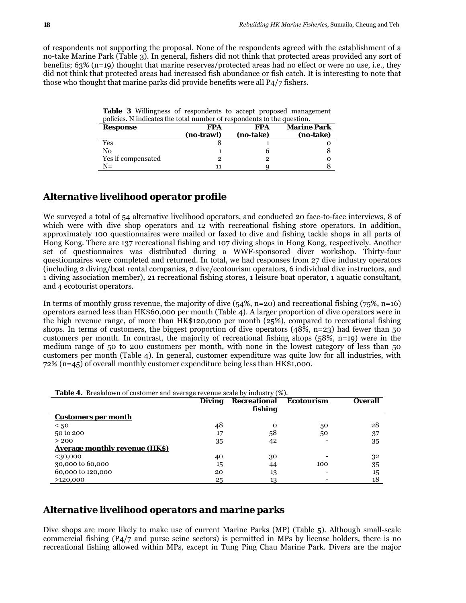of respondents not supporting the proposal. None of the respondents agreed with the establishment of a no-take Marine Park (Table 3). In general, fishers did not think that protected areas provided any sort of benefits; 63% (n=19) thought that marine reserves/protected areas had no effect or were no use, i.e., they did not think that protected areas had increased fish abundance or fish catch. It is interesting to note that those who thought that marine parks did provide benefits were all P4/7 fishers.

**Table 3** Willingness of respondents to accept proposed management policies. N indicates the total number of respondents to the question.

| Response           | FPA        | FPA       | <b>Marine Park</b> |
|--------------------|------------|-----------|--------------------|
|                    | (no-trawl) | (no-take) | (no-take)          |
| Yes                |            |           |                    |
| No                 |            |           |                    |
| Yes if compensated |            |           |                    |
| $N =$              |            |           |                    |

#### *Alternative livelihood operator profile*

We surveyed a total of 54 alternative livelihood operators, and conducted 20 face-to-face interviews, 8 of which were with dive shop operators and 12 with recreational fishing store operators. In addition, approximately 100 questionnaires were mailed or faxed to dive and fishing tackle shops in all parts of Hong Kong. There are 137 recreational fishing and 107 diving shops in Hong Kong, respectively. Another set of questionnaires was distributed during a WWF-sponsored diver workshop. Thirty-four questionnaires were completed and returned. In total, we had responses from 27 dive industry operators (including 2 diving/boat rental companies, 2 dive/ecotourism operators, 6 individual dive instructors, and 1 diving association member), 21 recreational fishing stores, 1 leisure boat operator, 1 aquatic consultant, and 4 ecotourist operators.

In terms of monthly gross revenue, the majority of dive  $(54\%, n=20)$  and recreational fishing  $(75\%, n=16)$ operators earned less than HK\$60,000 per month (Table 4). A larger proportion of dive operators were in the high revenue range, of more than HK\$120,000 per month (25%), compared to recreational fishing shops. In terms of customers, the biggest proportion of dive operators  $(48\%, n=23)$  had fewer than 50 customers per month. In contrast, the majority of recreational fishing shops (58%, n=19) were in the medium range of 50 to 200 customers per month, with none in the lowest category of less than 50 customers per month (Table 4). In general, customer expenditure was quite low for all industries, with 72% (n=45) of overall monthly customer expenditure being less than HK\$1,000.

|                                | <b>Diving</b> | <b>Recreational</b><br>fishing | <b>Ecotourism</b> | <b>Overall</b> |
|--------------------------------|---------------|--------------------------------|-------------------|----------------|
| <b>Customers per month</b>     |               |                                |                   |                |
| < 50                           | 48            | Ω                              | 50                | 28             |
| 50 to 200                      | 17            | 58                             | 50                | 37             |
| > 200                          | 35            | 42                             |                   | 35             |
| Average monthly revenue (HK\$) |               |                                |                   |                |
| <30,000                        | 40            | 30                             |                   | 32             |
| 30,000 to 60,000               | 15            | 44                             | 100               | 35             |
| 60,000 to 120,000              | 20            | 13                             |                   | 15             |
| >120,000                       | 25            | 13                             |                   | 18             |

|  |  |  | <b>Table 4.</b> Breakdown of customer and average revenue scale by industry (%). |  |  |
|--|--|--|----------------------------------------------------------------------------------|--|--|
|--|--|--|----------------------------------------------------------------------------------|--|--|

#### *Alternative livelihood operators and marine parks*

Dive shops are more likely to make use of current Marine Parks (MP) (Table 5). Although small-scale commercial fishing (P4/7 and purse seine sectors) is permitted in MPs by license holders, there is no recreational fishing allowed within MPs, except in Tung Ping Chau Marine Park. Divers are the major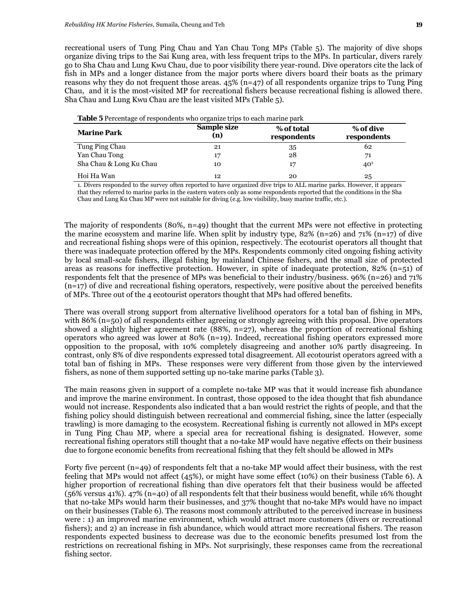recreational users of Tung Ping Chau and Yan Chau Tong MPs (Table 5). The majority of dive shops organize diving trips to the Sai Kung area, with less frequent trips to the MPs. In particular, divers rarely go to Sha Chau and Lung Kwu Chau, due to poor visibility there year-round. Dive operators cite the lack of fish in MPs and a longer distance from the major ports where divers board their boats as the primary reasons why they do not frequent those areas. 45% (n=47) of all respondents organize trips to Tung Ping Chau, and it is the most-visited MP for recreational fishers because recreational fishing is allowed there. Sha Chau and Lung Kwu Chau are the least visited MPs (Table 5).

| ັ                       |                    |                           |                          |
|-------------------------|--------------------|---------------------------|--------------------------|
| <b>Marine Park</b>      | Sample size<br>(n) | % of total<br>respondents | % of dive<br>respondents |
| Tung Ping Chau          | 21                 | 35                        | 62                       |
| Yan Chau Tong           | 17                 | 28                        | 71                       |
| Sha Chau & Long Ku Chau | 10                 | 17                        | 40 <sup>1</sup>          |
| Hoi Ha Wan              | 12                 | 20                        | 25                       |

**Table 5** Percentage of respondents who organize trips to each marine park

1. Divers responded to the survey often reported to have organized dive trips to ALL marine parks. However, it appears that they referred to marine parks in the eastern waters only as some respondents reported that the conditions in the Sha Chau and Lung Ku Chau MP were not suitable for diving (e.g. low visibility, busy marine traffic, etc.).

The majority of respondents (80%,  $n=49$ ) thought that the current MPs were not effective in protecting the marine ecosystem and marine life. When split by industry type,  $82\%$  (n=26) and 71% (n=17) of dive and recreational fishing shops were of this opinion, respectively. The ecotourist operators all thought that there was inadequate protection offered by the MPs. Respondents commonly cited ongoing fishing activity by local small-scale fishers, illegal fishing by mainland Chinese fishers, and the small size of protected areas as reasons for ineffective protection. However, in spite of inadequate protection, 82%  $(n=51)$  of respondents felt that the presence of MPs was beneficial to their industry/business. 96% (n=26) and 71%  $(n=17)$  of dive and recreational fishing operators, respectively, were positive about the perceived benefits of MPs. Three out of the 4 ecotourist operators thought that MPs had offered benefits.

There was overall strong support from alternative livelihood operators for a total ban of fishing in MPs, with 86% (n=50) of all respondents either agreeing or strongly agreeing with this proposal. Dive operators showed a slightly higher agreement rate (88%,  $n=27$ ), whereas the proportion of recreational fishing operators who agreed was lower at 80% (n=19). Indeed, recreational fishing operators expressed more opposition to the proposal, with 10% completely disagreeing and another 10% partly disagreeing. In contrast, only 8% of dive respondents expressed total disagreement. All ecotourist operators agreed with a total ban of fishing in MPs. These responses were very different from those given by the interviewed fishers, as none of them supported setting up no-take marine parks (Table 3).

The main reasons given in support of a complete no-take MP was that it would increase fish abundance and improve the marine environment. In contrast, those opposed to the idea thought that fish abundance would not increase. Respondents also indicated that a ban would restrict the rights of people, and that the fishing policy should distinguish between recreational and commercial fishing, since the latter (especially trawling) is more damaging to the ecosystem. Recreational fishing is currently not allowed in MPs except in Tung Ping Chau MP, where a special area for recreational fishing is designated. However, some recreational fishing operators still thought that a no-take MP would have negative effects on their business due to forgone economic benefits from recreational fishing that they felt should be allowed in MPs

Forty five percent (n=49) of respondents felt that a no-take MP would affect their business, with the rest feeling that MPs would not affect (45%), or might have some effect (10%) on their business (Table 6). A higher proportion of recreational fishing than dive operators felt that their business would be affected (56% versus 41%). 47% (n=40) of all respondents felt that their business would benefit, while 16% thought that no-take MPs would harm their businesses, and 37% thought that no-take MPs would have no impact on their businesses (Table 6). The reasons most commonly attributed to the perceived increase in business were : 1) an improved marine environment, which would attract more customers (divers or recreational fishers); and 2) an increase in fish abundance, which would attract more recreational fishers. The reason respondents expected business to decrease was due to the economic benefits presumed lost from the restrictions on recreational fishing in MPs. Not surprisingly, these responses came from the recreational fishing sector.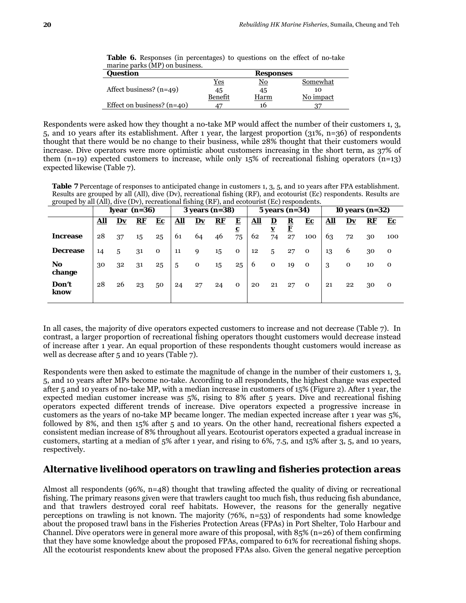| Question                     |            | <b>Responses</b>       |           |
|------------------------------|------------|------------------------|-----------|
|                              | <u>Yes</u> | $\overline{\text{No}}$ | Somewhat  |
| Affect business? $(n=49)$    | 45         | 45                     | 10        |
|                              | Benefit    | Harm                   | No impact |
| Effect on business? $(n=40)$ |            | 16                     |           |

**Table 6.** Responses (in percentages) to questions on the effect of no-take marine parks (MP) on business.

 Respondents were asked how they thought a no-take MP would affect the number of their customers 1, 3, 5, and 10 years after its establishment. After 1 year, the largest proportion (31%, n=36) of respondents thought that there would be no change to their business, while 28% thought that their customers would increase. Dive operators were more optimistic about customers increasing in the short term, as 37% of them  $(n=19)$  expected customers to increase, while only 15% of recreational fishing operators  $(n=13)$ expected likewise (Table 7).

**Table 7** Percentage of responses to anticipated change in customers 1, 3, 5, and 10 years after FPA establishment. Results are grouped by all (All), dive (Dv), recreational fishing (RF), and ecotourist (Ec) respondents. Results are grouped by all (All), dive (Dv), recreational fishing (RF), and ecotourist (Ec) respondents.

|                 | $\cdots$<br>$\sim$<br>$\overline{\phantom{a}}$<br>1year $(n=36)$ |    |                        |              | $\circ$ $\circ$<br>$3$ years (n= $38$ ) |    |                        |             | $5$ years (n=34)        |                         |                         |              | 10 years $(n=32)$ |                        |           |              |
|-----------------|------------------------------------------------------------------|----|------------------------|--------------|-----------------------------------------|----|------------------------|-------------|-------------------------|-------------------------|-------------------------|--------------|-------------------|------------------------|-----------|--------------|
|                 | <u>All</u>                                                       | Dv | ${\bf \underline{RF}}$ | $E_{\rm C}$  | $\underline{\mathbf{All}}$              | Dv | ${\bf \underline{RF}}$ | E           | ${\bf \underline{All}}$ | $\overline{\mathbf{D}}$ | $\overline{\mathbf{R}}$ | ${\bf E}$ c  | <u>All</u>        | $\mathbf{D}\mathbf{v}$ | <u>RF</u> | $E_{c}$      |
| <b>Increase</b> | 28                                                               | 37 | 15                     | 25           | 61                                      | 64 | 46                     | ⊆<br>75     | 62                      | 74                      | <u>F</u><br>27          | 100          | 63                | 72                     | 30        | 100          |
| <b>Decrease</b> | 14                                                               | 5  | 31                     | $\mathbf{o}$ | 11                                      | 9  | 15                     | $\mathbf 0$ | 12                      | 5                       | 27                      | $\mathbf 0$  | 13                | 6                      | 30        | $\mathbf 0$  |
| No<br>change    | 30                                                               | 32 | 31                     | 25           | 5                                       | 0  | 15                     | 25          | 6                       | $\mathbf 0$             | 19                      | $\Omega$     | 3                 | $\mathbf 0$            | 10        | $\mathbf 0$  |
| Don't<br>know   | 28                                                               | 26 | 23                     | 50           | 24                                      | 27 | 24                     | $\mathbf 0$ | 20                      | 21                      | 27                      | $\mathbf{o}$ | 21                | 22                     | 30        | $\mathbf{o}$ |

In all cases, the majority of dive operators expected customers to increase and not decrease (Table 7). In contrast, a larger proportion of recreational fishing operators thought customers would decrease instead of increase after 1 year. An equal proportion of these respondents thought customers would increase as well as decrease after 5 and 10 years (Table 7).

Respondents were then asked to estimate the magnitude of change in the number of their customers 1, 3, 5, and 10 years after MPs become no-take. According to all respondents, the highest change was expected after 5 and 10 years of no-take MP, with a median increase in customers of 15% (Figure 2). After 1 year, the expected median customer increase was 5%, rising to 8% after 5 years. Dive and recreational fishing operators expected different trends of increase. Dive operators expected a progressive increase in customers as the years of no-take MP became longer. The median expected increase after 1 year was 5%, followed by 8%, and then 15% after 5 and 10 years. On the other hand, recreational fishers expected a consistent median increase of 8% throughout all years. Ecotourist operators expected a gradual increase in customers, starting at a median of 5% after 1 year, and rising to 6%, 7.5, and 15% after 3, 5, and 10 years, respectively.

#### *Alternative livelihood operators on trawling and fisheries protection areas*

Almost all respondents (96%, n=48) thought that trawling affected the quality of diving or recreational fishing. The primary reasons given were that trawlers caught too much fish, thus reducing fish abundance, and that trawlers destroyed coral reef habitats. However, the reasons for the generally negative perceptions on trawling is not known. The majority (76%, n=53) of respondents had some knowledge about the proposed trawl bans in the Fisheries Protection Areas (FPAs) in Port Shelter, Tolo Harbour and Channel. Dive operators were in general more aware of this proposal, with  $85\%$  (n=26) of them confirming that they have some knowledge about the proposed FPAs, compared to 61% for recreational fishing shops. All the ecotourist respondents knew about the proposed FPAs also. Given the general negative perception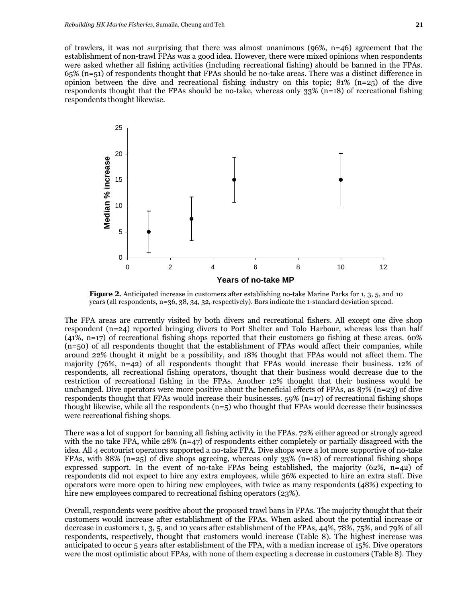of trawlers, it was not surprising that there was almost unanimous  $(96\%, n=46)$  agreement that the establishment of non-trawl FPAs was a good idea. However, there were mixed opinions when respondents were asked whether all fishing activities (including recreational fishing) should be banned in the FPAs. 65% (n=51) of respondents thought that FPAs should be no-take areas. There was a distinct difference in opinion between the dive and recreational fishing industry on this topic; 81% (n=25) of the dive respondents thought that the FPAs should be no-take, whereas only 33% (n=18) of recreational fishing respondents thought likewise.



**Figure 2.** Anticipated increase in customers after establishing no-take Marine Parks for 1, 3, 5, and 10 years (all respondents, n=36, 38, 34, 32, respectively). Bars indicate the 1-standard deviation spread.

The FPA areas are currently visited by both divers and recreational fishers. All except one dive shop respondent (n=24) reported bringing divers to Port Shelter and Tolo Harbour, whereas less than half (41%, n=17) of recreational fishing shops reported that their customers go fishing at these areas. 60% (n=50) of all respondents thought that the establishment of FPAs would affect their companies, while around 22% thought it might be a possibility, and 18% thought that FPAs would not affect them. The majority (76%, n=42) of all respondents thought that FPAs would increase their business. 12% of respondents, all recreational fishing operators, thought that their business would decrease due to the restriction of recreational fishing in the FPAs. Another 12% thought that their business would be unchanged. Dive operators were more positive about the beneficial effects of FPAs, as  $87\%$  (n=23) of dive respondents thought that FPAs would increase their businesses.  $59\%$  (n=17) of recreational fishing shops thought likewise, while all the respondents  $(n=5)$  who thought that FPAs would decrease their businesses were recreational fishing shops.

There was a lot of support for banning all fishing activity in the FPAs. 72% either agreed or strongly agreed with the no take FPA, while  $28\%$  (n=47) of respondents either completely or partially disagreed with the idea. All 4 ecotourist operators supported a no-take FPA. Dive shops were a lot more supportive of no-take FPAs, with 88% (n=25) of dive shops agreeing, whereas only  $33\%$  (n=18) of recreational fishing shops expressed support. In the event of no-take FPAs being established, the majority  $(62\%, n=42)$  of respondents did not expect to hire any extra employees, while 36% expected to hire an extra staff. Dive operators were more open to hiring new employees, with twice as many respondents (48%) expecting to hire new employees compared to recreational fishing operators (23%).

Overall, respondents were positive about the proposed trawl bans in FPAs. The majority thought that their customers would increase after establishment of the FPAs. When asked about the potential increase or decrease in customers 1, 3, 5, and 10 years after establishment of the FPAs, 44%, 78%, 75%, and 79% of all respondents, respectively, thought that customers would increase (Table 8). The highest increase was anticipated to occur 5 years after establishment of the FPA, with a median increase of 15%. Dive operators were the most optimistic about FPAs, with none of them expecting a decrease in customers (Table 8). They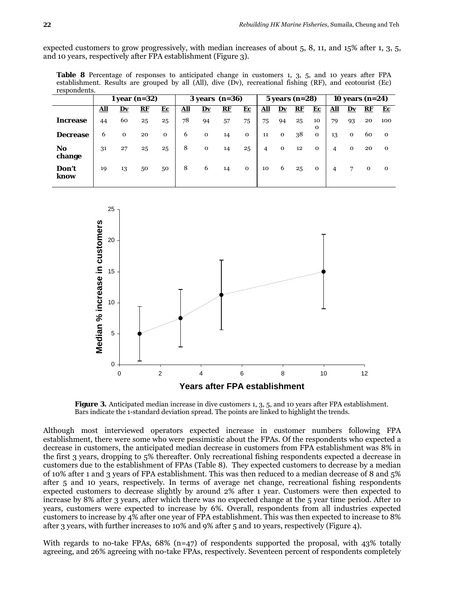expected customers to grow progressively, with median increases of about 5, 8, 11, and 15% after 1, 3, 5, and 10 years, respectively after FPA establishment (Figure 3).

Table 8 Percentage of responses to anticipated change in customers 1, 3, 5, and 10 years after FPA establishment. Results are grouped by all (All), dive (Dv), recreational fishing (RF), and ecotourist (Ec) respondents.

|                 | $1$ year (n=32) |             |           |              | $3 years (n=36)$ |             |    |              | $5$ years (n=28) |                        |    |              | 10 years $(n=24)$ |                        |             |              |
|-----------------|-----------------|-------------|-----------|--------------|------------------|-------------|----|--------------|------------------|------------------------|----|--------------|-------------------|------------------------|-------------|--------------|
|                 | <u>All</u>      | Dv          | <u>RF</u> | $E_{\rm C}$  | <u>All</u>       | Dv          | RE | ${\bf E}$ c  | <u>All</u>       | $\mathbf{D}\mathbf{v}$ | RE | ${\bf E}$ c  | <u>All</u>        | $\mathbf{D}\mathbf{v}$ | RF          | Ec           |
| <b>Increase</b> | 44              | 60          | 25        | 25           | 78               | 94          | 57 | 75           | 75               | 94                     | 25 | 10<br>0      | 79                | 93                     | 20          | 100          |
| <b>Decrease</b> | 6               | $\mathbf 0$ | 20        | $\mathbf{o}$ | 6                | $\mathbf 0$ | 14 | $\mathbf 0$  | 11               | 0                      | 38 | $\mathbf 0$  | 13                | $\mathbf 0$            | 60          | $\Omega$     |
| No<br>change    | 31              | 27          | 25        | 25           | 8                | $\mathbf 0$ | 14 | 25           | 4                | $\mathbf 0$            | 12 | $\mathbf{o}$ | 4                 | $\mathbf 0$            | 20          | $\Omega$     |
| Don't<br>know   | 19              | 13          | 50        | 50           | 8                | 6           | 14 | $\mathbf{o}$ | 10               | 6                      | 25 | $\mathbf{O}$ | 4                 | $\overline{7}$         | $\mathbf 0$ | $\mathbf{o}$ |



**Figure 3.** Anticipated median increase in dive customers 1, 3, 5, and 10 years after FPA establishment. Bars indicate the 1-standard deviation spread. The points are linked to highlight the trends.

Although most interviewed operators expected increase in customer numbers following FPA establishment, there were some who were pessimistic about the FPAs. Of the respondents who expected a decrease in customers, the anticipated median decrease in customers from FPA establishment was 8% in the first 3 years, dropping to 5% thereafter. Only recreational fishing respondents expected a decrease in customers due to the establishment of FPAs (Table 8). They expected customers to decrease by a median of 10% after 1 and 3 years of FPA establishment. This was then reduced to a median decrease of 8 and 5% after 5 and 10 years, respectively. In terms of average net change, recreational fishing respondents expected customers to decrease slightly by around 2% after 1 year. Customers were then expected to increase by 8% after 3 years, after which there was no expected change at the 5 year time period. After 10 years, customers were expected to increase by 6%. Overall, respondents from all industries expected customers to increase by 4% after one year of FPA establishment. This was then expected to increase to 8% after 3 years, with further increases to 10% and 9% after 5 and 10 years, respectively (Figure 4).

With regards to no-take FPAs,  $68\%$  (n=47) of respondents supported the proposal, with 43% totally agreeing, and 26% agreeing with no-take FPAs, respectively. Seventeen percent of respondents completely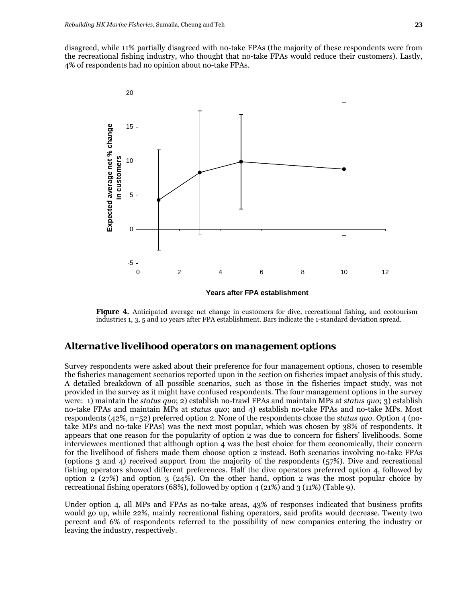disagreed, while 11% partially disagreed with no-take FPAs (the majority of these respondents were from the recreational fishing industry, who thought that no-take FPAs would reduce their customers). Lastly, 4% of respondents had no opinion about no-take FPAs.



**Figure 4.** Anticipated average net change in customers for dive, recreational fishing, and ecotourism industries 1, 3, 5 and 10 years after FPA establishment. Bars indicate the 1-standard deviation spread.

#### *Alternative livelihood operators on management options*

Survey respondents were asked about their preference for four management options, chosen to resemble the fisheries management scenarios reported upon in the section on fisheries impact analysis of this study. A detailed breakdown of all possible scenarios, such as those in the fisheries impact study, was not provided in the survey as it might have confused respondents. The four management options in the survey were: 1) maintain the *status quo*; 2) establish no-trawl FPAs and maintain MPs at *status quo*; 3) establish no-take FPAs and maintain MPs at *status quo*; and 4) establish no-take FPAs and no-take MPs. Most respondents (42%, n=52) preferred option 2. None of the respondents chose the *status quo*. Option 4 (notake MPs and no-take FPAs) was the next most popular, which was chosen by 38% of respondents. It appears that one reason for the popularity of option 2 was due to concern for fishers' livelihoods. Some interviewees mentioned that although option 4 was the best choice for them economically, their concern for the livelihood of fishers made them choose option 2 instead. Both scenarios involving no-take FPAs (options 3 and 4) received support from the majority of the respondents (57%). Dive and recreational fishing operators showed different preferences. Half the dive operators preferred option 4, followed by option 2 (27%) and option 3 (24%). On the other hand, option 2 was the most popular choice by recreational fishing operators (68%), followed by option 4 (21%) and 3 (11%) (Table 9).

Under option 4, all MPs and FPAs as no-take areas, 43% of responses indicated that business profits would go up, while 22%, mainly recreational fishing operators, said profits would decrease. Twenty two percent and 6% of respondents referred to the possibility of new companies entering the industry or leaving the industry, respectively.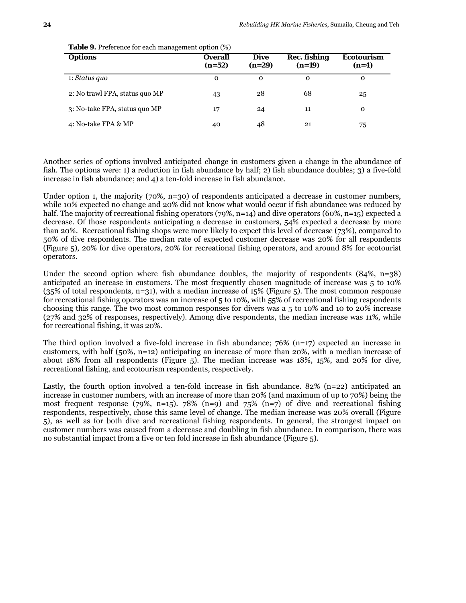| <b>Options</b>                 | <b>Overall</b><br>$(n=52)$ | <b>Dive</b><br>$(n=29)$ | <b>Rec. fishing</b><br>$(n=19)$ | <b>Ecotourism</b><br>$(n=4)$ |
|--------------------------------|----------------------------|-------------------------|---------------------------------|------------------------------|
| 1: Status quo                  | 0                          | $\mathbf 0$             | 0                               | 0                            |
| 2: No trawl FPA, status quo MP | 43                         | 28                      | 68                              | 25                           |
| 3: No-take FPA, status quo MP  | 17                         | 24                      | 11                              | 0                            |
| 4: No-take FPA & MP            | 40                         | 48                      | 21                              | 75                           |

**Table 9.** Preference for each management option (%)

 Another series of options involved anticipated change in customers given a change in the abundance of fish. The options were: 1) a reduction in fish abundance by half; 2) fish abundance doubles; 3) a five-fold increase in fish abundance; and 4) a ten-fold increase in fish abundance.

Under option 1, the majority  $(70\%, n=30)$  of respondents anticipated a decrease in customer numbers, while 10% expected no change and 20% did not know what would occur if fish abundance was reduced by half. The majority of recreational fishing operators (79%, n=14) and dive operators (60%, n=15) expected a decrease. Of those respondents anticipating a decrease in customers, 54% expected a decrease by more than 20%. Recreational fishing shops were more likely to expect this level of decrease (73%), compared to 50% of dive respondents. The median rate of expected customer decrease was 20% for all respondents (Figure 5), 20% for dive operators, 20% for recreational fishing operators, and around 8% for ecotourist operators.

Under the second option where fish abundance doubles, the majority of respondents  $(84\%, n=38)$ anticipated an increase in customers. The most frequently chosen magnitude of increase was 5 to 10%  $(35\%$  of total respondents, n=31), with a median increase of 15% (Figure 5). The most common response for recreational fishing operators was an increase of 5 to 10%, with 55% of recreational fishing respondents choosing this range. The two most common responses for divers was a 5 to 10% and 10 to 20% increase (27% and 32% of responses, respectively). Among dive respondents, the median increase was 11%, while for recreational fishing, it was 20%.

The third option involved a five-fold increase in fish abundance;  $76\%$  (n=17) expected an increase in customers, with half (50%, n=12) anticipating an increase of more than 20%, with a median increase of about 18% from all respondents (Figure 5). The median increase was 18%, 15%, and 20% for dive, recreational fishing, and ecotourism respondents, respectively.

Lastly, the fourth option involved a ten-fold increase in fish abundance. 82% (n=22) anticipated an increase in customer numbers, with an increase of more than 20% (and maximum of up to 70%) being the most frequent response (79%, n=15). 78% (n=9) and 75% (n=7) of dive and recreational fishing respondents, respectively, chose this same level of change. The median increase was 20% overall (Figure 5), as well as for both dive and recreational fishing respondents. In general, the strongest impact on customer numbers was caused from a decrease and doubling in fish abundance. In comparison, there was no substantial impact from a five or ten fold increase in fish abundance (Figure 5).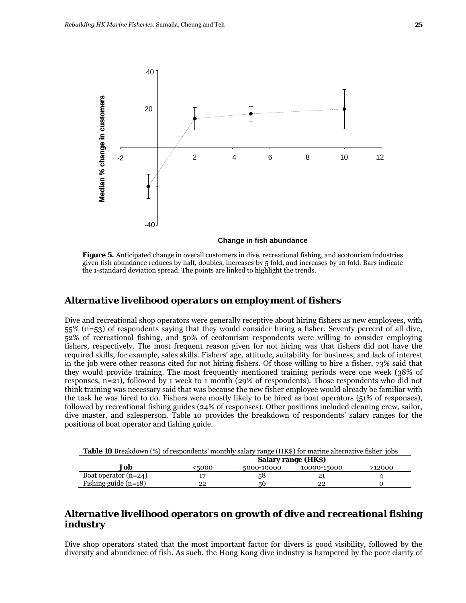

**Figure 5.** Anticipated change in overall customers in dive, recreational fishing, and ecotourism industries given fish abundance reduces by half, doubles, increases by 5 fold, and increases by 10 fold. Bars indicate the 1-standard deviation spread. The points are linked to highlight the trends.

#### *Alternative livelihood operators on employment of fishers*

Dive and recreational shop operators were generally receptive about hiring fishers as new employees, with 55% (n=53) of respondents saying that they would consider hiring a fisher. Seventy percent of all dive, 52% of recreational fishing, and 50% of ecotourism respondents were willing to consider employing fishers, respectively. The most frequent reason given for not hiring was that fishers did not have the required skills, for example, sales skills. Fishers' age, attitude, suitability for business, and lack of interest in the job were other reasons cited for not hiring fishers. Of those willing to hire a fisher, 73% said that they would provide training. The most frequently mentioned training periods were one week (38% of responses, n=21), followed by 1 week to 1 month (29% of respondents). Those respondents who did not think training was necessary said that was because the new fisher employee would already be familiar with the task he was hired to do. Fishers were mostly likely to be hired as boat operators (51% of responses), followed by recreational fishing guides (24% of responses). Other positions included cleaning crew, sailor, dive master, and salesperson. Table 10 provides the breakdown of respondents' salary ranges for the positions of boat operator and fishing guide.

| <b>Table 10</b> Breakdown (%) of respondents' monthly salary range (HK\$) for marine alternative fisher jobs |                     |            |             |        |  |  |  |
|--------------------------------------------------------------------------------------------------------------|---------------------|------------|-------------|--------|--|--|--|
|                                                                                                              | Salary range (HK\$) |            |             |        |  |  |  |
| Job                                                                                                          | <5000               | 5000-10000 | 10000-15000 | >12000 |  |  |  |
| Boat operator $(n=24)$                                                                                       |                     | 58         | 21          |        |  |  |  |
| Fishing guide $(n=18)$                                                                                       | 22                  | 56         | 22          |        |  |  |  |

#### *Alternative livelihood operators on growth of dive and recreational fishing industry*

Dive shop operators stated that the most important factor for divers is good visibility, followed by the diversity and abundance of fish. As such, the Hong Kong dive industry is hampered by the poor clarity of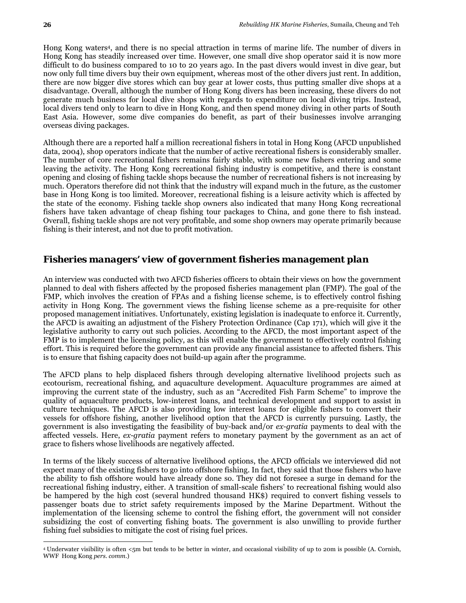$\overline{a}$ 

Hong Kong waters4, and there is no special attraction in terms of marine life. The number of divers in Hong Kong has steadily increased over time. However, one small dive shop operator said it is now more difficult to do business compared to 10 to 20 years ago. In the past divers would invest in dive gear, but now only full time divers buy their own equipment, whereas most of the other divers just rent. In addition, there are now bigger dive stores which can buy gear at lower costs, thus putting smaller dive shops at a disadvantage. Overall, although the number of Hong Kong divers has been increasing, these divers do not generate much business for local dive shops with regards to expenditure on local diving trips. Instead, local divers tend only to learn to dive in Hong Kong, and then spend money diving in other parts of South East Asia. However, some dive companies do benefit, as part of their businesses involve arranging overseas diving packages.

Although there are a reported half a million recreational fishers in total in Hong Kong (AFCD unpublished data, 2004), shop operators indicate that the number of active recreational fishers is considerably smaller. The number of core recreational fishers remains fairly stable, with some new fishers entering and some leaving the activity. The Hong Kong recreational fishing industry is competitive, and there is constant opening and closing of fishing tackle shops because the number of recreational fishers is not increasing by much. Operators therefore did not think that the industry will expand much in the future, as the customer base in Hong Kong is too limited. Moreover, recreational fishing is a leisure activity which is affected by the state of the economy. Fishing tackle shop owners also indicated that many Hong Kong recreational fishers have taken advantage of cheap fishing tour packages to China, and gone there to fish instead. Overall, fishing tackle shops are not very profitable, and some shop owners may operate primarily because fishing is their interest, and not due to profit motivation.

#### *Fisheries managers' view of government fisheries management plan*

An interview was conducted with two AFCD fisheries officers to obtain their views on how the government planned to deal with fishers affected by the proposed fisheries management plan (FMP). The goal of the FMP, which involves the creation of FPAs and a fishing license scheme, is to effectively control fishing activity in Hong Kong. The government views the fishing license scheme as a pre-requisite for other proposed management initiatives. Unfortunately, existing legislation is inadequate to enforce it. Currently, the AFCD is awaiting an adjustment of the Fishery Protection Ordinance (Cap 171), which will give it the legislative authority to carry out such policies. According to the AFCD, the most important aspect of the FMP is to implement the licensing policy, as this will enable the government to effectively control fishing effort. This is required before the government can provide any financial assistance to affected fishers. This is to ensure that fishing capacity does not build-up again after the programme.

The AFCD plans to help displaced fishers through developing alternative livelihood projects such as ecotourism, recreational fishing, and aquaculture development. Aquaculture programmes are aimed at improving the current state of the industry, such as an "Accredited Fish Farm Scheme" to improve the quality of aquaculture products, low-interest loans, and technical development and support to assist in culture techniques. The AFCD is also providing low interest loans for eligible fishers to convert their vessels for offshore fishing, another livelihood option that the AFCD is currently pursuing. Lastly, the government is also investigating the feasibility of buy-back and/or *ex-gratia* payments to deal with the affected vessels. Here, *ex-gratia* payment refers to monetary payment by the government as an act of grace to fishers whose livelihoods are negatively affected.

In terms of the likely success of alternative livelihood options, the AFCD officials we interviewed did not expect many of the existing fishers to go into offshore fishing. In fact, they said that those fishers who have the ability to fish offshore would have already done so. They did not foresee a surge in demand for the recreational fishing industry, either. A transition of small-scale fishers' to recreational fishing would also be hampered by the high cost (several hundred thousand HK\$) required to convert fishing vessels to passenger boats due to strict safety requirements imposed by the Marine Department. Without the implementation of the licensing scheme to control the fishing effort, the government will not consider subsidizing the cost of converting fishing boats. The government is also unwilling to provide further fishing fuel subsidies to mitigate the cost of rising fuel prices.

<sup>4</sup> Underwater visibility is often <5m but tends to be better in winter, and occasional visibility of up to 20m is possible (A. Cornish, WWF Hong Kong *pers. comm*.)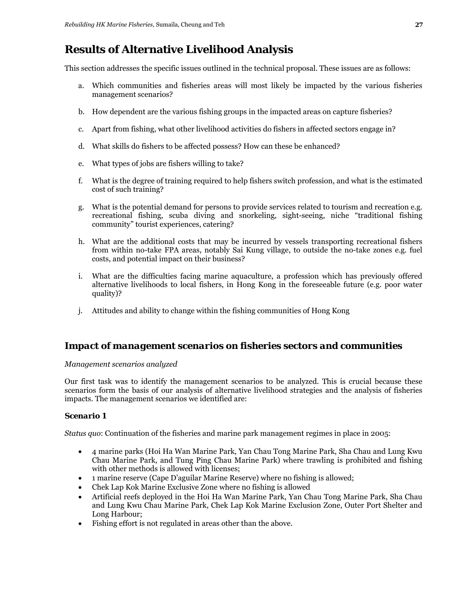# **Results of Alternative Livelihood Analysis**

This section addresses the specific issues outlined in the technical proposal. These issues are as follows:

- a. Which communities and fisheries areas will most likely be impacted by the various fisheries management scenarios?
- b. How dependent are the various fishing groups in the impacted areas on capture fisheries?
- c. Apart from fishing, what other livelihood activities do fishers in affected sectors engage in?
- d. What skills do fishers to be affected possess? How can these be enhanced?
- e. What types of jobs are fishers willing to take?
- f. What is the degree of training required to help fishers switch profession, and what is the estimated cost of such training?
- g. What is the potential demand for persons to provide services related to tourism and recreation e.g. recreational fishing, scuba diving and snorkeling, sight-seeing, niche "traditional fishing community" tourist experiences, catering?
- h. What are the additional costs that may be incurred by vessels transporting recreational fishers from within no-take FPA areas, notably Sai Kung village, to outside the no-take zones e.g. fuel costs, and potential impact on their business?
- i. What are the difficulties facing marine aquaculture, a profession which has previously offered alternative livelihoods to local fishers, in Hong Kong in the foreseeable future (e.g. poor water quality)?
- j. Attitudes and ability to change within the fishing communities of Hong Kong

#### *Impact of management scenarios on fisheries sectors and communities*

#### *Management scenarios analyzed*

Our first task was to identify the management scenarios to be analyzed. This is crucial because these scenarios form the basis of our analysis of alternative livelihood strategies and the analysis of fisheries impacts. The management scenarios we identified are:

#### *Scenario 1*

*Status quo*: Continuation of the fisheries and marine park management regimes in place in 2005:

- 4 marine parks (Hoi Ha Wan Marine Park, Yan Chau Tong Marine Park, Sha Chau and Lung Kwu Chau Marine Park, and Tung Ping Chau Marine Park) where trawling is prohibited and fishing with other methods is allowed with licenses;
- 1 marine reserve (Cape D'aguilar Marine Reserve) where no fishing is allowed;
- Chek Lap Kok Marine Exclusive Zone where no fishing is allowed
- Artificial reefs deployed in the Hoi Ha Wan Marine Park, Yan Chau Tong Marine Park, Sha Chau and Lung Kwu Chau Marine Park, Chek Lap Kok Marine Exclusion Zone, Outer Port Shelter and Long Harbour;
- Fishing effort is not regulated in areas other than the above.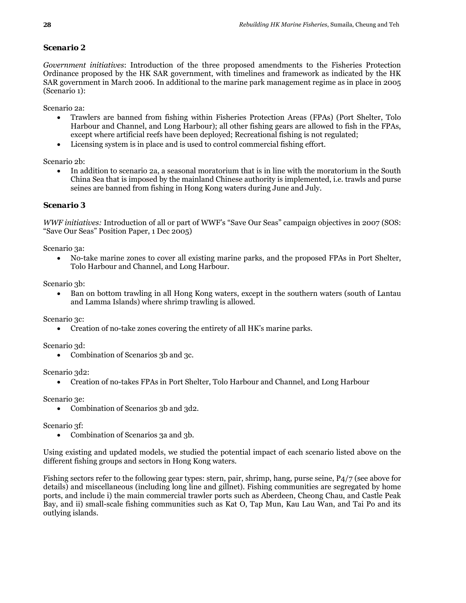#### *Scenario 2*

*Government initiatives*: Introduction of the three proposed amendments to the Fisheries Protection Ordinance proposed by the HK SAR government, with timelines and framework as indicated by the HK SAR government in March 2006. In additional to the marine park management regime as in place in 2005 (Scenario 1):

Scenario 2a:

- Trawlers are banned from fishing within Fisheries Protection Areas (FPAs) (Port Shelter, Tolo Harbour and Channel, and Long Harbour); all other fishing gears are allowed to fish in the FPAs, except where artificial reefs have been deployed; Recreational fishing is not regulated;
- Licensing system is in place and is used to control commercial fishing effort.

Scenario 2<sub>b</sub>:

• In addition to scenario 2a, a seasonal moratorium that is in line with the moratorium in the South China Sea that is imposed by the mainland Chinese authority is implemented, i.e. trawls and purse seines are banned from fishing in Hong Kong waters during June and July.

#### *Scenario 3*

*WWF initiatives:* Introduction of all or part of WWF's "Save Our Seas" campaign objectives in 2007 (SOS: "Save Our Seas" Position Paper, 1 Dec 2005)

Scenario 3a:

• No-take marine zones to cover all existing marine parks, and the proposed FPAs in Port Shelter, Tolo Harbour and Channel, and Long Harbour.

Scenario 3b:

• Ban on bottom trawling in all Hong Kong waters, except in the southern waters (south of Lantau and Lamma Islands) where shrimp trawling is allowed.

Scenario 3c:

• Creation of no-take zones covering the entirety of all HK's marine parks.

Scenario 3d:

• Combination of Scenarios 3b and 3c.

Scenario 3d2:

• Creation of no-takes FPAs in Port Shelter, Tolo Harbour and Channel, and Long Harbour

Scenario 3e:

• Combination of Scenarios 3b and 3d2.

Scenario 3f:

• Combination of Scenarios 3a and 3b.

Using existing and updated models, we studied the potential impact of each scenario listed above on the different fishing groups and sectors in Hong Kong waters.

Fishing sectors refer to the following gear types: stern, pair, shrimp, hang, purse seine, P4/7 (see above for details) and miscellaneous (including long line and gillnet). Fishing communities are segregated by home ports, and include i) the main commercial trawler ports such as Aberdeen, Cheong Chau, and Castle Peak Bay, and ii) small-scale fishing communities such as Kat O, Tap Mun, Kau Lau Wan, and Tai Po and its outlying islands.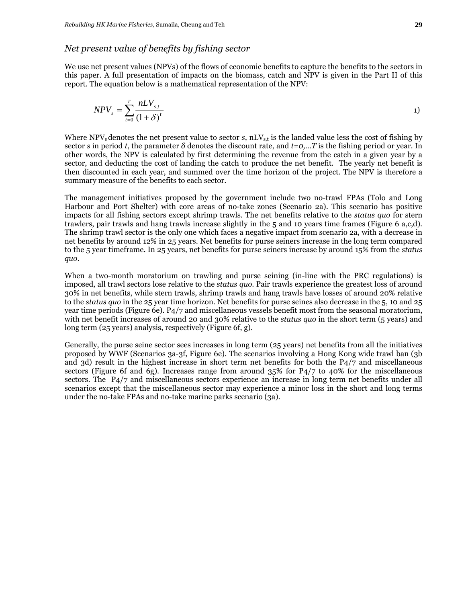#### *Net present value of benefits by fishing sector*

We use net present values (NPVs) of the flows of economic benefits to capture the benefits to the sectors in this paper. A full presentation of impacts on the biomass, catch and NPV is given in the Part II of this report. The equation below is a mathematical representation of the NPV:

$$
NPV_s = \sum_{t=0}^{T} \frac{nLV_{s,t}}{(1+\delta)^t}
$$

Where NPV<sub>s</sub> denotes the net present value to sector *s*, nLV<sub>s,t</sub> is the landed value less the cost of fishing by sector *s* in period *t*, the parameter  $\delta$  denotes the discount rate, and  $t = 0,...T$  is the fishing period or year. In other words, the NPV is calculated by first determining the revenue from the catch in a given year by a sector, and deducting the cost of landing the catch to produce the net benefit. The yearly net benefit is then discounted in each year, and summed over the time horizon of the project. The NPV is therefore a summary measure of the benefits to each sector.

The management initiatives proposed by the government include two no-trawl FPAs (Tolo and Long Harbour and Port Shelter) with core areas of no-take zones (Scenario 2a). This scenario has positive impacts for all fishing sectors except shrimp trawls. The net benefits relative to the *status quo* for stern trawlers, pair trawls and hang trawls increase slightly in the 5 and 10 years time frames (Figure 6 a,c,d). The shrimp trawl sector is the only one which faces a negative impact from scenario 2a, with a decrease in net benefits by around 12% in 25 years. Net benefits for purse seiners increase in the long term compared to the 5 year timeframe. In 25 years, net benefits for purse seiners increase by around 15% from the *status quo*.

When a two-month moratorium on trawling and purse seining (in-line with the PRC regulations) is imposed, all trawl sectors lose relative to the *status quo*. Pair trawls experience the greatest loss of around 30% in net benefits, while stern trawls, shrimp trawls and hang trawls have losses of around 20% relative to the *status quo* in the 25 year time horizon. Net benefits for purse seines also decrease in the 5, 10 and 25 year time periods (Figure 6e). P4/7 and miscellaneous vessels benefit most from the seasonal moratorium, with net benefit increases of around 20 and 30% relative to the *status quo* in the short term (5 years) and long term (25 years) analysis, respectively (Figure 6f, g).

Generally, the purse seine sector sees increases in long term (25 years) net benefits from all the initiatives proposed by WWF (Scenarios 3a-3f, Figure 6e). The scenarios involving a Hong Kong wide trawl ban (3b and 3d) result in the highest increase in short term net benefits for both the P4/7 and miscellaneous sectors (Figure 6f and 6g). Increases range from around 35% for P4/7 to 40% for the miscellaneous sectors. The P4/7 and miscellaneous sectors experience an increase in long term net benefits under all scenarios except that the miscellaneous sector may experience a minor loss in the short and long terms under the no-take FPAs and no-take marine parks scenario (3a).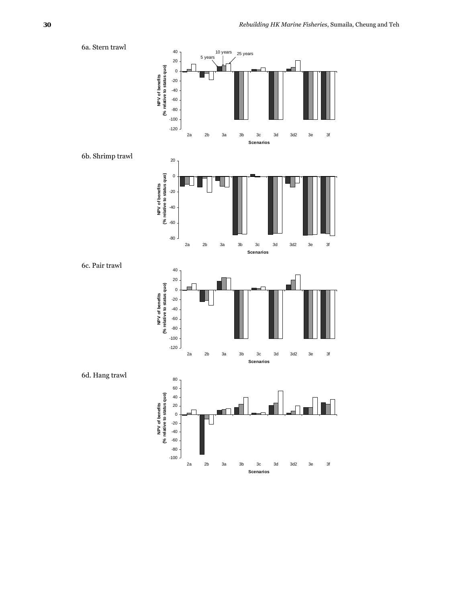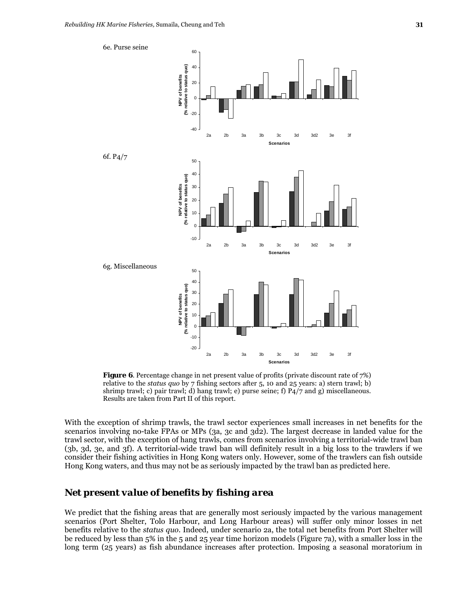

**Figure 6.** Percentage change in net present value of profits (private discount rate of  $7\%$ ) relative to the *status quo* by 7 fishing sectors after 5, 10 and 25 years: a) stern trawl; b) shrimp trawl; c) pair trawl; d) hang trawl; e) purse seine; f) P4/7 and g) miscellaneous. Results are taken from Part II of this report.

2a 2b 3a 3b 3c 3d 3d2 3e 3f **Scenarios**

With the exception of shrimp trawls, the trawl sector experiences small increases in net benefits for the scenarios involving no-take FPAs or MPs (3a, 3c and 3d2). The largest decrease in landed value for the trawl sector, with the exception of hang trawls, comes from scenarios involving a territorial-wide trawl ban (3b, 3d, 3e, and 3f). A territorial-wide trawl ban will definitely result in a big loss to the trawlers if we consider their fishing activities in Hong Kong waters only. However, some of the trawlers can fish outside Hong Kong waters, and thus may not be as seriously impacted by the trawl ban as predicted here.

# *Net present value of benefits by fishing area*

We predict that the fishing areas that are generally most seriously impacted by the various management scenarios (Port Shelter, Tolo Harbour, and Long Harbour areas) will suffer only minor losses in net benefits relative to the *status quo*. Indeed, under scenario 2a, the total net benefits from Port Shelter will be reduced by less than 5% in the 5 and 25 year time horizon models (Figure 7a), with a smaller loss in the long term (25 years) as fish abundance increases after protection. Imposing a seasonal moratorium in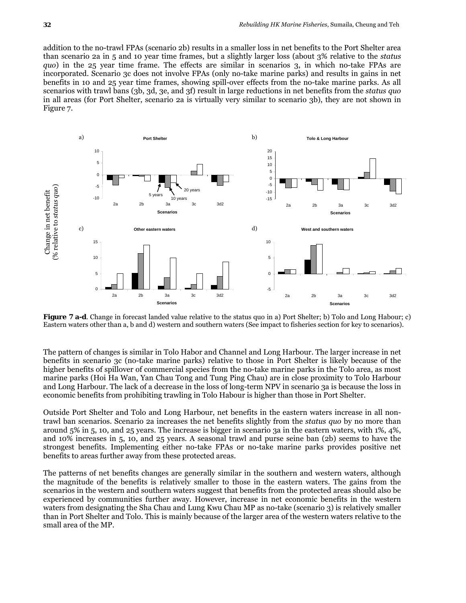addition to the no-trawl FPAs (scenario 2b) results in a smaller loss in net benefits to the Port Shelter area than scenario 2a in 5 and 10 year time frames, but a slightly larger loss (about 3% relative to the *status quo*) in the 25 year time frame. The effects are similar in scenarios 3, in which no-take FPAs are incorporated. Scenario 3c does not involve FPAs (only no-take marine parks) and results in gains in net benefits in 10 and 25 year time frames, showing spill-over effects from the no-take marine parks. As all scenarios with trawl bans (3b, 3d, 3e, and 3f) result in large reductions in net benefits from the *status quo* in all areas (for Port Shelter, scenario 2a is virtually very similar to scenario 3b), they are not shown in Figure 7.



**Figure 7 a-d**. Change in forecast landed value relative to the status quo in a) Port Shelter; b) Tolo and Long Habour; c) Eastern waters other than a, b and d) western and southern waters (See impact to fisheries section for key to scenarios).

The pattern of changes is similar in Tolo Habor and Channel and Long Harbour. The larger increase in net benefits in scenario 3c (no-take marine parks) relative to those in Port Shelter is likely because of the higher benefits of spillover of commercial species from the no-take marine parks in the Tolo area, as most marine parks (Hoi Ha Wan, Yan Chau Tong and Tung Ping Chau) are in close proximity to Tolo Harbour and Long Harbour. The lack of a decrease in the loss of long-term NPV in scenario 3a is because the loss in economic benefits from prohibiting trawling in Tolo Habour is higher than those in Port Shelter.

Outside Port Shelter and Tolo and Long Harbour, net benefits in the eastern waters increase in all nontrawl ban scenarios. Scenario 2a increases the net benefits slightly from the *status quo* by no more than around 5% in 5, 10, and 25 years. The increase is bigger in scenario 3a in the eastern waters, with 1%, 4%, and 10% increases in 5, 10, and 25 years. A seasonal trawl and purse seine ban (2b) seems to have the strongest benefits. Implementing either no-take FPAs or no-take marine parks provides positive net benefits to areas further away from these protected areas.

The patterns of net benefits changes are generally similar in the southern and western waters, although the magnitude of the benefits is relatively smaller to those in the eastern waters. The gains from the scenarios in the western and southern waters suggest that benefits from the protected areas should also be experienced by communities further away. However, increase in net economic benefits in the western waters from designating the Sha Chau and Lung Kwu Chau MP as no-take (scenario 3) is relatively smaller than in Port Shelter and Tolo. This is mainly because of the larger area of the western waters relative to the small area of the MP.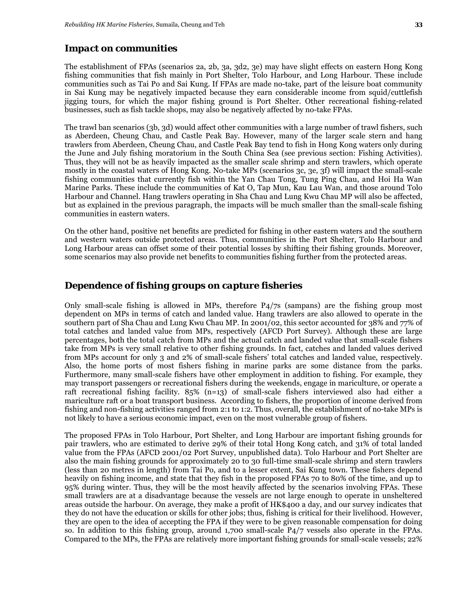#### *Impact on communities*

The establishment of FPAs (scenarios 2a, 2b, 3a, 3d2, 3e) may have slight effects on eastern Hong Kong fishing communities that fish mainly in Port Shelter, Tolo Harbour, and Long Harbour. These include communities such as Tai Po and Sai Kung. If FPAs are made no-take, part of the leisure boat community in Sai Kung may be negatively impacted because they earn considerable income from squid/cuttlefish jigging tours, for which the major fishing ground is Port Shelter. Other recreational fishing-related businesses, such as fish tackle shops, may also be negatively affected by no-take FPAs.

The trawl ban scenarios (3b, 3d) would affect other communities with a large number of trawl fishers, such as Aberdeen, Cheung Chau, and Castle Peak Bay. However, many of the larger scale stern and hang trawlers from Aberdeen, Cheung Chau, and Castle Peak Bay tend to fish in Hong Kong waters only during the June and July fishing moratorium in the South China Sea (see previous section: Fishing Activities). Thus, they will not be as heavily impacted as the smaller scale shrimp and stern trawlers, which operate mostly in the coastal waters of Hong Kong. No-take MPs (scenarios 3c, 3e, 3f) will impact the small-scale fishing communities that currently fish within the Yan Chau Tong, Tung Ping Chau, and Hoi Ha Wan Marine Parks. These include the communities of Kat O, Tap Mun, Kau Lau Wan, and those around Tolo Harbour and Channel. Hang trawlers operating in Sha Chau and Lung Kwu Chau MP will also be affected, but as explained in the previous paragraph, the impacts will be much smaller than the small-scale fishing communities in eastern waters.

On the other hand, positive net benefits are predicted for fishing in other eastern waters and the southern and western waters outside protected areas. Thus, communities in the Port Shelter, Tolo Harbour and Long Harbour areas can offset some of their potential losses by shifting their fishing grounds. Moreover, some scenarios may also provide net benefits to communities fishing further from the protected areas.

## *Dependence of fishing groups on capture fisheries*

Only small-scale fishing is allowed in MPs, therefore P4/7s (sampans) are the fishing group most dependent on MPs in terms of catch and landed value. Hang trawlers are also allowed to operate in the southern part of Sha Chau and Lung Kwu Chau MP. In 2001/02, this sector accounted for 38% and 77% of total catches and landed value from MPs, respectively (AFCD Port Survey). Although these are large percentages, both the total catch from MPs and the actual catch and landed value that small-scale fishers take from MPs is very small relative to other fishing grounds. In fact, catches and landed values derived from MPs account for only 3 and 2% of small-scale fishers' total catches and landed value, respectively. Also, the home ports of most fishers fishing in marine parks are some distance from the parks. Furthermore, many small-scale fishers have other employment in addition to fishing. For example, they may transport passengers or recreational fishers during the weekends, engage in mariculture, or operate a raft recreational fishing facility. 85% (n=13) of small-scale fishers interviewed also had either a mariculture raft or a boat transport business. According to fishers, the proportion of income derived from fishing and non-fishing activities ranged from 2:1 to 1:2. Thus, overall, the establishment of no-take MPs is not likely to have a serious economic impact, even on the most vulnerable group of fishers.

The proposed FPAs in Tolo Harbour, Port Shelter, and Long Harbour are important fishing grounds for pair trawlers, who are estimated to derive 29% of their total Hong Kong catch, and 31% of total landed value from the FPAs (AFCD 2001/02 Port Survey, unpublished data)*.* Tolo Harbour and Port Shelter are also the main fishing grounds for approximately 20 to 30 full-time small-scale shrimp and stern trawlers (less than 20 metres in length) from Tai Po, and to a lesser extent, Sai Kung town. These fishers depend heavily on fishing income, and state that they fish in the proposed FPAs 70 to 80% of the time, and up to 95% during winter. Thus, they will be the most heavily affected by the scenarios involving FPAs. These small trawlers are at a disadvantage because the vessels are not large enough to operate in unsheltered areas outside the harbour. On average, they make a profit of HK\$400 a day, and our survey indicates that they do not have the education or skills for other jobs; thus, fishing is critical for their livelihood. However, they are open to the idea of accepting the FPA if they were to be given reasonable compensation for doing so. In addition to this fishing group, around 1,700 small-scale P4/7 vessels also operate in the FPAs. Compared to the MPs, the FPAs are relatively more important fishing grounds for small-scale vessels; 22%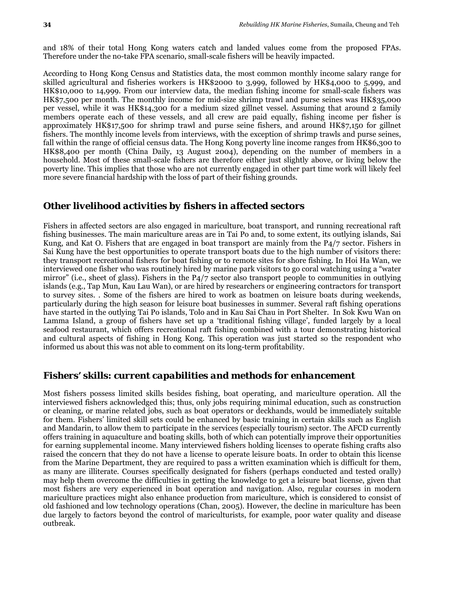and 18% of their total Hong Kong waters catch and landed values come from the proposed FPAs. Therefore under the no-take FPA scenario, small-scale fishers will be heavily impacted.

According to Hong Kong Census and Statistics data, the most common monthly income salary range for skilled agricultural and fisheries workers is HK\$2000 to 3,999, followed by HK\$4,000 to 5,999, and HK\$10,000 to 14,999. From our interview data, the median fishing income for small-scale fishers was HK\$7,500 per month. The monthly income for mid-size shrimp trawl and purse seines was HK\$35,000 per vessel, while it was HK\$14,300 for a medium sized gillnet vessel. Assuming that around 2 family members operate each of these vessels, and all crew are paid equally, fishing income per fisher is approximately HK\$17,500 for shrimp trawl and purse seine fishers, and around HK\$7,150 for gillnet fishers. The monthly income levels from interviews, with the exception of shrimp trawls and purse seines, fall within the range of official census data. The Hong Kong poverty line income ranges from HK\$6,300 to HK\$8,400 per month (China Daily, 13 August 2004), depending on the number of members in a household. Most of these small-scale fishers are therefore either just slightly above, or living below the poverty line. This implies that those who are not currently engaged in other part time work will likely feel more severe financial hardship with the loss of part of their fishing grounds.

## *Other livelihood activities by fishers in affected sectors*

Fishers in affected sectors are also engaged in mariculture, boat transport, and running recreational raft fishing businesses. The main mariculture areas are in Tai Po and, to some extent, its outlying islands, Sai Kung, and Kat O. Fishers that are engaged in boat transport are mainly from the P4/7 sector. Fishers in Sai Kung have the best opportunities to operate transport boats due to the high number of visitors there: they transport recreational fishers for boat fishing or to remote sites for shore fishing. In Hoi Ha Wan, we interviewed one fisher who was routinely hired by marine park visitors to go coral watching using a "water mirror" (i.e., sheet of glass). Fishers in the P4/7 sector also transport people to communities in outlying islands (e.g., Tap Mun, Kau Lau Wan), or are hired by researchers or engineering contractors for transport to survey sites. . Some of the fishers are hired to work as boatmen on leisure boats during weekends, particularly during the high season for leisure boat businesses in summer. Several raft fishing operations have started in the outlying Tai Po islands, Tolo and in Kau Sai Chau in Port Shelter. In Sok Kwu Wan on Lamma Island, a group of fishers have set up a 'traditional fishing village', funded largely by a local seafood restaurant, which offers recreational raft fishing combined with a tour demonstrating historical and cultural aspects of fishing in Hong Kong. This operation was just started so the respondent who informed us about this was not able to comment on its long-term profitability.

#### *Fishers' skills: current capabilities and methods for enhancement*

Most fishers possess limited skills besides fishing, boat operating, and mariculture operation. All the interviewed fishers acknowledged this; thus, only jobs requiring minimal education, such as construction or cleaning, or marine related jobs, such as boat operators or deckhands, would be immediately suitable for them. Fishers' limited skill sets could be enhanced by basic training in certain skills such as English and Mandarin, to allow them to participate in the services (especially tourism) sector. The AFCD currently offers training in aquaculture and boating skills, both of which can potentially improve their opportunities for earning supplemental income. Many interviewed fishers holding licenses to operate fishing crafts also raised the concern that they do not have a license to operate leisure boats. In order to obtain this license from the Marine Department, they are required to pass a written examination which is difficult for them, as many are illiterate. Courses specifically designated for fishers (perhaps conducted and tested orally) may help them overcome the difficulties in getting the knowledge to get a leisure boat license, given that most fishers are very experienced in boat operation and navigation. Also, regular courses in modern mariculture practices might also enhance production from mariculture, which is considered to consist of old fashioned and low technology operations (Chan, 2005). However, the decline in mariculture has been due largely to factors beyond the control of mariculturists, for example, poor water quality and disease outbreak.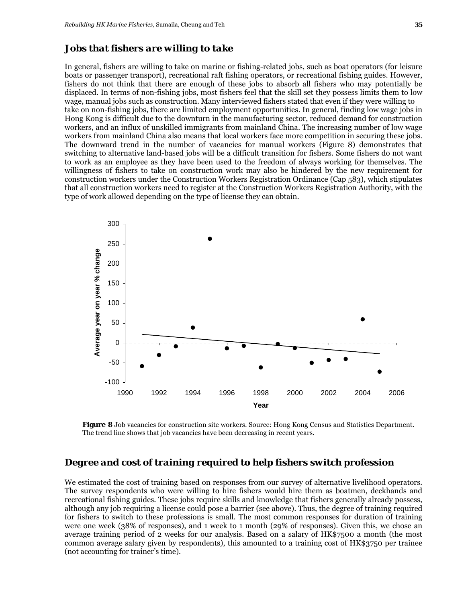#### *Jobs that fishers are willing to take*

In general, fishers are willing to take on marine or fishing-related jobs, such as boat operators (for leisure boats or passenger transport), recreational raft fishing operators, or recreational fishing guides. However, fishers do not think that there are enough of these jobs to absorb all fishers who may potentially be displaced. In terms of non-fishing jobs, most fishers feel that the skill set they possess limits them to low wage, manual jobs such as construction. Many interviewed fishers stated that even if they were willing to take on non-fishing jobs, there are limited employment opportunities. In general, finding low wage jobs in Hong Kong is difficult due to the downturn in the manufacturing sector, reduced demand for construction workers, and an influx of unskilled immigrants from mainland China. The increasing number of low wage workers from mainland China also means that local workers face more competition in securing these jobs. The downward trend in the number of vacancies for manual workers (Figure 8) demonstrates that switching to alternative land-based jobs will be a difficult transition for fishers. Some fishers do not want to work as an employee as they have been used to the freedom of always working for themselves. The willingness of fishers to take on construction work may also be hindered by the new requirement for construction workers under the Construction Workers Registration Ordinance (Cap 583), which stipulates that all construction workers need to register at the Construction Workers Registration Authority, with the type of work allowed depending on the type of license they can obtain.



**Figure 8** Job vacancies for construction site workers. Source: Hong Kong Census and Statistics Department. The trend line shows that job vacancies have been decreasing in recent years.

### *Degree and cost of training required to help fishers switch profession*

We estimated the cost of training based on responses from our survey of alternative livelihood operators. The survey respondents who were willing to hire fishers would hire them as boatmen, deckhands and recreational fishing guides. These jobs require skills and knowledge that fishers generally already possess, although any job requiring a license could pose a barrier (see above). Thus, the degree of training required for fishers to switch to these professions is small. The most common responses for duration of training were one week (38% of responses), and 1 week to 1 month (29% of responses). Given this, we chose an average training period of 2 weeks for our analysis. Based on a salary of HK\$7500 a month (the most common average salary given by respondents), this amounted to a training cost of HK\$3750 per trainee (not accounting for trainer's time).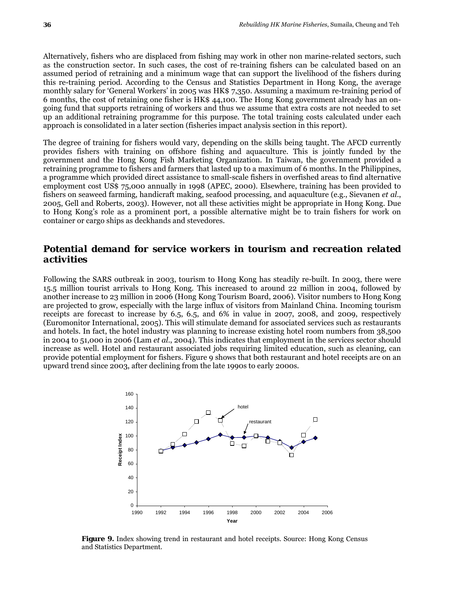Alternatively, fishers who are displaced from fishing may work in other non marine-related sectors, such as the construction sector. In such cases, the cost of re-training fishers can be calculated based on an assumed period of retraining and a minimum wage that can support the livelihood of the fishers during this re-training period. According to the Census and Statistics Department in Hong Kong, the average monthly salary for 'General Workers' in 2005 was HK\$ 7,350. Assuming a maximum re-training period of 6 months, the cost of retaining one fisher is HK\$ 44,100. The Hong Kong government already has an ongoing fund that supports retraining of workers and thus we assume that extra costs are not needed to set up an additional retraining programme for this purpose. The total training costs calculated under each approach is consolidated in a later section (fisheries impact analysis section in this report).

The degree of training for fishers would vary, depending on the skills being taught. The AFCD currently provides fishers with training on offshore fishing and aquaculture. This is jointly funded by the government and the Hong Kong Fish Marketing Organization. In Taiwan, the government provided a retraining programme to fishers and farmers that lasted up to a maximum of 6 months. In the Philippines, a programme which provided direct assistance to small-scale fishers in overfished areas to find alternative employment cost US\$ 75,000 annually in 1998 (APEC, 2000)*.* Elsewhere, training has been provided to fishers on seaweed farming, handicraft making, seafood processing, and aquaculture (e.g., Sievanen *et al*., 2005, Gell and Roberts, 2003). However, not all these activities might be appropriate in Hong Kong. Due to Hong Kong's role as a prominent port, a possible alternative might be to train fishers for work on container or cargo ships as deckhands and stevedores.

# *Potential demand for service workers in tourism and recreation related activities*

Following the SARS outbreak in 2003, tourism to Hong Kong has steadily re-built. In 2003, there were 15.5 million tourist arrivals to Hong Kong. This increased to around 22 million in 2004, followed by another increase to 23 million in 2006 (Hong Kong Tourism Board, 2006). Visitor numbers to Hong Kong are projected to grow, especially with the large influx of visitors from Mainland China. Incoming tourism receipts are forecast to increase by 6.5, 6.5, and 6% in value in 2007, 2008, and 2009, respectively (Euromonitor International, 2005). This will stimulate demand for associated services such as restaurants and hotels. In fact, the hotel industry was planning to increase existing hotel room numbers from 38,500 in 2004 to 51,000 in 2006 (Lam *et al*., 2004). This indicates that employment in the services sector should increase as well. Hotel and restaurant associated jobs requiring limited education, such as cleaning, can provide potential employment for fishers. Figure 9 shows that both restaurant and hotel receipts are on an upward trend since 2003, after declining from the late 1990s to early 2000s.



**Figure 9.** Index showing trend in restaurant and hotel receipts. Source: Hong Kong Census and Statistics Department.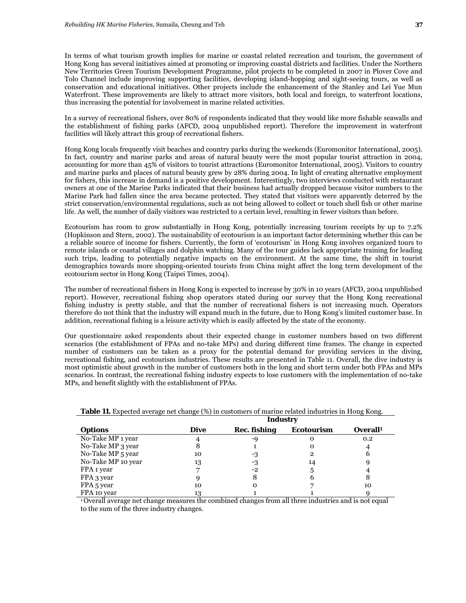In terms of what tourism growth implies for marine or coastal related recreation and tourism, the government of Hong Kong has several initiatives aimed at promoting or improving coastal districts and facilities. Under the Northern New Territories Green Tourism Development Programme, pilot projects to be completed in 2007 in Plover Cove and Tolo Channel include improving supporting facilities, developing island-hopping and sight-seeing tours, as well as conservation and educational initiatives. Other projects include the enhancement of the Stanley and Lei Yue Mun Waterfront. These improvements are likely to attract more visitors, both local and foreign, to waterfront locations, thus increasing the potential for involvement in marine related activities.

In a survey of recreational fishers, over 80% of respondents indicated that they would like more fishable seawalls and the establishment of fishing parks (AFCD, 2004 unpublished report). Therefore the improvement in waterfront facilities will likely attract this group of recreational fishers.

Hong Kong locals frequently visit beaches and country parks during the weekends (Euromonitor International, 2005). In fact, country and marine parks and areas of natural beauty were the most popular tourist attraction in 2004, accounting for more than 45% of visitors to tourist attractions (Euromonitor International, 2005). Visitors to country and marine parks and places of natural beauty grew by 28% during 2004. In light of creating alternative employment for fishers, this increase in demand is a positive development. Interestingly, two interviews conducted with restaurant owners at one of the Marine Parks indicated that their business had actually dropped because visitor numbers to the Marine Park had fallen since the area became protected. They stated that visitors were apparently deterred by the strict conservation/environmental regulations, such as not being allowed to collect or touch shell fish or other marine life. As well, the number of daily visitors was restricted to a certain level, resulting in fewer visitors than before.

Ecotourism has room to grow substantially in Hong Kong, potentially increasing tourism receipts by up to 7.2% (Hopkinson and Stern, 2002). The sustainability of ecotourism is an important factor determining whether this can be a reliable source of income for fishers. Currently, the form of 'ecotourism' in Hong Kong involves organized tours to remote islands or coastal villages and dolphin watching. Many of the tour guides lack appropriate training for leading such trips, leading to potentially negative impacts on the environment. At the same time, the shift in tourist demographics towards more shopping-oriented tourists from China might affect the long term development of the ecotourism sector in Hong Kong (Taipei Times, 2004).

The number of recreational fishers in Hong Kong is expected to increase by 30% in 10 years (AFCD, 2004 unpublished report). However, recreational fishing shop operators stated during our survey that the Hong Kong recreational fishing industry is pretty stable, and that the number of recreational fishers is not increasing much. Operators therefore do not think that the industry will expand much in the future, due to Hong Kong's limited customer base. In addition, recreational fishing is a leisure activity which is easily affected by the state of the economy.

Our questionnaire asked respondents about their expected change in customer numbers based on two different scenarios (the establishment of FPAs and no-take MPs) and during different time frames. The change in expected number of customers can be taken as a proxy for the potential demand for providing services in the diving, recreational fishing, and ecotourism industries. These results are presented in Table 11. Overall, the dive industry is most optimistic about growth in the number of customers both in the long and short term under both FPAs and MPs scenarios. In contrast, the recreational fishing industry expects to lose customers with the implementation of no-take MPs, and benefit slightly with the establishment of FPAs.

|                    | <b>Industry</b> |              |                   |                      |  |  |  |  |
|--------------------|-----------------|--------------|-------------------|----------------------|--|--|--|--|
| <b>Options</b>     | <b>Dive</b>     | Rec. fishing | <b>Ecotourism</b> | Overall <sup>1</sup> |  |  |  |  |
| No-Take MP 1 year  |                 | -9           |                   | 0.2                  |  |  |  |  |
| No-Take MP 3 year  | 8               |              |                   |                      |  |  |  |  |
| No-Take MP 5 year  | 10              | -3           |                   | b                    |  |  |  |  |
| No-Take MP 10 year | 13              | -3           | 14                |                      |  |  |  |  |
| FPA 1 year         |                 | -2           | 5                 |                      |  |  |  |  |
| FPA 3 year         |                 | 8            |                   | 8                    |  |  |  |  |
| FPA 5 year         | 10              | Ω            |                   | 10                   |  |  |  |  |
| FPA 10 year        | 13              |              |                   |                      |  |  |  |  |

|  | <b>Table 11.</b> Expected average net change (%) in customers of marine related industries in Hong Kong. |  |  |  |  |  |  |  |  |
|--|----------------------------------------------------------------------------------------------------------|--|--|--|--|--|--|--|--|
|--|----------------------------------------------------------------------------------------------------------|--|--|--|--|--|--|--|--|

1 Overall average net change measures the combined changes from all three industries and is not equal to the sum of the three industry changes.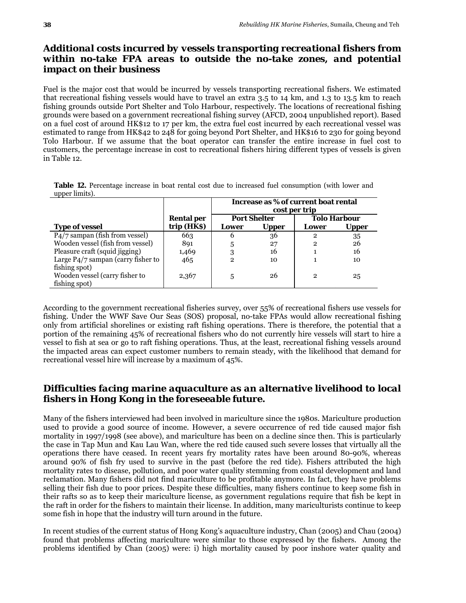# *Additional costs incurred by vessels transporting recreational fishers from within no-take FPA areas to outside the no-take zones, and potential impact on their business*

Fuel is the major cost that would be incurred by vessels transporting recreational fishers. We estimated that recreational fishing vessels would have to travel an extra 3.5 to 14 km, and 1.3 to 13.5 km to reach fishing grounds outside Port Shelter and Tolo Harbour, respectively. The locations of recreational fishing grounds were based on a government recreational fishing survey (AFCD, 2004 unpublished report). Based on a fuel cost of around HK\$12 to 17 per km, the extra fuel cost incurred by each recreational vessel was estimated to range from HK\$42 to 248 for going beyond Port Shelter, and HK\$16 to 230 for going beyond Tolo Harbour. If we assume that the boat operator can transfer the entire increase in fuel cost to customers, the percentage increase in cost to recreational fishers hiring different types of vessels is given in Table 12.

| $\mu$ uppu mmus).                            |                   |                                                       |                     |              |                     |  |
|----------------------------------------------|-------------------|-------------------------------------------------------|---------------------|--------------|---------------------|--|
|                                              |                   | Increase as % of current boat rental<br>cost per trip |                     |              |                     |  |
|                                              | <b>Rental per</b> |                                                       | <b>Port Shelter</b> |              | <b>Tolo Harbour</b> |  |
| <b>Type of vessel</b>                        | trip (HK\$)       | Lower                                                 | <b>Upper</b>        | Lower        | <b>Upper</b>        |  |
| P <sub>4</sub> /7 sampan (fish from vessel)  | 663               | h                                                     | 36                  | 2            | 35                  |  |
| Wooden vessel (fish from vessel)             | 891               | 5                                                     | 27                  | $\mathbf{2}$ | 26                  |  |
| Pleasure craft (squid jigging)               | 1,469             | 3                                                     | 16                  |              | 16                  |  |
| Large $P\frac{4}{7}$ sampan (carry fisher to | 465               | 2                                                     | 10                  |              | 10                  |  |
| fishing spot)                                |                   |                                                       |                     |              |                     |  |

**Table 12.** Percentage increase in boat rental cost due to increased fuel consumption (with lower and upper limits).

According to the government recreational fisheries survey, over 55% of recreational fishers use vessels for fishing. Under the WWF Save Our Seas (SOS) proposal, no-take FPAs would allow recreational fishing only from artificial shorelines or existing raft fishing operations. There is therefore, the potential that a portion of the remaining 45% of recreational fishers who do not currently hire vessels will start to hire a vessel to fish at sea or go to raft fishing operations. Thus, at the least, recreational fishing vessels around the impacted areas can expect customer numbers to remain steady, with the likelihood that demand for recreational vessel hire will increase by a maximum of 45%.

 $2,367$  | 5 26 | 2 25

# *Difficulties facing marine aquaculture as an alternative livelihood to local fishers in Hong Kong in the foreseeable future.*

Many of the fishers interviewed had been involved in mariculture since the 1980s. Mariculture production used to provide a good source of income. However, a severe occurrence of red tide caused major fish mortality in 1997/1998 (see above), and mariculture has been on a decline since then. This is particularly the case in Tap Mun and Kau Lau Wan, where the red tide caused such severe losses that virtually all the operations there have ceased. In recent years fry mortality rates have been around 80-90%, whereas around 90% of fish fry used to survive in the past (before the red tide). Fishers attributed the high mortality rates to disease, pollution, and poor water quality stemming from coastal development and land reclamation. Many fishers did not find mariculture to be profitable anymore. In fact, they have problems selling their fish due to poor prices. Despite these difficulties, many fishers continue to keep some fish in their rafts so as to keep their mariculture license, as government regulations require that fish be kept in the raft in order for the fishers to maintain their license. In addition, many mariculturists continue to keep some fish in hope that the industry will turn around in the future.

In recent studies of the current status of Hong Kong's aquaculture industry, Chan (2005) and Chau (2004) found that problems affecting mariculture were similar to those expressed by the fishers. Among the problems identified by Chan (2005) were: i) high mortality caused by poor inshore water quality and

Wooden vessel (carry fisher to

fishing spot)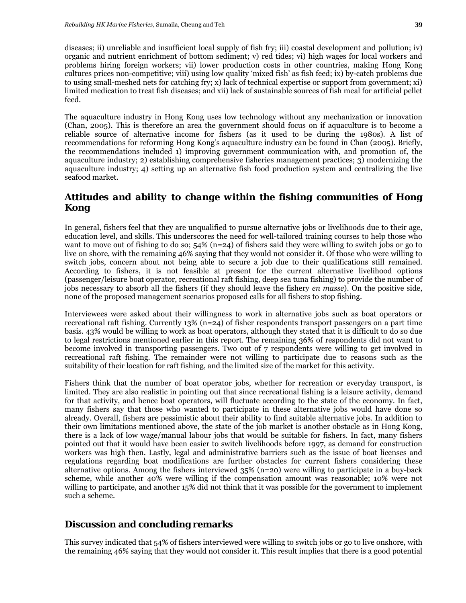diseases; ii) unreliable and insufficient local supply of fish fry; iii) coastal development and pollution; iv) organic and nutrient enrichment of bottom sediment; v) red tides; vi) high wages for local workers and problems hiring foreign workers; vii) lower production costs in other countries, making Hong Kong cultures prices non-competitive; viii) using low quality 'mixed fish' as fish feed; ix) by-catch problems due to using small-meshed nets for catching fry; x) lack of technical expertise or support from government; xi) limited medication to treat fish diseases; and xii) lack of sustainable sources of fish meal for artificial pellet feed.

The aquaculture industry in Hong Kong uses low technology without any mechanization or innovation (Chan, 2005). This is therefore an area the government should focus on if aquaculture is to become a reliable source of alternative income for fishers (as it used to be during the 1980s). A list of recommendations for reforming Hong Kong's aquaculture industry can be found in Chan (2005). Briefly, the recommendations included 1) improving government communication with, and promotion of, the aquaculture industry; 2) establishing comprehensive fisheries management practices; 3) modernizing the aquaculture industry; 4) setting up an alternative fish food production system and centralizing the live seafood market.

# *Attitudes and ability to change within the fishing communities of Hong Kong*

In general, fishers feel that they are unqualified to pursue alternative jobs or livelihoods due to their age, education level, and skills. This underscores the need for well-tailored training courses to help those who want to move out of fishing to do so; 54% (n=24) of fishers said they were willing to switch jobs or go to live on shore, with the remaining 46% saying that they would not consider it. Of those who were willing to switch jobs, concern about not being able to secure a job due to their qualifications still remained. According to fishers, it is not feasible at present for the current alternative livelihood options (passenger/leisure boat operator, recreational raft fishing, deep sea tuna fishing) to provide the number of jobs necessary to absorb all the fishers (if they should leave the fishery *en masse*). On the positive side, none of the proposed management scenarios proposed calls for all fishers to stop fishing.

Interviewees were asked about their willingness to work in alternative jobs such as boat operators or recreational raft fishing. Currently 13% (n=24) of fisher respondents transport passengers on a part time basis. 43% would be willing to work as boat operators, although they stated that it is difficult to do so due to legal restrictions mentioned earlier in this report. The remaining 36% of respondents did not want to become involved in transporting passengers. Two out of 7 respondents were willing to get involved in recreational raft fishing. The remainder were not willing to participate due to reasons such as the suitability of their location for raft fishing, and the limited size of the market for this activity.

Fishers think that the number of boat operator jobs, whether for recreation or everyday transport, is limited. They are also realistic in pointing out that since recreational fishing is a leisure activity, demand for that activity, and hence boat operators, will fluctuate according to the state of the economy. In fact, many fishers say that those who wanted to participate in these alternative jobs would have done so already. Overall, fishers are pessimistic about their ability to find suitable alternative jobs. In addition to their own limitations mentioned above, the state of the job market is another obstacle as in Hong Kong, there is a lack of low wage/manual labour jobs that would be suitable for fishers. In fact, many fishers pointed out that it would have been easier to switch livelihoods before 1997, as demand for construction workers was high then. Lastly, legal and administrative barriers such as the issue of boat licenses and regulations regarding boat modifications are further obstacles for current fishers considering these alternative options. Among the fishers interviewed 35% (n=20) were willing to participate in a buy-back scheme, while another 40% were willing if the compensation amount was reasonable; 10% were not willing to participate, and another 15% did not think that it was possible for the government to implement such a scheme.

# **Discussion and concluding remarks**

This survey indicated that 54% of fishers interviewed were willing to switch jobs or go to live onshore, with the remaining 46% saying that they would not consider it. This result implies that there is a good potential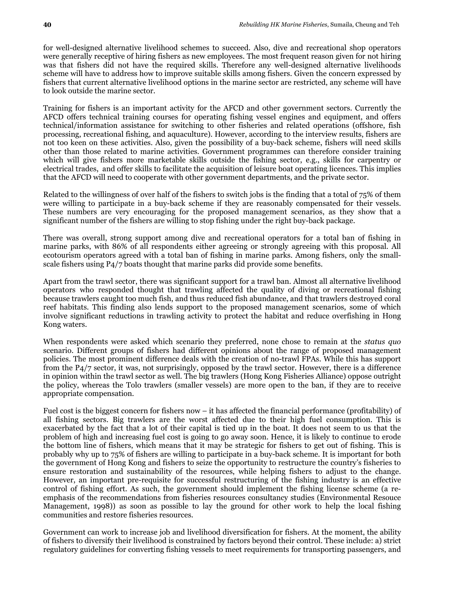for well-designed alternative livelihood schemes to succeed. Also, dive and recreational shop operators were generally receptive of hiring fishers as new employees. The most frequent reason given for not hiring was that fishers did not have the required skills. Therefore any well-designed alternative livelihoods scheme will have to address how to improve suitable skills among fishers. Given the concern expressed by fishers that current alternative livelihood options in the marine sector are restricted, any scheme will have to look outside the marine sector.

Training for fishers is an important activity for the AFCD and other government sectors. Currently the AFCD offers technical training courses for operating fishing vessel engines and equipment, and offers technical/information assistance for switching to other fisheries and related operations (offshore, fish processing, recreational fishing, and aquaculture). However, according to the interview results, fishers are not too keen on these activities. Also, given the possibility of a buy-back scheme, fishers will need skills other than those related to marine activities. Government programmes can therefore consider training which will give fishers more marketable skills outside the fishing sector, e.g., skills for carpentry or electrical trades, and offer skills to facilitate the acquisition of leisure boat operating licences. This implies that the AFCD will need to cooperate with other government departments, and the private sector.

Related to the willingness of over half of the fishers to switch jobs is the finding that a total of 75% of them were willing to participate in a buy-back scheme if they are reasonably compensated for their vessels. These numbers are very encouraging for the proposed management scenarios, as they show that a significant number of the fishers are willing to stop fishing under the right buy-back package.

There was overall, strong support among dive and recreational operators for a total ban of fishing in marine parks, with 86% of all respondents either agreeing or strongly agreeing with this proposal. All ecotourism operators agreed with a total ban of fishing in marine parks. Among fishers, only the smallscale fishers using P4/7 boats thought that marine parks did provide some benefits.

Apart from the trawl sector, there was significant support for a trawl ban. Almost all alternative livelihood operators who responded thought that trawling affected the quality of diving or recreational fishing because trawlers caught too much fish, and thus reduced fish abundance, and that trawlers destroyed coral reef habitats. This finding also lends support to the proposed management scenarios, some of which involve significant reductions in trawling activity to protect the habitat and reduce overfishing in Hong Kong waters.

When respondents were asked which scenario they preferred, none chose to remain at the *status quo* scenario. Different groups of fishers had different opinions about the range of proposed management policies. The most prominent difference deals with the creation of no-trawl FPAs. While this has support from the P4/7 sector, it was, not surprisingly, opposed by the trawl sector. However, there is a difference in opinion within the trawl sector as well. The big trawlers (Hong Kong Fisheries Alliance) oppose outright the policy, whereas the Tolo trawlers (smaller vessels) are more open to the ban, if they are to receive appropriate compensation.

Fuel cost is the biggest concern for fishers now – it has affected the financial performance (profitability) of all fishing sectors. Big trawlers are the worst affected due to their high fuel consumption. This is exacerbated by the fact that a lot of their capital is tied up in the boat. It does not seem to us that the problem of high and increasing fuel cost is going to go away soon. Hence, it is likely to continue to erode the bottom line of fishers, which means that it may be strategic for fishers to get out of fishing. This is probably why up to 75% of fishers are willing to participate in a buy-back scheme. It is important for both the government of Hong Kong and fishers to seize the opportunity to restructure the country's fisheries to ensure restoration and sustainability of the resources, while helping fishers to adjust to the change. However, an important pre-requisite for successful restructuring of the fishing industry is an effective control of fishing effort. As such, the government should implement the fishing license scheme (a reemphasis of the recommendations from fisheries resources consultancy studies (Environmental Resouce Management, 1998)) as soon as possible to lay the ground for other work to help the local fishing communities and restore fisheries resources.

Government can work to increase job and livelihood diversification for fishers. At the moment, the ability of fishers to diversify their livelihood is constrained by factors beyond their control. These include: a) strict regulatory guidelines for converting fishing vessels to meet requirements for transporting passengers, and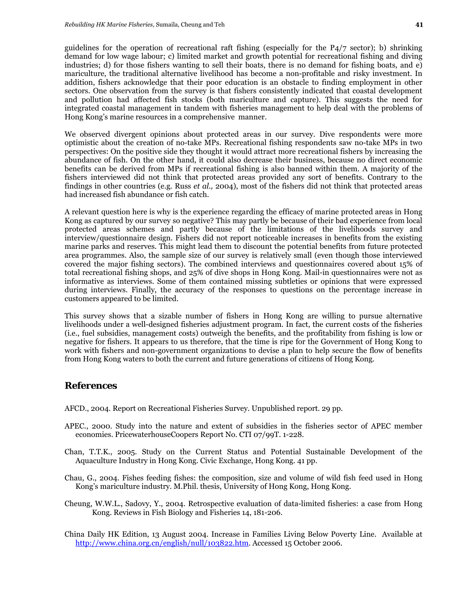guidelines for the operation of recreational raft fishing (especially for the  $P4/7$  sector); b) shrinking demand for low wage labour; c) limited market and growth potential for recreational fishing and diving industries; d) for those fishers wanting to sell their boats, there is no demand for fishing boats, and e) mariculture, the traditional alternative livelihood has become a non-profitable and risky investment. In addition, fishers acknowledge that their poor education is an obstacle to finding employment in other sectors. One observation from the survey is that fishers consistently indicated that coastal development and pollution had affected fish stocks (both mariculture and capture). This suggests the need for integrated coastal management in tandem with fisheries management to help deal with the problems of Hong Kong's marine resources in a comprehensive manner.

We observed divergent opinions about protected areas in our survey. Dive respondents were more optimistic about the creation of no-take MPs. Recreational fishing respondents saw no-take MPs in two perspectives: On the positive side they thought it would attract more recreational fishers by increasing the abundance of fish. On the other hand, it could also decrease their business, because no direct economic benefits can be derived from MPs if recreational fishing is also banned within them. A majority of the fishers interviewed did not think that protected areas provided any sort of benefits. Contrary to the findings in other countries (e.g. Russ *et al.,* 2004), most of the fishers did not think that protected areas had increased fish abundance or fish catch.

A relevant question here is why is the experience regarding the efficacy of marine protected areas in Hong Kong as captured by our survey so negative? This may partly be because of their bad experience from local protected areas schemes and partly because of the limitations of the livelihoods survey and interview/questionnaire design. Fishers did not report noticeable increases in benefits from the existing marine parks and reserves. This might lead them to discount the potential benefits from future protected area programmes. Also, the sample size of our survey is relatively small (even though those interviewed covered the major fishing sectors). The combined interviews and questionnaires covered about 15% of total recreational fishing shops, and 25% of dive shops in Hong Kong. Mail-in questionnaires were not as informative as interviews. Some of them contained missing subtleties or opinions that were expressed during interviews. Finally, the accuracy of the responses to questions on the percentage increase in customers appeared to be limited.

This survey shows that a sizable number of fishers in Hong Kong are willing to pursue alternative livelihoods under a well-designed fisheries adjustment program. In fact, the current costs of the fisheries (i.e., fuel subsidies, management costs) outweigh the benefits, and the profitability from fishing is low or negative for fishers. It appears to us therefore, that the time is ripe for the Government of Hong Kong to work with fishers and non-government organizations to devise a plan to help secure the flow of benefits from Hong Kong waters to both the current and future generations of citizens of Hong Kong.

### **References**

AFCD., 2004. Report on Recreational Fisheries Survey. Unpublished report. 29 pp.

- APEC., 2000. Study into the nature and extent of subsidies in the fisheries sector of APEC member economies. PricewaterhouseCoopers Report No. CTI 07/99T. 1-228.
- Chan, T.T.K., 2005. Study on the Current Status and Potential Sustainable Development of the Aquaculture Industry in Hong Kong. Civic Exchange, Hong Kong. 41 pp.
- Chau, G., 2004. Fishes feeding fishes: the composition, size and volume of wild fish feed used in Hong Kong's mariculture industry. M.Phil. thesis, University of Hong Kong, Hong Kong.
- Cheung, W.W.L., Sadovy, Y., 2004. Retrospective evaluation of data-limited fisheries: a case from Hong Kong. Reviews in Fish Biology and Fisheries 14, 181-206.
- China Daily HK Edition, 13 August 2004. Increase in Families Living Below Poverty Line. Available at http://www.china.org.cn/english/null/103822.htm. Accessed 15 October 2006.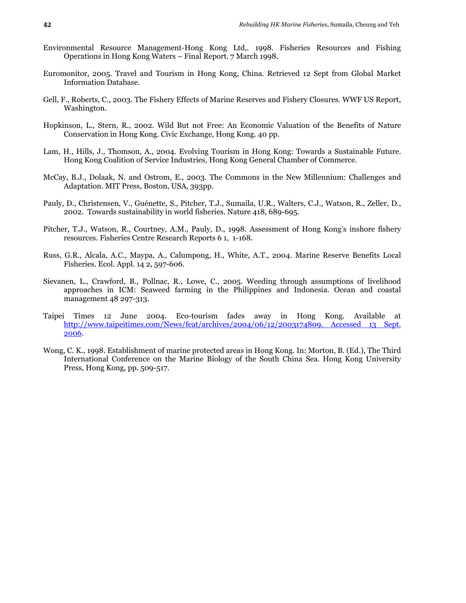- Environmental Resource Management-Hong Kong Ltd,. 1998. Fisheries Resources and Fishing Operations in Hong Kong Waters – Final Report. 7 March 1998.
- Euromonitor, 2005. Travel and Tourism in Hong Kong, China. Retrieved 12 Sept from Global Market Information Database.
- Gell, F., Roberts, C., 2003. The Fishery Effects of Marine Reserves and Fishery Closures. WWF US Report, Washington.
- Hopkinson, L., Stern, R., 2002. Wild But not Free: An Economic Valuation of the Benefits of Nature Conservation in Hong Kong. Civic Exchange, Hong Kong. 40 pp.
- Lam, H., Hills, J., Thomson, A., 2004. Evolving Tourism in Hong Kong: Towards a Sustainable Future. Hong Kong Coalition of Service Industries, Hong Kong General Chamber of Commerce.
- McCay, B.J., Dolaak, N. and Ostrom, E., 2003. The Commons in the New Millennium: Challenges and Adaptation. MIT Press, Boston, USA, 393pp.
- Pauly, D., Christensen, V., Guénette, S., Pitcher, T.J., Sumaila, U.R., Walters, C.J., Watson, R., Zeller, D., 2002. Towards sustainability in world fisheries. Nature 418, 689-695.
- Pitcher, T.J., Watson, R., Courtney, A.M., Pauly, D., 1998. Assessment of Hong Kong's inshore fishery resources. Fisheries Centre Research Reports 6 1, 1-168.
- Russ, G.R., Alcala, A.C., Maypa, A., Calumpong, H., White, A.T., 2004. Marine Reserve Benefits Local Fisheries. Ecol. Appl. 14 2, 597-606.
- Sievanen, L., Crawford, B., Pollnac, R., Lowe, C., 2005. Weeding through assumptions of livelihood approaches in ICM: Seaweed farming in the Philippines and Indonesia. Ocean and coastal management 48 297-313.
- Taipei Times 12 June 2004. Eco-tourism fades away in Hong Kong. Available at http://www.taipeitimes.com/News/feat/archives/2004/06/12/2003174809. Accessed 13 Sept. 2006.
- Wong, C. K., 1998. Establishment of marine protected areas in Hong Kong. In: Morton, B. (Ed.), The Third International Conference on the Marine Biology of the South China Sea. Hong Kong University Press, Hong Kong, pp. 509-517.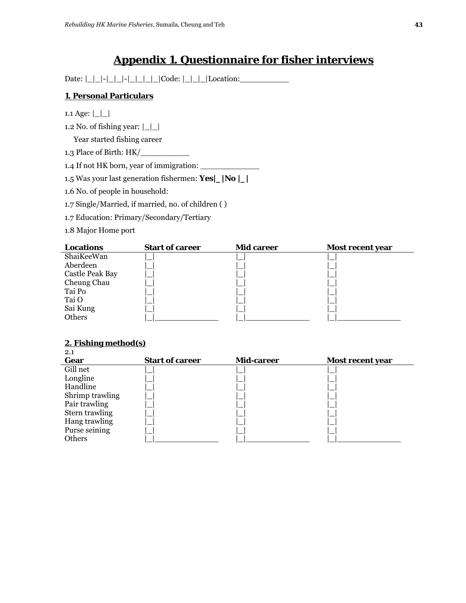# **Appendix 1. Questionnaire for fisher interviews**

 $Date: | \_| - | \_| - | \_| - | \_| - | \_| - | \_|$  Code:  $| \_| \_|$  Location:

# **1. Personal Particulars**

1.1 Age:  $|\_|$ 

1.2 No. of fishing year:  $\lfloor$   $\lfloor$   $\rfloor$ 

Year started fishing career

1.3 Place of Birth: HK/\_\_\_\_\_\_\_\_\_\_

1.4 If not HK born, year of immigration: \_\_\_\_\_\_\_\_\_\_\_\_

1.5 Was your last generation fishermen: **Yes|\_|No |\_|** 

1.6 No. of people in household:

1.7 Single/Married, if married, no. of children ( )

1.7 Education: Primary/Secondary/Tertiary

1.8 Major Home port

| Locations              | <b>Start of career</b> | <b>Mid career</b> | Most recent year |
|------------------------|------------------------|-------------------|------------------|
| ShaiKeeWan             |                        |                   |                  |
| Aberdeen               |                        |                   |                  |
| <b>Castle Peak Bay</b> |                        |                   |                  |
| Cheung Chau            |                        |                   |                  |
| Tai Po                 |                        |                   |                  |
| Tai O                  |                        |                   |                  |
| Sai Kung               |                        |                   |                  |
| Others                 |                        |                   |                  |

#### **2. Fishing method(s)**  $2.1$

| <u>_.</u>       |                        |                   |                  |
|-----------------|------------------------|-------------------|------------------|
| Gear            | <b>Start of career</b> | <b>Mid-career</b> | Most recent year |
| Gill net        |                        |                   |                  |
| Longline        |                        |                   |                  |
| Handline        |                        |                   |                  |
| Shrimp trawling |                        |                   |                  |
| Pair trawling   |                        |                   |                  |
| Stern trawling  |                        |                   |                  |
| Hang trawling   |                        |                   |                  |
| Purse seining   |                        |                   |                  |
| Others          |                        |                   |                  |
|                 |                        |                   |                  |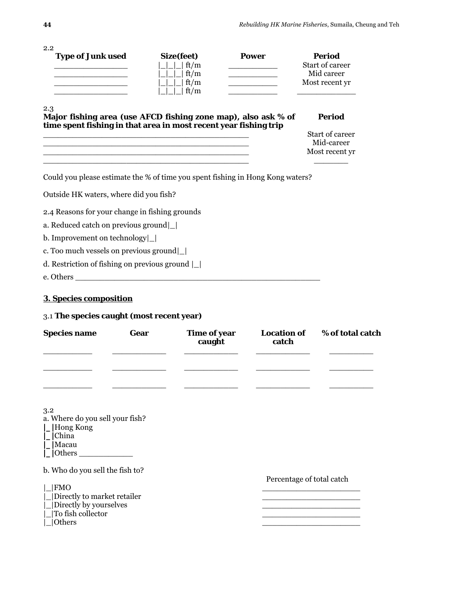| 2.2<br><b>Type of Junk used</b>                                                |      | Size(feet)             | <b>Power</b>                            |                             | <b>Period</b>                 |
|--------------------------------------------------------------------------------|------|------------------------|-----------------------------------------|-----------------------------|-------------------------------|
|                                                                                |      | ft/m                   |                                         |                             | Start of career               |
| the control of the control of the control of                                   |      | ft/m                   | <u> 1990 - Johann Barbara, martin a</u> |                             | Mid career                    |
| <u> 1989 - Johann John Stone, mars et al.</u>                                  |      | ft/m                   | <u> 1989 - Johann Barbara, martx</u>    |                             | Most recent yr                |
|                                                                                |      | ft/m                   |                                         |                             |                               |
| 2.3<br>Major fishing area (use AFCD fishing zone map), also ask % of           |      |                        |                                         |                             | <b>Period</b>                 |
| time spent fishing in that area in most recent year fishing trip               |      |                        |                                         |                             |                               |
|                                                                                |      |                        |                                         |                             | Start of career<br>Mid-career |
|                                                                                |      |                        |                                         |                             | Most recent yr                |
| Could you please estimate the % of time you spent fishing in Hong Kong waters? |      |                        |                                         |                             |                               |
| Outside HK waters, where did you fish?                                         |      |                        |                                         |                             |                               |
| 2.4 Reasons for your change in fishing grounds                                 |      |                        |                                         |                             |                               |
| a. Reduced catch on previous ground                                            |      |                        |                                         |                             |                               |
| b. Improvement on technology                                                   |      |                        |                                         |                             |                               |
| c. Too much vessels on previous ground                                         |      |                        |                                         |                             |                               |
| d. Restriction of fishing on previous ground $\lfloor \frac{n}{2} \rfloor$     |      |                        |                                         |                             |                               |
|                                                                                |      |                        |                                         |                             |                               |
| e. Others                                                                      |      |                        |                                         |                             |                               |
| 3. Species composition                                                         |      |                        |                                         |                             |                               |
| 3.1 The species caught (most recent year)                                      |      |                        |                                         |                             |                               |
| <b>Species name</b>                                                            | Gear | Time of year<br>caught |                                         | <b>Location of</b><br>catch | % of total catch              |
|                                                                                |      |                        |                                         |                             |                               |
| 3.2<br>a. Where do you sell your fish?                                         |      |                        |                                         |                             |                               |
| $\angle$  Hong Kong                                                            |      |                        |                                         |                             |                               |
| China<br>Macau                                                                 |      |                        |                                         |                             |                               |
| $\Box$ Others $\Box$                                                           |      |                        |                                         |                             |                               |
|                                                                                |      |                        |                                         |                             |                               |
| b. Who do you sell the fish to?                                                |      |                        |                                         |                             | Percentage of total catch     |
| <b>FMO</b>                                                                     |      |                        |                                         |                             |                               |
| Directly to market retailer                                                    |      |                        |                                         |                             |                               |
| Directly by yourselves                                                         |      |                        |                                         |                             |                               |
| To fish collector                                                              |      |                        |                                         |                             |                               |
| Others                                                                         |      |                        |                                         |                             |                               |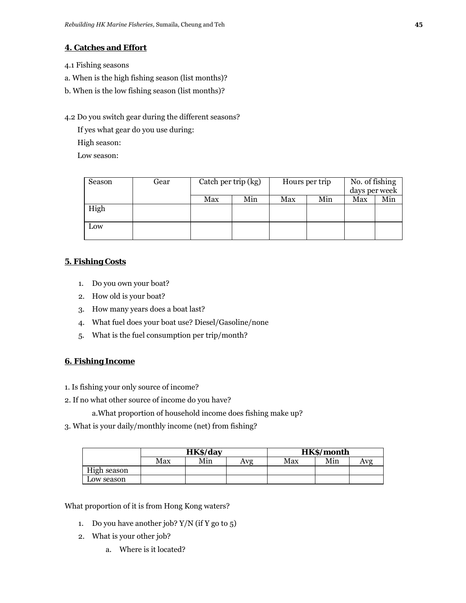# **4. Catches and Effort**

4.1 Fishing seasons

- a. When is the high fishing season (list months)?
- b. When is the low fishing season (list months)?

### 4.2 Do you switch gear during the different seasons?

If yes what gear do you use during:

High season:

Low season:

| Season | Gear | Catch per trip (kg) |     |     | Hours per trip | No. of fishing<br>days per week |     |
|--------|------|---------------------|-----|-----|----------------|---------------------------------|-----|
|        |      | Max                 | Min | Max | Min            | Max                             | Min |
| High   |      |                     |     |     |                |                                 |     |
| Low    |      |                     |     |     |                |                                 |     |

## **5. Fishing Costs**

- 1. Do you own your boat?
- 2. How old is your boat?
- 3. How many years does a boat last?
- 4. What fuel does your boat use? Diesel/Gasoline/none
- 5. What is the fuel consumption per trip/month?

## **6. Fishing Income**

- 1. Is fishing your only source of income?
- 2. If no what other source of income do you have?
	- a.What proportion of household income does fishing make up?
- 3. What is your daily/monthly income (net) from fishing?

|             | HK\$/day |     |     |     | HK\$/month |     |
|-------------|----------|-----|-----|-----|------------|-----|
|             | Max      | Min | Avg | Max | Min        | Avg |
| High season |          |     |     |     |            |     |
| Low season  |          |     |     |     |            |     |

What proportion of it is from Hong Kong waters?

- 1. Do you have another job? Y/N (if Y go to 5)
- 2. What is your other job?
	- a. Where is it located?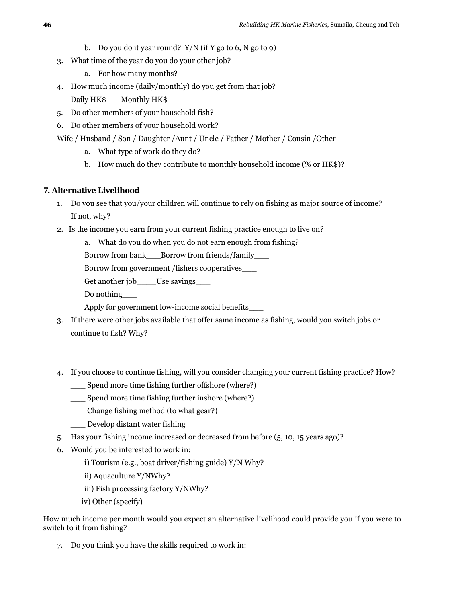- b. Do you do it year round?  $Y/N$  (if Y go to 6, N go to 9)
- 3. What time of the year do you do your other job?
	- a. For how many months?
- 4. How much income (daily/monthly) do you get from that job? Daily HK\$ \_\_\_Monthly HK\$
- 5. Do other members of your household fish?
- 6. Do other members of your household work?

Wife / Husband / Son / Daughter /Aunt / Uncle / Father / Mother / Cousin /Other

- a. What type of work do they do?
- b. How much do they contribute to monthly household income (% or HK\$)?

#### **7. Alternative Livelihood**

- 1. Do you see that you/your children will continue to rely on fishing as major source of income? If not, why?
- 2. Is the income you earn from your current fishing practice enough to live on?

a. What do you do when you do not earn enough from fishing?

Borrow from bank Borrow from friends/family

Borrow from government /fishers cooperatives\_\_\_

Get another job Use savings

Do nothing\_\_\_

Apply for government low-income social benefits\_\_\_

- 3. If there were other jobs available that offer same income as fishing, would you switch jobs or continue to fish? Why?
- 4. If you choose to continue fishing, will you consider changing your current fishing practice? How?
	- \_\_\_ Spend more time fishing further offshore (where?)
	- \_\_\_ Spend more time fishing further inshore (where?)
	- \_\_\_ Change fishing method (to what gear?)
	- \_\_\_ Develop distant water fishing
- 5. Has your fishing income increased or decreased from before (5, 10, 15 years ago)?
- 6. Would you be interested to work in:
	- i) Tourism (e.g., boat driver/fishing guide) Y/N Why?
	- ii) Aquaculture Y/NWhy?
	- iii) Fish processing factory Y/NWhy?
	- iv) Other (specify)

How much income per month would you expect an alternative livelihood could provide you if you were to switch to it from fishing?

7. Do you think you have the skills required to work in: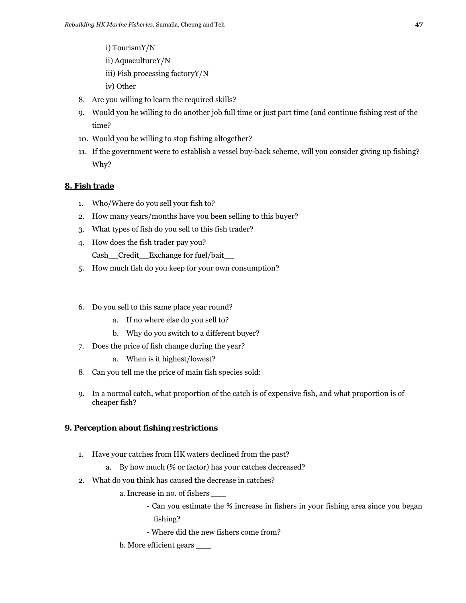- i) TourismY/N
- ii) AquacultureY/N
- iii) Fish processing factoryY/N
- iv) Other
- 8. Are you willing to learn the required skills?
- 9. Would you be willing to do another job full time or just part time (and continue fishing rest of the time?
- 10. Would you be willing to stop fishing altogether?
- 11. If the government were to establish a vessel buy-back scheme, will you consider giving up fishing? Why?

#### **8. Fish trade**

- 1. Who/Where do you sell your fish to?
- 2. How many years/months have you been selling to this buyer?
- 3. What types of fish do you sell to this fish trader?
- 4. How does the fish trader pay you? Cash\_\_Credit\_\_ Exchange for fuel/bait\_\_
- 5. How much fish do you keep for your own consumption?
- 6. Do you sell to this same place year round?
	- a. If no where else do you sell to?
	- b. Why do you switch to a different buyer?
- 7. Does the price of fish change during the year?
	- a. When is it highest/lowest?
- 8. Can you tell me the price of main fish species sold:
- 9. In a normal catch, what proportion of the catch is of expensive fish, and what proportion is of cheaper fish?

#### **9. Perception about fishing restrictions**

- 1. Have your catches from HK waters declined from the past?
	- a. By how much (% or factor) has your catches decreased?
- 2. What do you think has caused the decrease in catches?
	- a. Increase in no. of fishers \_\_\_
		- Can you estimate the % increase in fishers in your fishing area since you began fishing?
		- Where did the new fishers come from?
	- b. More efficient gears \_\_\_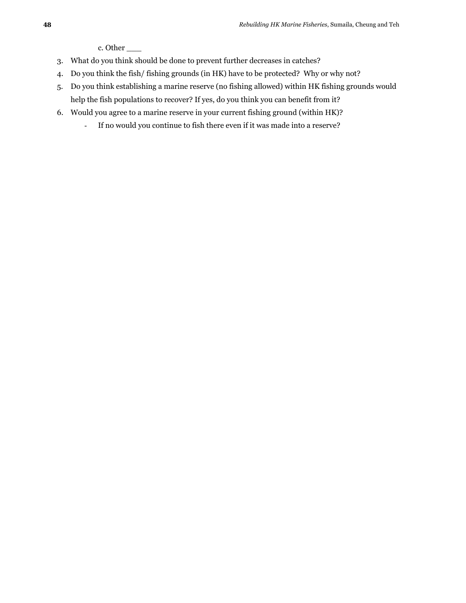c. Other \_\_\_

- 3. What do you think should be done to prevent further decreases in catches?
- 4. Do you think the fish/ fishing grounds (in HK) have to be protected? Why or why not?
- 5. Do you think establishing a marine reserve (no fishing allowed) within HK fishing grounds would help the fish populations to recover? If yes, do you think you can benefit from it?
- 6. Would you agree to a marine reserve in your current fishing ground (within HK)?
	- If no would you continue to fish there even if it was made into a reserve?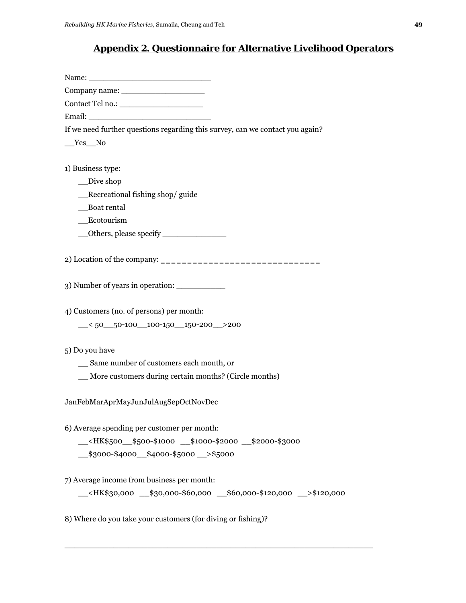# **Appendix 2. Questionnaire for Alternative Livelihood Operators**

Name: \_\_\_\_\_\_\_\_\_\_\_\_\_\_\_\_\_\_\_\_\_\_\_\_\_

Company name: \_\_\_\_\_\_\_\_\_\_\_\_\_\_\_\_\_

Contact Tel no.: \_\_\_\_\_\_\_\_\_\_\_\_\_\_\_\_\_

Email:

If we need further questions regarding this survey, can we contact you again?

\_\_Yes\_\_No

1) Business type:

\_\_Dive shop

\_\_Recreational fishing shop/ guide

\_\_Boat rental

\_\_Ecotourism

\_\_Others, please specify \_\_\_\_\_\_\_\_\_\_\_\_\_

2) Location of the company: **\_\_\_\_\_\_\_\_\_\_\_\_\_\_\_\_\_\_\_\_\_\_\_\_\_\_\_\_\_\_** 

3) Number of years in operation:

4) Customers (no. of persons) per month:

 $\leq$  50  $\leq$  50-100 100-150 150-200 > 200

5) Do you have

\_\_ Same number of customers each month, or

\_\_ More customers during certain months? (Circle months)

JanFebMarApr MayJunJulAugSepOct NovDec

6) Average spending per customer per month:

\_\_<HK\$500\_\_\$500-\$1000 \_\_\$1000-\$2000 \_\_\$2000-\$3000

\_\_\$3000-\$4000\_\_\$4000-\$5000 \_\_>\$5000

7) Average income from business per month:

\_\_<HK\$30,000 \_\_\$30,000-\$60,000 \_\_\$60,000-\$120,000 \_\_>\$120,000

\_\_\_\_\_\_\_\_\_\_\_\_\_\_\_\_\_\_\_\_\_\_\_\_\_\_\_\_\_\_\_\_\_\_\_\_\_\_\_\_\_\_\_\_\_\_\_\_\_\_\_\_\_\_\_\_\_\_\_\_\_\_\_

8) Where do you take your customers (for diving or fishing)?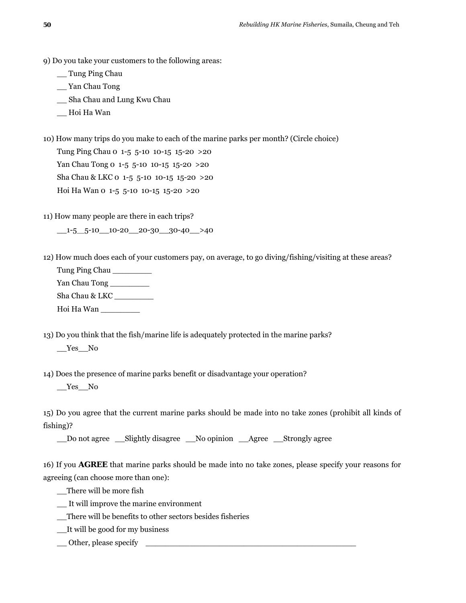- 9) Do you take your customers to the following areas:
	- \_\_ Tung Ping Chau
	- \_\_ Yan Chau Tong
	- \_\_ Sha Chau and Lung Kwu Chau
	- \_\_ Hoi Ha Wan
- 10) How many trips do you make to each of the marine parks per month? (Circle choice)

Tung Ping Chau 0 1-5 5-10 10-15 15-20 >20 Yan Chau Tong 0 1-5 5-10 10-15 15-20 > 20 Sha Chau & LKC 0 1-5 5-10 10-15 15-20 >20 Hoi Ha Wan 0 1-5 5-10 10-15 15-20 >20

11) How many people are there in each trips?

 $-1-5-5-10$  10-20 20-30 30-40 >40

- 12) How much does each of your customers pay, on average, to go diving/fishing/visiting at these areas?
	- Tung Ping Chau \_\_\_\_\_\_\_\_

Yan Chau Tong \_\_\_\_\_\_\_\_

Sha Chau & LKC \_\_\_\_\_\_\_\_

Hoi Ha Wan \_\_\_\_\_\_\_\_

13) Do you think that the fish/marine life is adequately protected in the marine parks? \_\_Yes\_\_No

14) Does the presence of marine parks benefit or disadvantage your operation?

\_\_Yes\_\_No

15) Do you agree that the current marine parks should be made into no take zones (prohibit all kinds of fishing)?

\_\_Do not agree \_\_Slightly disagree \_\_No opinion \_\_Agree \_\_Strongly agree

16) If you **AGREE** that marine parks should be made into no take zones, please specify your reasons for agreeing (can choose more than one):

\_\_There will be more fish

- \_\_ It will improve the marine environment
- \_\_There will be benefits to other sectors besides fisheries
- \_\_It will be good for my business
- \_\_ Other, please specify \_\_\_\_\_\_\_\_\_\_\_\_\_\_\_\_\_\_\_\_\_\_\_\_\_\_\_\_\_\_\_\_\_\_\_\_\_\_\_\_\_\_\_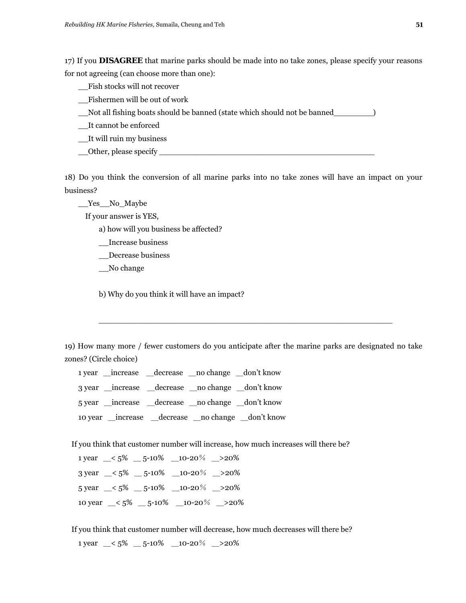17) If you **DISAGREE** that marine parks should be made into no take zones, please specify your reasons for not agreeing (can choose more than one):

\_\_Fish stocks will not recover

\_\_Fishermen will be out of work

\_\_Not all fishing boats should be banned (state which should not be banned\_\_\_\_\_\_\_\_)

\_\_It cannot be enforced

\_\_It will ruin my business

Other, please specify

18) Do you think the conversion of all marine parks into no take zones will have an impact on your business?

\_\_Yes\_\_No \_Maybe

If your answer is YES,

a) how will you business be affected?

\_\_Increase business

\_\_Decrease business

\_\_No change

b) Why do you think it will have an impact?

19) How many more / fewer customers do you anticipate after the marine parks are designated no take zones? (Circle choice)

 $\_$  , and the state of the state of the state of the state of the state of the state of the state of the state of the state of the state of the state of the state of the state of the state of the state of the state of the

1 year \_increase \_decrease \_no change \_don't know 3 year \_increase \_decrease \_no change \_don't know 5 year \_increase \_decrease \_no change \_don't know 10 year \_increase \_decrease \_no change \_don't know

If you think that customer number will increase, how much increases will there be?

1 year  $\leq 5\%$   $\leq$  5-10%  $\leq$  10-20%  $\leq$  20% 3 year \_< 5% \_ 5-10% \_10-20% \_>20%  $5 \text{ year }$   $\leq 5\%$   $\qquad -5^{-10}\%$   $\qquad 10^{-20}\%$   $\qquad >20\%$ 10 year  $\leq 5\%$   $\leq$  5-10%  $\leq$  10-20%  $\leq$  20%

If you think that customer number will decrease, how much decreases will there be?

1 year  $\leq 5\%$   $\leq$  5-10%  $\leq$  10-20%  $\leq$  20%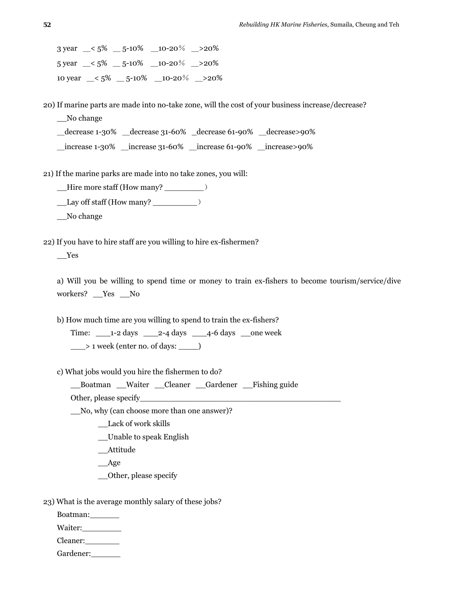$3 \text{ year }$   $\leq 5\%$   $\leq$  5-10%  $\leq$  10-20%  $\geq$  20%  $5 \text{ year }$   $\leq 5\%$   $\qquad -5^{-10}\%$   $\qquad 10^{-20}\%$   $\qquad >20\%$ 10 year \_< 5% \_ 5-10% \_10-20% \_>20%

20) If marine parts are made into no-take zone, will the cost of your business increase/decrease?

\_\_No change

\_decrease 1-30% \_decrease 31-60% \_decrease 61-90% \_decrease>90%

\_increase 1-30% \_increase 31-60% \_increase 61-90% \_increase>90%

21) If the marine parks are made into no take zones, you will:

\_\_Hire more staff (How many? \_\_\_\_\_\_\_\_)

\_\_Lay off staff (How many? \_\_\_\_\_\_\_\_\_)

No change

22) If you have to hire staff are you willing to hire ex-fishermen?

\_\_Yes

a) Will you be willing to spend time or money to train ex-fishers to become tourism/service/dive workers? \_\_Yes \_\_No

b) How much time are you willing to spend to train the ex-fishers?

Time:  $\angle$  1-2 days  $\angle$  2-4 days  $\angle$  4-6 days  $\angle$  one week \_\_\_> 1 week (enter no. of days: \_\_\_\_)

c) What jobs would you hire the fishermen to do?

\_\_Boatman \_\_Waiter \_\_Cleaner \_\_Gardener \_\_Fishing guide

Other, please specify

\_\_No, why (can choose more than one answer)?

\_\_Lack of work skills

\_\_Unable to speak English

\_\_Attitude

\_\_Age

\_\_Other, please specify

23) What is the average monthly salary of these jobs?

Boatman: Waiter:\_\_\_\_\_\_\_\_ Cleaner:\_\_\_\_\_\_\_ Gardener: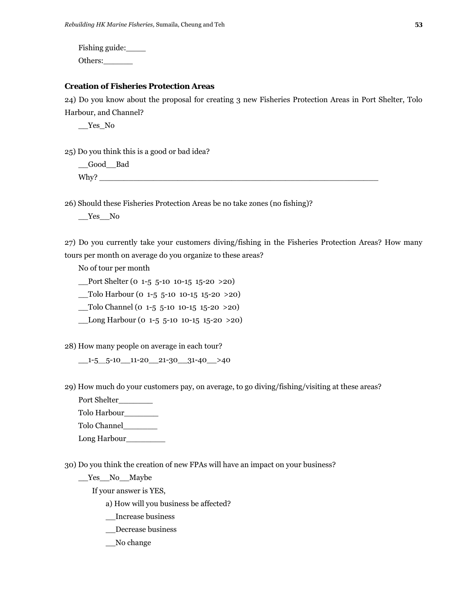Fishing guide:\_\_\_\_

Others:

#### **Creation of Fisheries Protection Areas**

24) Do you know about the proposal for creating 3 new Fisheries Protection Areas in Port Shelter, Tolo Harbour, and Channel?

\_\_Yes \_No

25) Do you think this is a good or bad idea?

\_\_Good\_\_Bad Why?  $\blacksquare$ 

26) Should these Fisheries Protection Areas be no take zones (no fishing)?

\_\_Yes \_\_No

27) Do you currently take your customers diving/fishing in the Fisheries Protection Areas? How many tours per month on average do you organize to these areas?

No of tour per month

Port Shelter (0 1-5 5-10 10-15 15-20 >20)

\_\_Tolo Harbour (0 1-5 5-10 10-15 15-20 >20)

\_\_Tolo Channel (0 1-5 5-10 10-15 15-20 >20)

 $\frac{\text{Long Harbor}}{0 \times 5}$  = 10 10-15 15-20 > 20)

28) How many people on average in each tour?

 $\_1$ -5 $\_5$ -10 $\_11$ -20 $\_21$ -30 $\_31$ -40 $\_$ >40

29) How much do your customers pay, on average, to go diving/fishing/visiting at these areas?

Port Shelter\_\_\_\_\_\_\_

Tolo Harbour\_\_\_\_\_\_\_

Tolo Channel\_\_\_\_\_\_\_

Long Harbour\_\_\_\_\_\_\_\_

30) Do you think the creation of new FPAs will have an impact on your business?

\_\_Yes\_\_No \_\_Maybe

If your answer is YES,

a) How will you business be affected?

\_\_Increase business

\_\_Decrease business

\_\_No change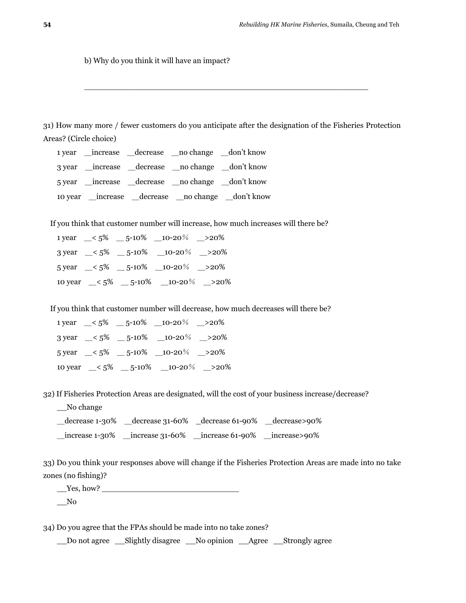b) Why do you think it will have an impact?

31) How many more / fewer customers do you anticipate after the designation of the Fisheries Protection Areas? (Circle choice)

 $\_$  . The contribution of the contribution of  $\mathcal{L}_\mathcal{A}$ 

1 year \_\_increase \_\_decrease \_\_no change \_\_don't know 3 year \_\_increase \_\_decrease \_\_no change \_\_don't know 5 year \_increase \_decrease \_no change \_don't know 10 year \_increase \_decrease \_no change \_don't know

If you think that customer number will increase, how much increases will there be?

1 year  $\leq 5\%$   $\leq$  5-10%  $\leq$  10-20%  $\geq$  20% 3 year  $\leq 5\%$   $\leq$  5-10%  $\leq$  10-20%  $\geq$  20%  $5 \text{ year }$   $-5\%$   $-5\frac{10\%}{20\%}$   $-20\%$ 10 year  $\leq 5\%$   $\leq 5^{-10}\%$   $\leq 10^{-20}\%$   $\leq 20\%$ 

If you think that customer number will decrease, how much decreases will there be?

|  | 1 year $\leq 5\%$ $\leq$ 5-10% $\leq$ 10-20% $\geq$ 20%                |  |
|--|------------------------------------------------------------------------|--|
|  | 3 year $\leq 5\%$ $\leq 5 \cdot 10\%$ $\leq 10 \cdot 20\%$ $\leq 20\%$ |  |
|  | 5 year $\leq 5\%$ $\leq$ 5-10% $\leq$ 10-20% $\geq$ 20%                |  |
|  | 10 year $\leq 5\%$ $\leq$ 5-10% $\leq$ 10-20% $\geq$ 20%               |  |

32) If Fisheries Protection Areas are designated, will the cost of your business increase/decrease?

No change

\_decrease 1-30% \_decrease 31-60% \_decrease 61-90% \_decrease>90%

\_increase 1-30% \_increase 31-60% \_increase 61-90% \_increase>90%

33) Do you think your responses above will change if the Fisheries Protection Areas are made into no take zones (no fishing)?

\_\_Yes, how? \_\_\_\_\_\_\_\_\_\_\_\_\_\_\_\_\_\_\_\_\_\_\_\_\_\_\_\_

 $\sqrt{N}$ 

34) Do you agree that the FPAs should be made into no take zones?

\_\_Do not agree \_\_Slightly disagree \_\_No opinion \_\_Agree \_\_Strongly agree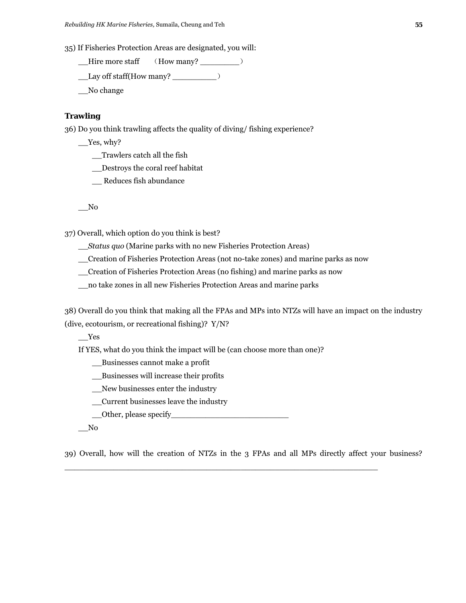35) If Fisheries Protection Areas are designated, you will:

\_\_Hire more staff (How many? \_\_\_\_\_\_\_\_)

 $\_\_$ Lay off staff (How many?  $\_\_$ 

\_\_No change

#### **Trawling**

36) Do you think trawling affects the quality of diving/ fishing experience?

 $\_\$ Yes, why?

\_\_Trawlers catch all the fish

\_\_Destroys the coral reef habitat

\_\_ Reduces fish abundance

\_\_No

37) Overall, which option do you think is best?

\_\_*Status quo* (Marine parks with no new Fisheries Protection Areas)

\_\_Creation of Fisheries Protection Areas (not no-take zones) and marine parks as now

\_\_Creation of Fisheries Protection Areas (no fishing) and marine parks as now

\_\_no take zones in all new Fisheries Protection Areas and marine parks

38) Overall do you think that making all the FPAs and MPs into NTZs will have an impact on the industry (dive, ecotourism, or recreational fishing)? Y/N?

\_\_Yes

If YES, what do you think the impact will be (can choose more than one)?

\_\_Businesses cannot make a profit

- \_\_Businesses will increase their profits
- \_\_New businesses enter the industry
- \_\_Current businesses leave the industry
- \_\_Other, please specify\_\_\_\_\_\_\_\_\_\_\_\_\_\_\_\_\_\_\_\_\_\_\_\_

 $\sqrt{N}$ 

39) Overall, how will the creation of NTZs in the 3 FPAs and all MPs directly affect your business?

\_\_\_\_\_\_\_\_\_\_\_\_\_\_\_\_\_\_\_\_\_\_\_\_\_\_\_\_\_\_\_\_\_\_\_\_\_\_\_\_\_\_\_\_\_\_\_\_\_\_\_\_\_\_\_\_\_\_\_\_\_\_\_\_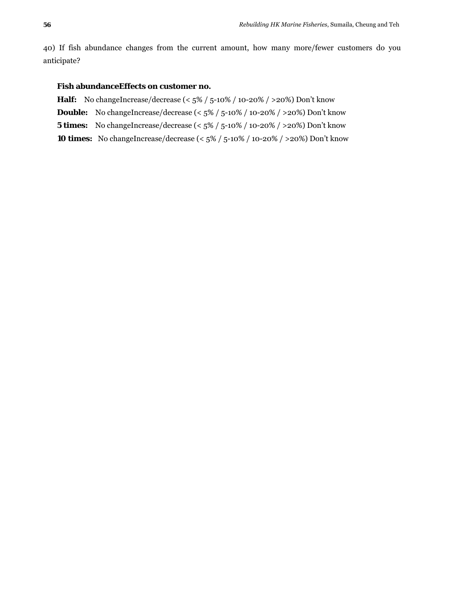40) If fish abundance changes from the current amount, how many more/fewer customers do you anticipate?

#### **Fish abundanceEffects on customer no.**

- **Half:** No changeIncrease/decrease (< 5% / 5-10% / 10-20% / >20%) Don't know
- **Double:** No changeIncrease/decrease (<  $5\%$  /  $5$ -10% / 10-20% / >20%) Don't know
- **5 times:** No changeIncrease/decrease (< 5% / 5-10% / 10-20% / >20%) Don't know
- **10 times:** No changeIncrease/decrease (<  $5\%$  /  $5$ -10% / 10-20% / >20%) Don't know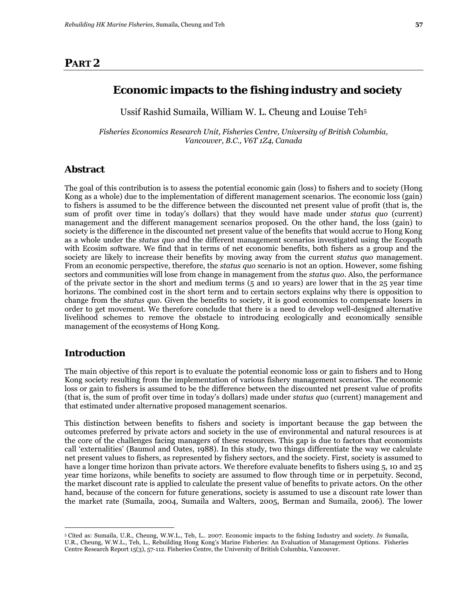# **PART 2**

Ussif Rashid Sumaila, William W. L. Cheung and Louise Teh5

*Fisheries Economics Research Unit, Fisheries Centre, University of British Columbia, Vancouver, B.C., V6T 1Z4, Canada* 

## **Abstract**

The goal of this contribution is to assess the potential economic gain (loss) to fishers and to society (Hong Kong as a whole) due to the implementation of different management scenarios. The economic loss (gain) to fishers is assumed to be the difference between the discounted net present value of profit (that is, the sum of profit over time in today's dollars) that they would have made under *status quo* (current) management and the different management scenarios proposed. On the other hand, the loss (gain) to society is the difference in the discounted net present value of the benefits that would accrue to Hong Kong as a whole under the *status quo* and the different management scenarios investigated using the Ecopath with Ecosim software. We find that in terms of net economic benefits, both fishers as a group and the society are likely to increase their benefits by moving away from the current *status quo* management. From an economic perspective, therefore, the *status quo* scenario is not an option. However, some fishing sectors and communities will lose from change in management from the *status quo*. Also, the performance of the private sector in the short and medium terms (5 and 10 years) are lower that in the 25 year time horizons. The combined cost in the short term and to certain sectors explains why there is opposition to change from the *status quo*. Given the benefits to society, it is good economics to compensate losers in order to get movement. We therefore conclude that there is a need to develop well-designed alternative livelihood schemes to remove the obstacle to introducing ecologically and economically sensible management of the ecosystems of Hong Kong.

# **Introduction**

<u>.</u>

The main objective of this report is to evaluate the potential economic loss or gain to fishers and to Hong Kong society resulting from the implementation of various fishery management scenarios. The economic loss or gain to fishers is assumed to be the difference between the discounted net present value of profits (that is, the sum of profit over time in today's dollars) made under *status quo* (current) management and that estimated under alternative proposed management scenarios.

This distinction between benefits to fishers and society is important because the gap between the outcomes preferred by private actors and society in the use of environmental and natural resources is at the core of the challenges facing managers of these resources. This gap is due to factors that economists call 'externalities' (Baumol and Oates, 1988). In this study, two things differentiate the way we calculate net present values to fishers, as represented by fishery sectors, and the society. First, society is assumed to have a longer time horizon than private actors. We therefore evaluate benefits to fishers using 5, 10 and 25 year time horizons, while benefits to society are assumed to flow through time or in perpetuity. Second, the market discount rate is applied to calculate the present value of benefits to private actors. On the other hand, because of the concern for future generations, society is assumed to use a discount rate lower than the market rate (Sumaila, 2004, Sumaila and Walters, 2005, Berman and Sumaila, 2006). The lower

<sup>5</sup> Cited as: Sumaila, U.R., Cheung, W.W.L., Teh, L.. 2007. Economic impacts to the fishing Industry and society. *In* Sumaila, U.R., Cheung, W.W.L., Teh, L., Rebuilding Hong Kong's Marine Fisheries: An Evaluation of Management Options. Fisheries Centre Research Report 15(3), 57-112. Fisheries Centre, the University of British Columbia, Vancouver.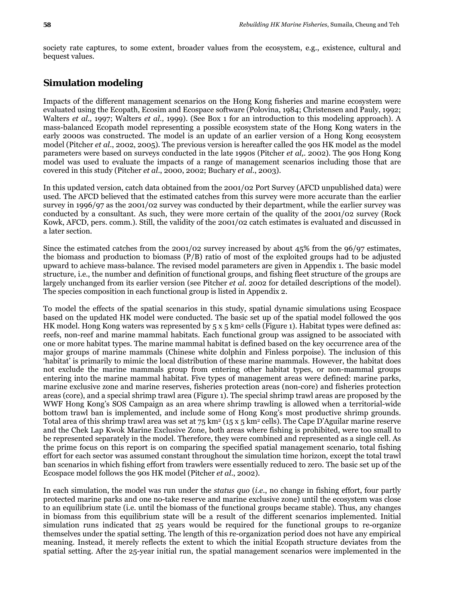society rate captures, to some extent, broader values from the ecosystem, e.g., existence, cultural and bequest values.

# **Simulation modeling**

Impacts of the different management scenarios on the Hong Kong fisheries and marine ecosystem were evaluated using the Ecopath, Ecosim and Ecospace software (Polovina, 1984; Christensen and Pauly, 1992; Walters *et al.,* 1997; Walters *et al.,* 1999). (See Box 1 for an introduction to this modeling approach). A mass-balanced Ecopath model representing a possible ecosystem state of the Hong Kong waters in the early 2000s was constructed. The model is an update of an earlier version of a Hong Kong ecosystem model (Pitcher *et al*., 2002, 2005). The previous version is hereafter called the 90s HK model as the model parameters were based on surveys conducted in the late 1990s (Pitcher *et al,.* 2002). The 90s Hong Kong model was used to evaluate the impacts of a range of management scenarios including those that are covered in this study (Pitcher *et al*., 2000, 2002; Buchary *et al*., 2003).

In this updated version, catch data obtained from the 2001/02 Port Survey (AFCD unpublished data) were used. The AFCD believed that the estimated catches from this survey were more accurate than the earlier survey in 1996/97 as the 2001/02 survey was conducted by their department, while the earlier survey was conducted by a consultant. As such, they were more certain of the quality of the 2001/02 survey (Rock Kowk, AFCD, pers. comm.). Still, the validity of the 2001/02 catch estimates is evaluated and discussed in a later section.

Since the estimated catches from the 2001/02 survey increased by about 45% from the 96/97 estimates, the biomass and production to biomass (P/B) ratio of most of the exploited groups had to be adjusted upward to achieve mass-balance. The revised model parameters are given in Appendix 1. The basic model structure, i.e., the number and definition of functional groups, and fishing fleet structure of the groups are largely unchanged from its earlier version (see Pitcher *et al.* 2002 for detailed descriptions of the model). The species composition in each functional group is listed in Appendix 2.

To model the effects of the spatial scenarios in this study, spatial dynamic simulations using Ecospace based on the updated HK model were conducted. The basic set up of the spatial model followed the 90s HK model. Hong Kong waters was represented by 5 x 5 km<sup>2</sup> cells (Figure 1). Habitat types were defined as: reefs, non-reef and marine mammal habitats. Each functional group was assigned to be associated with one or more habitat types. The marine mammal habitat is defined based on the key occurrence area of the major groups of marine mammals (Chinese white dolphin and Finless porpoise). The inclusion of this 'habitat' is primarily to mimic the local distribution of these marine mammals. However, the habitat does not exclude the marine mammals group from entering other habitat types, or non-mammal groups entering into the marine mammal habitat. Five types of management areas were defined: marine parks, marine exclusive zone and marine reserves, fisheries protection areas (non-core) and fisheries protection areas (core), and a special shrimp trawl area (Figure 1). The special shrimp trawl areas are proposed by the WWF Hong Kong's SOS Campaign as an area where shrimp trawling is allowed when a territorial-wide bottom trawl ban is implemented, and include some of Hong Kong's most productive shrimp grounds. Total area of this shrimp trawl area was set at  $75 \text{ km}^2$  (15 x 5 km<sup>2</sup> cells). The Cape D'Aguilar marine reserve and the Chek Lap Kwok Marine Exclusive Zone, both areas where fishing is prohibited, were too small to be represented separately in the model. Therefore, they were combined and represented as a single cell. As the prime focus on this report is on comparing the specified spatial management scenario, total fishing effort for each sector was assumed constant throughout the simulation time horizon, except the total trawl ban scenarios in which fishing effort from trawlers were essentially reduced to zero. The basic set up of the Ecospace model follows the 90s HK model (Pitcher *et al*., 2002).

In each simulation, the model was run under the *status quo* (*i.e.*, no change in fishing effort, four partly protected marine parks and one no-take reserve and marine exclusive zone) until the ecosystem was close to an equilibrium state (i.e. until the biomass of the functional groups became stable). Thus, any changes in biomass from this equilibrium state will be a result of the different scenarios implemented. Initial simulation runs indicated that 25 years would be required for the functional groups to re-organize themselves under the spatial setting. The length of this re-organization period does not have any empirical meaning. Instead, it merely reflects the extent to which the initial Ecopath structure deviates from the spatial setting. After the 25-year initial run, the spatial management scenarios were implemented in the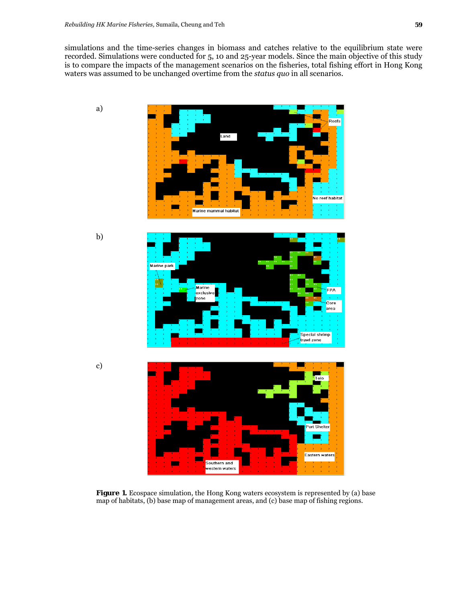simulations and the time-series changes in biomass and catches relative to the equilibrium state were recorded. Simulations were conducted for 5, 10 and 25-year models. Since the main objective of this study is to compare the impacts of the management scenarios on the fisheries, total fishing effort in Hong Kong waters was assumed to be unchanged overtime from the *status quo* in all scenarios.



Figure 1. Ecospace simulation, the Hong Kong waters ecosystem is represented by (a) base map of habitats, (b) base map of management areas, and (c) base map of fishing regions.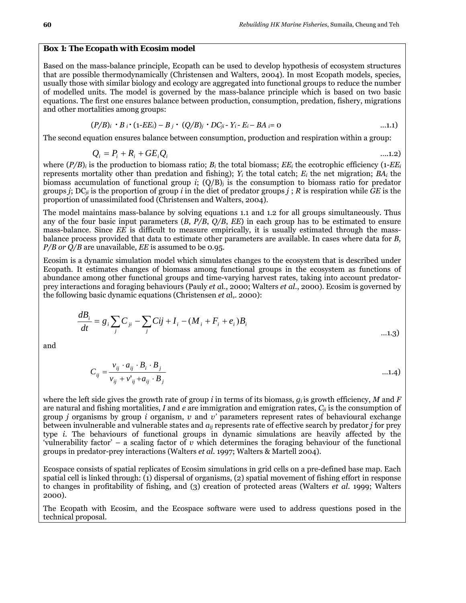#### **Box 1:** *The Ecopath with Ecosim model*

Based on the mass-balance principle, Ecopath can be used to develop hypothesis of ecosystem structures that are possible thermodynamically (Christensen and Walters, 2004). In most Ecopath models, species, usually those with similar biology and ecology are aggregated into functional groups to reduce the number of modelled units. The model is governed by the mass-balance principle which is based on two basic equations. The first one ensures balance between production, consumption, predation, fishery, migrations and other mortalities among groups:

$$
(P/B)_i \cdot B_i \cdot (1-EE_i) - B_j \cdot (Q/B)_j \cdot DC_{ji} - Y_i - E_i - BA_i = 0 \qquad \qquad \ldots \qquad \ldots \qquad \ldots \qquad \ldots \qquad \ldots \qquad \ldots \qquad \ldots \qquad \ldots \qquad \ldots \qquad \ldots \qquad \ldots \qquad \ldots \qquad \ldots \qquad \ldots \qquad \ldots \qquad \ldots \qquad \ldots \qquad \ldots \qquad \ldots \qquad \ldots \qquad \ldots \qquad \ldots \qquad \ldots \qquad \ldots \qquad \ldots \qquad \ldots \qquad \ldots \qquad \ldots \qquad \ldots \qquad \ldots \qquad \ldots \qquad \ldots \qquad \ldots \qquad \ldots \qquad \ldots \qquad \ldots \qquad \ldots \qquad \ldots \qquad \ldots \qquad \ldots \qquad \ldots \qquad \ldots \qquad \ldots \qquad \ldots \qquad \ldots \qquad \ldots \qquad \ldots \qquad \ldots \qquad \ldots \qquad \ldots \qquad \ldots \qquad \ldots \qquad \ldots \qquad \ldots \qquad \ldots \qquad \ldots \qquad \ldots \qquad \ldots \qquad \ldots \qquad \ldots \qquad \ldots \qquad \ldots \qquad \ldots \qquad \ldots \qquad \ldots \qquad \ldots \qquad \ldots \qquad \ldots \qquad \ldots \qquad \ldots \qquad \ldots \qquad \ldots \qquad \ldots \qquad \ldots \qquad \ldots \qquad \ldots \qquad \ldots \qquad \ldots \qquad \ldots \qquad \ldots \qquad \ldots \qquad \ldots \qquad \ldots \qquad \ldots \qquad \ldots \qquad \ldots \qquad \ldots \qquad \ldots \qquad \ldots \qquad \ldots \qquad \ldots \qquad \ldots \qquad \ldots \qquad \ldots \qquad \ldots \qquad \ldots \qquad \ldots \qquad \ldots \qquad \ldots \qquad \ldots \qquad \ldots \qquad \ldots \qquad \ldots \qquad \ldots \qquad \ldots \qquad \ldots \qquad \ldots \qquad \ldots \qquad \ldots \qquad \ldots \qquad \ldots \qquad \ldots \qquad \ldots \qquad \ldots \qquad \ldots \qquad \ldots \qquad \ldots \qquad \ldots \qquad \
$$

The second equation ensures balance between consumption, production and respiration within a group:

$$
Q_i = P_i + R_i + GE_i Q_i \tag{1.2}
$$

where  $(P/B)_i$  is the production to biomass ratio;  $B_i$  the total biomass;  $EE_i$  the ecotrophic efficiency (1- $EE_i$ represents mortality other than predation and fishing); *Yi* the total catch; *Ei* the net migration; *BAi* the biomass accumulation of functional group *i*;  $(Q/B)$  is the consumption to biomass ratio for predator groups *j*; DC*ji* is the proportion of group *i* in the diet of predator groups *j* ; *R* is respiration while *GE* is the proportion of unassimilated food (Christensen and Walters, 2004).

The model maintains mass-balance by solving equations 1.1 and 1.2 for all groups simultaneously. Thus any of the four basic input parameters (*B*, *P/B*, *Q/B*, *EE*) in each group has to be estimated to ensure mass-balance. Since *EE* is difficult to measure empirically, it is usually estimated through the massbalance process provided that data to estimate other parameters are available. In cases where data for *B, P/B or Q/B* are unavailable, *EE* is assumed to be 0.95.

Ecosim is a dynamic simulation model which simulates changes to the ecosystem that is described under Ecopath. It estimates changes of biomass among functional groups in the ecosystem as functions of abundance among other functional groups and time-varying harvest rates, taking into account predatorprey interactions and foraging behaviours (Pauly *et a*l., 2000; Walters *et al*., 2000). Ecosim is governed by the following basic dynamic equations (Christensen *et a*l,. 2000):

$$
\frac{dB_i}{dt} = g_i \sum_j C_{ji} - \sum_j Cij + I_i - (M_i + F_i + e_i)B_i
$$
...(1.3)

and

$$
C_{ij} = \frac{v_{ij} \cdot a_{ij} \cdot B_i \cdot B_j}{v_{ij} + v'_{ij} + a_{ij} \cdot B_j}
$$
...(1.4)

where the left side gives the growth rate of group *i* in terms of its biomass,  $q_i$  is growth efficiency, M and F are natural and fishing mortalities, *I* and *e* are immigration and emigration rates, *Cji* is the consumption of group *j* organisms by group *i* organism, *v* and *v'* parameters represent rates of behavioural exchange between invulnerable and vulnerable states and *aij* represents rate of effective search by predator *j* for prey type *i*. The behaviours of functional groups in dynamic simulations are heavily affected by the 'vulnerability factor' – a scaling factor of *v* which determines the foraging behaviour of the functional groups in predator-prey interactions (Walters *et al.* 1997; Walters & Martell 2004).

Ecospace consists of spatial replicates of Ecosim simulations in grid cells on a pre-defined base map. Each spatial cell is linked through: (1) dispersal of organisms, (2) spatial movement of fishing effort in response to changes in profitability of fishing, and (3) creation of protected areas (Walters *et al*. 1999; Walters 2000).

The Ecopath with Ecosim, and the Ecospace software were used to address questions posed in the technical proposal.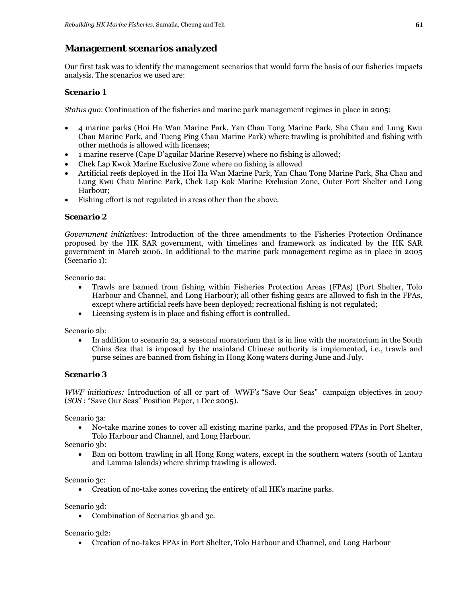# **Management scenarios analyzed**

Our first task was to identify the management scenarios that would form the basis of our fisheries impacts analysis. The scenarios we used are:

# *Scenario 1*

*Status quo*: Continuation of the fisheries and marine park management regimes in place in 2005:

- 4 marine parks (Hoi Ha Wan Marine Park, Yan Chau Tong Marine Park, Sha Chau and Lung Kwu Chau Marine Park, and Tueng Ping Chau Marine Park) where trawling is prohibited and fishing with other methods is allowed with licenses;
- 1 marine reserve (Cape D'aguilar Marine Reserve) where no fishing is allowed;
- Chek Lap Kwok Marine Exclusive Zone where no fishing is allowed
- Artificial reefs deployed in the Hoi Ha Wan Marine Park, Yan Chau Tong Marine Park, Sha Chau and Lung Kwu Chau Marine Park, Chek Lap Kok Marine Exclusion Zone, Outer Port Shelter and Long Harbour;
- Fishing effort is not regulated in areas other than the above.

## *Scenario 2*

*Government initiatives*: Introduction of the three amendments to the Fisheries Protection Ordinance proposed by the HK SAR government, with timelines and framework as indicated by the HK SAR government in March 2006. In additional to the marine park management regime as in place in 2005 (Scenario 1):

Scenario 2a:

- Trawls are banned from fishing within Fisheries Protection Areas (FPAs) (Port Shelter, Tolo Harbour and Channel, and Long Harbour); all other fishing gears are allowed to fish in the FPAs, except where artificial reefs have been deployed; recreational fishing is not regulated;
- Licensing system is in place and fishing effort is controlled.

Scenario 2b:

• In addition to scenario 2a, a seasonal moratorium that is in line with the moratorium in the South China Sea that is imposed by the mainland Chinese authority is implemented, i.e., trawls and purse seines are banned from fishing in Hong Kong waters during June and July.

## *Scenario 3*

*WWF initiatives:* Introduction of all or part of WWF's "Save Our Seas" campaign objectives in 2007 (*SOS* : "Save Our Seas" Position Paper, 1 Dec 2005).

Scenario 3a:

• No-take marine zones to cover all existing marine parks, and the proposed FPAs in Port Shelter, Tolo Harbour and Channel, and Long Harbour.

Scenario 3b:

• Ban on bottom trawling in all Hong Kong waters, except in the southern waters (south of Lantau and Lamma Islands) where shrimp trawling is allowed.

Scenario 3c:

• Creation of no-take zones covering the entirety of all HK's marine parks.

Scenario 3d:

• Combination of Scenarios 3b and 3c.

Scenario 3d2:

• Creation of no-takes FPAs in Port Shelter, Tolo Harbour and Channel, and Long Harbour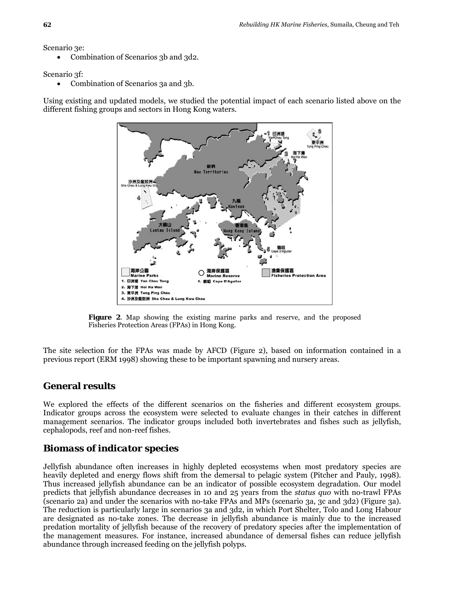Scenario 3e:

• Combination of Scenarios 3b and 3d2.

Scenario 3f:

• Combination of Scenarios 3a and 3b.

Using existing and updated models, we studied the potential impact of each scenario listed above on the different fishing groups and sectors in Hong Kong waters.



**Figure 2**. Map showing the existing marine parks and reserve, and the proposed Fisheries Protection Areas (FPAs) in Hong Kong.

The site selection for the FPAs was made by AFCD (Figure 2), based on information contained in a previous report (ERM 1998) showing these to be important spawning and nursery areas.

# **General results**

We explored the effects of the different scenarios on the fisheries and different ecosystem groups. Indicator groups across the ecosystem were selected to evaluate changes in their catches in different management scenarios. The indicator groups included both invertebrates and fishes such as jellyfish, cephalopods, reef and non-reef fishes.

# *Biomass of indicator species*

Jellyfish abundance often increases in highly depleted ecosystems when most predatory species are heavily depleted and energy flows shift from the demersal to pelagic system (Pitcher and Pauly, 1998). Thus increased jellyfish abundance can be an indicator of possible ecosystem degradation. Our model predicts that jellyfish abundance decreases in 10 and 25 years from the *status quo* with no-trawl FPAs (scenario 2a) and under the scenarios with no-take FPAs and MPs (scenario 3a, 3c and 3d2) (Figure 3a). The reduction is particularly large in scenarios 3a and 3d2, in which Port Shelter, Tolo and Long Habour are designated as no-take zones. The decrease in jellyfish abundance is mainly due to the increased predation mortality of jellyfish because of the recovery of predatory species after the implementation of the management measures. For instance, increased abundance of demersal fishes can reduce jellyfish abundance through increased feeding on the jellyfish polyps.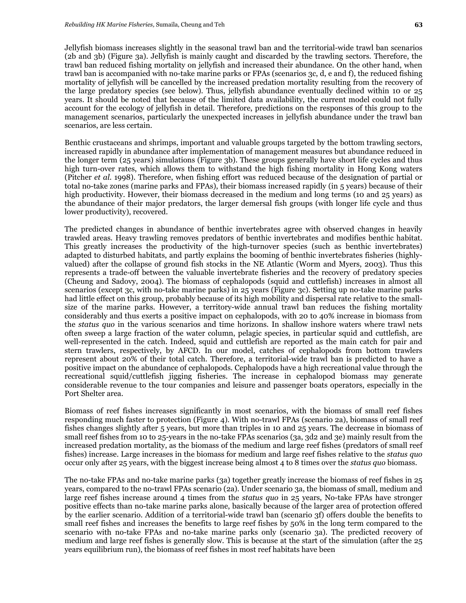Jellyfish biomass increases slightly in the seasonal trawl ban and the territorial-wide trawl ban scenarios (2b and 3b) (Figure 3a). Jellyfish is mainly caught and discarded by the trawling sectors. Therefore, the trawl ban reduced fishing mortality on jellyfish and increased their abundance. On the other hand, when trawl ban is accompanied with no-take marine parks or FPAs (scenarios 3c, d, e and f), the reduced fishing mortality of jellyfish will be cancelled by the increased predation mortality resulting from the recovery of the large predatory species (see below). Thus, jellyfish abundance eventually declined within 10 or 25 years. It should be noted that because of the limited data availability, the current model could not fully account for the ecology of jellyfish in detail. Therefore, predictions on the responses of this group to the management scenarios, particularly the unexpected increases in jellyfish abundance under the trawl ban scenarios, are less certain.

Benthic crustaceans and shrimps, important and valuable groups targeted by the bottom trawling sectors, increased rapidly in abundance after implementation of management measures but abundance reduced in the longer term (25 years) simulations (Figure 3b). These groups generally have short life cycles and thus high turn-over rates, which allows them to withstand the high fishing mortality in Hong Kong waters (Pitcher *et al*. 1998). Therefore, when fishing effort was reduced because of the designation of partial or total no-take zones (marine parks and FPAs), their biomass increased rapidly (in 5 years) because of their high productivity. However, their biomass decreased in the medium and long terms (10 and 25 years) as the abundance of their major predators, the larger demersal fish groups (with longer life cycle and thus lower productivity), recovered.

The predicted changes in abundance of benthic invertebrates agree with observed changes in heavily trawled areas. Heavy trawling removes predators of benthic invertebrates and modifies benthic habitat. This greatly increases the productivity of the high-turnover species (such as benthic invertebrates) adapted to disturbed habitats, and partly explains the booming of benthic invertebrates fisheries (highlyvalued) after the collapse of ground fish stocks in the NE Atlantic (Worm and Myers, 2003). Thus this represents a trade-off between the valuable invertebrate fisheries and the recovery of predatory species (Cheung and Sadovy, 2004). The biomass of cephalopods (squid and cuttlefish) increases in almost all scenarios (except 3c, with no-take marine parks) in 25 years (Figure 3c). Setting up no-take marine parks had little effect on this group, probably because of its high mobility and dispersal rate relative to the smallsize of the marine parks. However, a territory-wide annual trawl ban reduces the fishing mortality considerably and thus exerts a positive impact on cephalopods, with 20 to 40% increase in biomass from the *status quo* in the various scenarios and time horizons. In shallow inshore waters where trawl nets often sweep a large fraction of the water column, pelagic species, in particular squid and cuttlefish, are well-represented in the catch. Indeed, squid and cuttlefish are reported as the main catch for pair and stern trawlers, respectively, by AFCD. In our model, catches of cephalopods from bottom trawlers represent about 20% of their total catch. Therefore, a territorial-wide trawl ban is predicted to have a positive impact on the abundance of cephalopods. Cephalopods have a high recreational value through the recreational squid/cuttlefish jigging fisheries. The increase in cephalopod biomass may generate considerable revenue to the tour companies and leisure and passenger boats operators, especially in the Port Shelter area.

Biomass of reef fishes increases significantly in most scenarios, with the biomass of small reef fishes responding much faster to protection (Figure 4). With no-trawl FPAs (scenario 2a), biomass of small reef fishes changes slightly after 5 years, but more than triples in 10 and 25 years. The decrease in biomass of small reef fishes from 10 to 25-years in the no-take FPAs scenarios (3a, 3d2 and 3e) mainly result from the increased predation mortality, as the biomass of the medium and large reef fishes (predators of small reef fishes) increase. Large increases in the biomass for medium and large reef fishes relative to the *status quo* occur only after 25 years, with the biggest increase being almost 4 to 8 times over the *status quo* biomass.

The no-take FPAs and no-take marine parks (3a) together greatly increase the biomass of reef fishes in 25 years, compared to the no-trawl FPAs scenario (2a). Under scenario 3a, the biomass of small, medium and large reef fishes increase around 4 times from the *status quo* in 25 years, No-take FPAs have stronger positive effects than no-take marine parks alone, basically because of the larger area of protection offered by the earlier scenario. Addition of a territorial-wide trawl ban (scenario 3f) offers double the benefits to small reef fishes and increases the benefits to large reef fishes by 50% in the long term compared to the scenario with no-take FPAs and no-take marine parks only (scenario 3a). The predicted recovery of medium and large reef fishes is generally slow. This is because at the start of the simulation (after the 25 years equilibrium run), the biomass of reef fishes in most reef habitats have been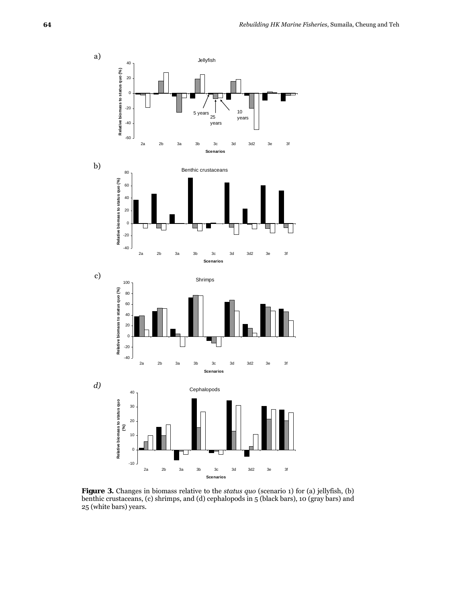

**Figure 3.** Changes in biomass relative to the *status quo* (scenario 1) for (a) jellyfish, (b) benthic crustaceans, (c) shrimps, and (d) cephalopods in 5 (black bars), 10 (gray bars) and 25 (white bars) years.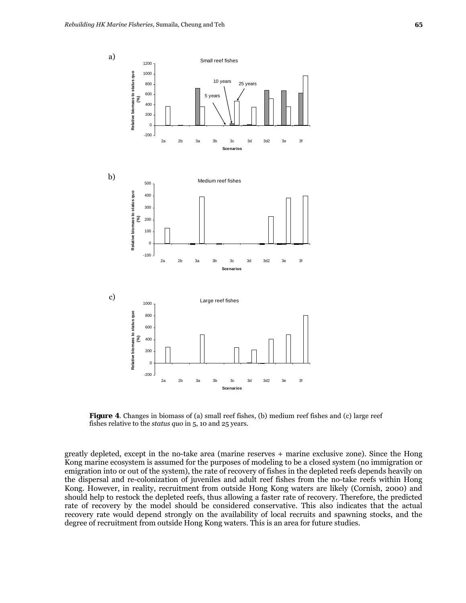

**Figure 4.** Changes in biomass of (a) small reef fishes, (b) medium reef fishes and (c) large reef fishes relative to the *status quo* in 5, 10 and 25 years.

greatly depleted, except in the no-take area (marine reserves + marine exclusive zone). Since the Hong Kong marine ecosystem is assumed for the purposes of modeling to be a closed system (no immigration or emigration into or out of the system), the rate of recovery of fishes in the depleted reefs depends heavily on the dispersal and re-colonization of juveniles and adult reef fishes from the no-take reefs within Hong Kong. However, in reality, recruitment from outside Hong Kong waters are likely (Cornish, 2000) and should help to restock the depleted reefs, thus allowing a faster rate of recovery. Therefore, the predicted rate of recovery by the model should be considered conservative. This also indicates that the actual recovery rate would depend strongly on the availability of local recruits and spawning stocks, and the degree of recruitment from outside Hong Kong waters. This is an area for future studies.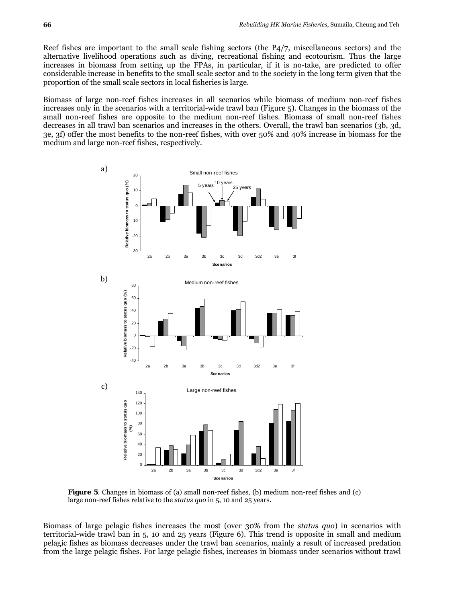Reef fishes are important to the small scale fishing sectors (the P4/7, miscellaneous sectors) and the alternative livelihood operations such as diving, recreational fishing and ecotourism. Thus the large increases in biomass from setting up the FPAs, in particular, if it is no-take, are predicted to offer considerable increase in benefits to the small scale sector and to the society in the long term given that the proportion of the small scale sectors in local fisheries is large.

Biomass of large non-reef fishes increases in all scenarios while biomass of medium non-reef fishes increases only in the scenarios with a territorial-wide trawl ban (Figure 5). Changes in the biomass of the small non-reef fishes are opposite to the medium non-reef fishes. Biomass of small non-reef fishes decreases in all trawl ban scenarios and increases in the others. Overall, the trawl ban scenarios (3b, 3d, 3e, 3f) offer the most benefits to the non-reef fishes, with over 50% and 40% increase in biomass for the medium and large non-reef fishes, respectively.



**Figure 5.** Changes in biomass of (a) small non-reef fishes, (b) medium non-reef fishes and (c) large non-reef fishes relative to the *status quo* in 5, 10 and 25 years.

Biomass of large pelagic fishes increases the most (over 30% from the *status quo*) in scenarios with territorial-wide trawl ban in 5, 10 and 25 years (Figure 6). This trend is opposite in small and medium pelagic fishes as biomass decreases under the trawl ban scenarios, mainly a result of increased predation from the large pelagic fishes. For large pelagic fishes, increases in biomass under scenarios without trawl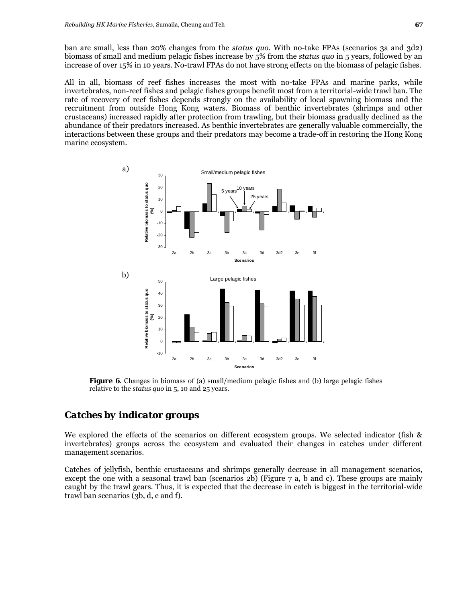ban are small, less than 20% changes from the *status quo.* With no-take FPAs (scenarios 3a and 3d2) biomass of small and medium pelagic fishes increase by 5% from the *status quo* in 5 years, followed by an increase of over 15% in 10 years. No-trawl FPAs do not have strong effects on the biomass of pelagic fishes.

All in all, biomass of reef fishes increases the most with no-take FPAs and marine parks, while invertebrates, non-reef fishes and pelagic fishes groups benefit most from a territorial-wide trawl ban. The rate of recovery of reef fishes depends strongly on the availability of local spawning biomass and the recruitment from outside Hong Kong waters. Biomass of benthic invertebrates (shrimps and other crustaceans) increased rapidly after protection from trawling, but their biomass gradually declined as the abundance of their predators increased. As benthic invertebrates are generally valuable commercially, the interactions between these groups and their predators may become a trade-off in restoring the Hong Kong marine ecosystem.



**Figure 6.** Changes in biomass of (a) small/medium pelagic fishes and (b) large pelagic fishes relative to the *status quo* in 5, 10 and 25 years.

### *Catches by indicator groups*

We explored the effects of the scenarios on different ecosystem groups. We selected indicator (fish & invertebrates) groups across the ecosystem and evaluated their changes in catches under different management scenarios.

Catches of jellyfish, benthic crustaceans and shrimps generally decrease in all management scenarios, except the one with a seasonal trawl ban (scenarios 2b) (Figure 7 a, b and c). These groups are mainly caught by the trawl gears. Thus, it is expected that the decrease in catch is biggest in the territorial-wide trawl ban scenarios (3b, d, e and f).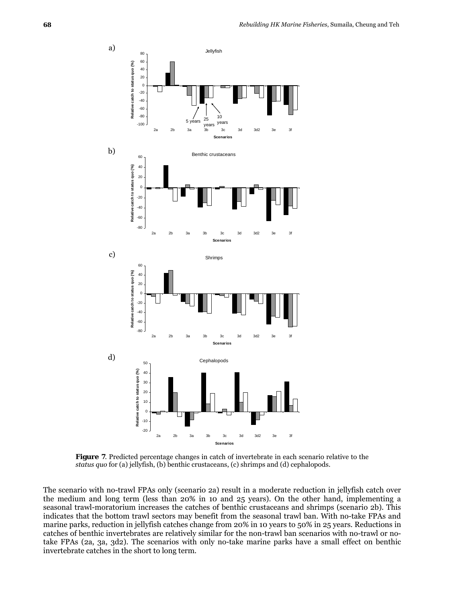

**Figure 7**. Predicted percentage changes in catch of invertebrate in each scenario relative to the *status quo* for (a) jellyfish, (b) benthic crustaceans, (c) shrimps and (d) cephalopods.

The scenario with no-trawl FPAs only (scenario 2a) result in a moderate reduction in jellyfish catch over the medium and long term (less than 20% in 10 and 25 years). On the other hand, implementing a seasonal trawl-moratorium increases the catches of benthic crustaceans and shrimps (scenario 2b). This indicates that the bottom trawl sectors may benefit from the seasonal trawl ban. With no-take FPAs and marine parks, reduction in jellyfish catches change from 20% in 10 years to 50% in 25 years. Reductions in catches of benthic invertebrates are relatively similar for the non-trawl ban scenarios with no-trawl or notake FPAs (2a, 3a, 3d2). The scenarios with only no-take marine parks have a small effect on benthic invertebrate catches in the short to long term.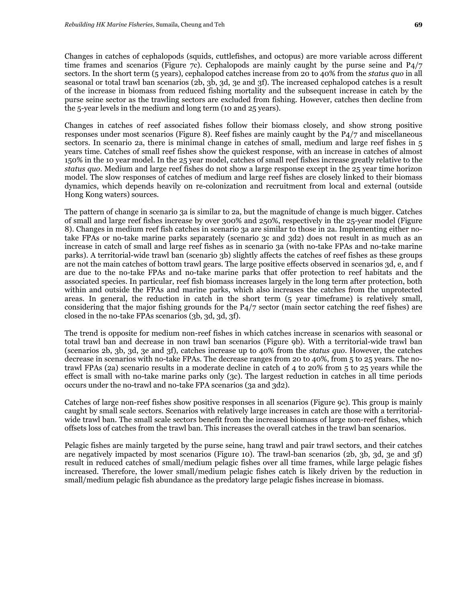Changes in catches of cephalopods (squids, cuttlefishes, and octopus) are more variable across different time frames and scenarios (Figure 7c). Cephalopods are mainly caught by the purse seine and  $P\frac{4}{7}$ sectors. In the short term (5 years), cephalopod catches increase from 20 to 40% from the *status quo* in all seasonal or total trawl ban scenarios (2b, 3b, 3d, 3e and 3f). The increased cephalopod catches is a result of the increase in biomass from reduced fishing mortality and the subsequent increase in catch by the purse seine sector as the trawling sectors are excluded from fishing. However, catches then decline from the 5-year levels in the medium and long term (10 and 25 years).

Changes in catches of reef associated fishes follow their biomass closely, and show strong positive responses under most scenarios (Figure 8). Reef fishes are mainly caught by the P4/7 and miscellaneous sectors. In scenario 2a, there is minimal change in catches of small, medium and large reef fishes in 5 years time. Catches of small reef fishes show the quickest response, with an increase in catches of almost 150% in the 10 year model. In the 25 year model, catches of small reef fishes increase greatly relative to the *status quo*. Medium and large reef fishes do not show a large response except in the 25 year time horizon model. The slow responses of catches of medium and large reef fishes are closely linked to their biomass dynamics, which depends heavily on re-colonization and recruitment from local and external (outside Hong Kong waters) sources.

The pattern of change in scenario 3a is similar to 2a, but the magnitude of change is much bigger. Catches of small and large reef fishes increase by over 300% and 250%, respectively in the 25-year model (Figure 8). Changes in medium reef fish catches in scenario 3a are similar to those in 2a. Implementing either notake FPAs or no-take marine parks separately (scenario 3c and 3d2) does not result in as much as an increase in catch of small and large reef fishes as in scenario 3a (with no-take FPAs and no-take marine parks). A territorial-wide trawl ban (scenario 3b) slightly affects the catches of reef fishes as these groups are not the main catches of bottom trawl gears. The large positive effects observed in scenarios 3d, e, and f are due to the no-take FPAs and no-take marine parks that offer protection to reef habitats and the associated species. In particular, reef fish biomass increases largely in the long term after protection, both within and outside the FPAs and marine parks, which also increases the catches from the unprotected areas. In general, the reduction in catch in the short term (5 year timeframe) is relatively small, considering that the major fishing grounds for the P4/7 sector (main sector catching the reef fishes) are closed in the no-take FPAs scenarios (3b, 3d, 3d, 3f).

The trend is opposite for medium non-reef fishes in which catches increase in scenarios with seasonal or total trawl ban and decrease in non trawl ban scenarios (Figure 9b). With a territorial-wide trawl ban (scenarios 2b, 3b, 3d, 3e and 3f), catches increase up to 40% from the *status quo*. However, the catches decrease in scenarios with no-take FPAs. The decrease ranges from 20 to 40%, from 5 to 25 years. The notrawl FPAs (2a) scenario results in a moderate decline in catch of 4 to 20% from 5 to 25 years while the effect is small with no-take marine parks only (3c). The largest reduction in catches in all time periods occurs under the no-trawl and no-take FPA scenarios (3a and 3d2).

Catches of large non-reef fishes show positive responses in all scenarios (Figure 9c). This group is mainly caught by small scale sectors. Scenarios with relatively large increases in catch are those with a territorialwide trawl ban. The small scale sectors benefit from the increased biomass of large non-reef fishes, which offsets loss of catches from the trawl ban. This increases the overall catches in the trawl ban scenarios.

Pelagic fishes are mainly targeted by the purse seine, hang trawl and pair trawl sectors, and their catches are negatively impacted by most scenarios (Figure 10). The trawl-ban scenarios (2b, 3b, 3d, 3e and 3f) result in reduced catches of small/medium pelagic fishes over all time frames, while large pelagic fishes increased. Therefore, the lower small/medium pelagic fishes catch is likely driven by the reduction in small/medium pelagic fish abundance as the predatory large pelagic fishes increase in biomass.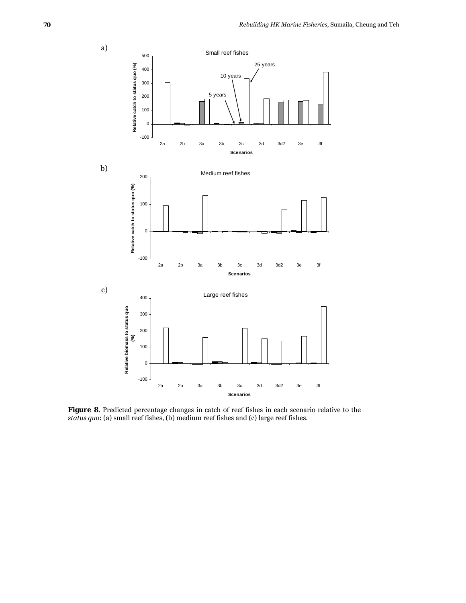

**Figure 8**. Predicted percentage changes in catch of reef fishes in each scenario relative to the *status quo*: (a) small reef fishes, (b) medium reef fishes and (c) large reef fishes.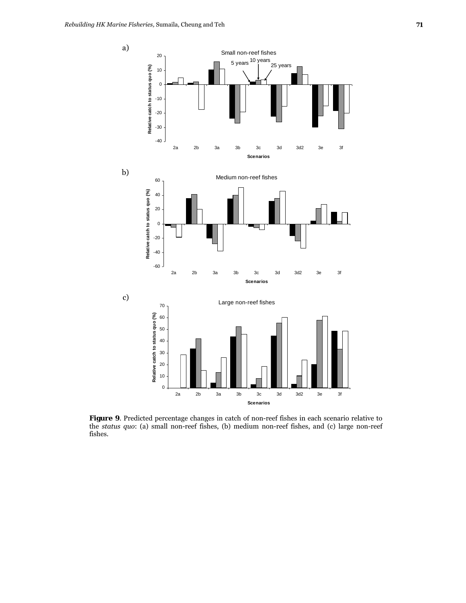

**Figure 9**. Predicted percentage changes in catch of non-reef fishes in each scenario relative to the *status quo*: (a) small non-reef fishes, (b) medium non-reef fishes, and (c) large non-reef fishes.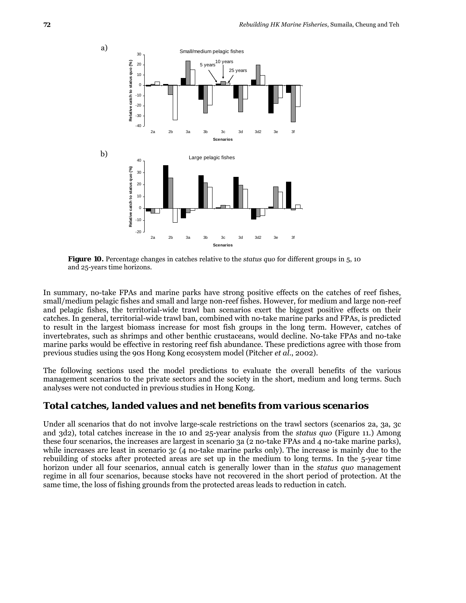

**Figure 10.** Percentage changes in catches relative to the *status quo* for different groups in 5, 10 and 25-years time horizons.

In summary, no-take FPAs and marine parks have strong positive effects on the catches of reef fishes, small/medium pelagic fishes and small and large non-reef fishes. However, for medium and large non-reef and pelagic fishes, the territorial-wide trawl ban scenarios exert the biggest positive effects on their catches. In general, territorial-wide trawl ban, combined with no-take marine parks and FPAs, is predicted to result in the largest biomass increase for most fish groups in the long term. However, catches of invertebrates, such as shrimps and other benthic crustaceans, would decline. No-take FPAs and no-take marine parks would be effective in restoring reef fish abundance. These predictions agree with those from previous studies using the 90s Hong Kong ecosystem model (Pitcher *et al*., 2002).

The following sections used the model predictions to evaluate the overall benefits of the various management scenarios to the private sectors and the society in the short, medium and long terms. Such analyses were not conducted in previous studies in Hong Kong.

### *Total catches, landed values and net benefits from various scenarios*

Under all scenarios that do not involve large-scale restrictions on the trawl sectors (scenarios 2a, 3a, 3c and 3d2), total catches increase in the 10 and 25-year analysis from the *status quo* (Figure 11.) Among these four scenarios, the increases are largest in scenario 3a (2 no-take FPAs and 4 no-take marine parks), while increases are least in scenario 3c (4 no-take marine parks only). The increase is mainly due to the rebuilding of stocks after protected areas are set up in the medium to long terms. In the 5-year time horizon under all four scenarios, annual catch is generally lower than in the *status quo* management regime in all four scenarios, because stocks have not recovered in the short period of protection. At the same time, the loss of fishing grounds from the protected areas leads to reduction in catch.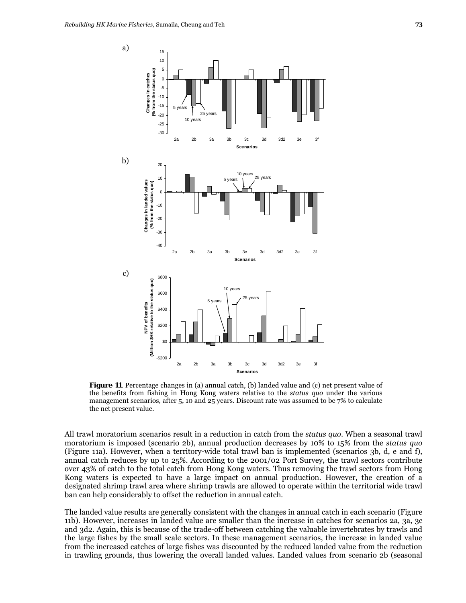

**Figure 11**. Percentage changes in (a) annual catch, (b) landed value and (c) net present value of the benefits from fishing in Hong Kong waters relative to the *status quo* under the various management scenarios, after 5, 10 and 25 years. Discount rate was assumed to be 7% to calculate the net present value.

All trawl moratorium scenarios result in a reduction in catch from the *status quo*. When a seasonal trawl moratorium is imposed (scenario 2b), annual production decreases by 10% to 15% from the *status quo*  (Figure 11a). However, when a territory-wide total trawl ban is implemented (scenarios 3b, d, e and f), annual catch reduces by up to 25%. According to the 2001/02 Port Survey, the trawl sectors contribute over 43% of catch to the total catch from Hong Kong waters. Thus removing the trawl sectors from Hong Kong waters is expected to have a large impact on annual production. However, the creation of a designated shrimp trawl area where shrimp trawls are allowed to operate within the territorial wide trawl ban can help considerably to offset the reduction in annual catch.

The landed value results are generally consistent with the changes in annual catch in each scenario (Figure 11b). However, increases in landed value are smaller than the increase in catches for scenarios 2a, 3a, 3c and 3d2. Again, this is because of the trade-off between catching the valuable invertebrates by trawls and the large fishes by the small scale sectors. In these management scenarios, the increase in landed value from the increased catches of large fishes was discounted by the reduced landed value from the reduction in trawling grounds, thus lowering the overall landed values. Landed values from scenario 2b (seasonal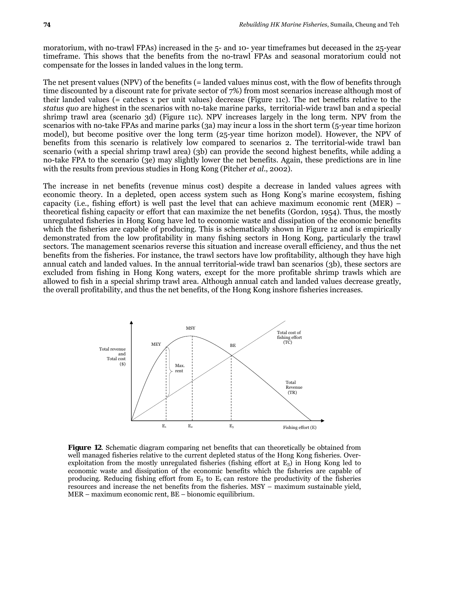moratorium, with no-trawl FPAs) increased in the 5- and 10- year timeframes but deceased in the 25-year timeframe. This shows that the benefits from the no-trawl FPAs and seasonal moratorium could not compensate for the losses in landed values in the long term.

The net present values (NPV) of the benefits (= landed values minus cost, with the flow of benefits through time discounted by a discount rate for private sector of 7%) from most scenarios increase although most of their landed values (= catches x per unit values) decrease (Figure 11c). The net benefits relative to the *status quo* are highest in the scenarios with no-take marine parks, territorial-wide trawl ban and a special shrimp trawl area (scenario 3d) (Figure 11c). NPV increases largely in the long term. NPV from the scenarios with no-take FPAs and marine parks (3a) may incur a loss in the short term (5-year time horizon model), but become positive over the long term (25-year time horizon model). However, the NPV of benefits from this scenario is relatively low compared to scenarios 2. The territorial-wide trawl ban scenario (with a special shrimp trawl area) (3b) can provide the second highest benefits, while adding a no-take FPA to the scenario (3e) may slightly lower the net benefits. Again, these predictions are in line with the results from previous studies in Hong Kong (Pitcher *et al*., 2002).

The increase in net benefits (revenue minus cost) despite a decrease in landed values agrees with economic theory. In a depleted, open access system such as Hong Kong's marine ecosystem, fishing capacity (i.e., fishing effort) is well past the level that can achieve maximum economic rent (MER) – theoretical fishing capacity or effort that can maximize the net benefits (Gordon, 1954). Thus, the mostly unregulated fisheries in Hong Kong have led to economic waste and dissipation of the economic benefits which the fisheries are capable of producing. This is schematically shown in Figure 12 and is empirically demonstrated from the low profitability in many fishing sectors in Hong Kong, particularly the trawl sectors. The management scenarios reverse this situation and increase overall efficiency, and thus the net benefits from the fisheries. For instance, the trawl sectors have low profitability, although they have high annual catch and landed values. In the annual territorial-wide trawl ban scenarios (3b), these sectors are excluded from fishing in Hong Kong waters, except for the more profitable shrimp trawls which are allowed to fish in a special shrimp trawl area. Although annual catch and landed values decrease greatly, the overall profitability, and thus the net benefits, of the Hong Kong inshore fisheries increases.



**Figure 12**. Schematic diagram comparing net benefits that can theoretically be obtained from well managed fisheries relative to the current depleted status of the Hong Kong fisheries. Overexploitation from the mostly unregulated fisheries (fishing effort at  $E_3$ ) in Hong Kong led to economic waste and dissipation of the economic benefits which the fisheries are capable of producing. Reducing fishing effort from  $E_3$  to  $E_1$  can restore the productivity of the fisheries resources and increase the net benefits from the fisheries. MSY – maximum sustainable yield, MER – maximum economic rent, BE – bionomic equilibrium.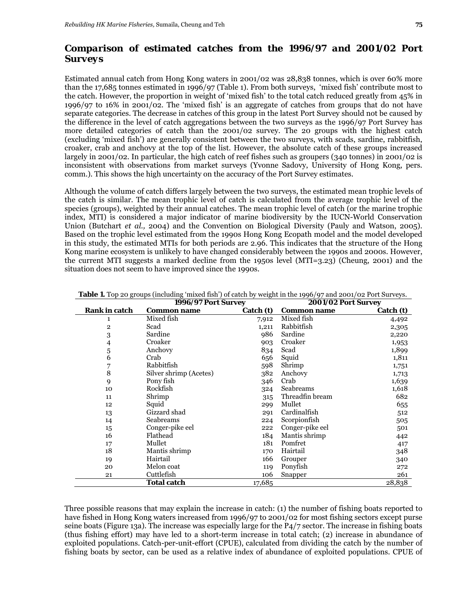# *Comparison of estimated catches from the 1996/97 and 2001/02 Port Surveys*

Estimated annual catch from Hong Kong waters in 2001/02 was 28,838 tonnes, which is over 60% more than the 17,685 tonnes estimated in 1996/97 (Table 1). From both surveys, 'mixed fish' contribute most to the catch. However, the proportion in weight of 'mixed fish' to the total catch reduced greatly from 45% in 1996/97 to 16% in 2001/02. The 'mixed fish' is an aggregate of catches from groups that do not have separate categories. The decrease in catches of this group in the latest Port Survey should not be caused by the difference in the level of catch aggregations between the two surveys as the 1996/97 Port Survey has more detailed categories of catch than the 2001/02 survey. The 20 groups with the highest catch (excluding 'mixed fish') are generally consistent between the two surveys, with scads, sardine, rabbitfish, croaker, crab and anchovy at the top of the list. However, the absolute catch of these groups increased largely in 2001/02. In particular, the high catch of reef fishes such as groupers (340 tonnes) in 2001/02 is inconsistent with observations from market surveys (Yvonne Sadovy, University of Hong Kong, pers. comm.). This shows the high uncertainty on the accuracy of the Port Survey estimates.

Although the volume of catch differs largely between the two surveys, the estimated mean trophic levels of the catch is similar. The mean trophic level of catch is calculated from the average trophic level of the species (groups), weighted by their annual catches. The mean trophic level of catch (or the marine trophic index, MTI) is considered a major indicator of marine biodiversity by the IUCN-World Conservation Union (Butchart *et al.,* 2004) and the Convention on Biological Diversity (Pauly and Watson, 2005). Based on the trophic level estimated from the 1990s Hong Kong Ecopath model and the model developed in this study, the estimated MTIs for both periods are 2.96. This indicates that the structure of the Hong Kong marine ecosystem is unlikely to have changed considerably between the 1990s and 2000s. However, the current MTI suggests a marked decline from the 1950s level (MTI=3.23) (Cheung, 2001) and the situation does not seem to have improved since the 1990s.

|                      | 1996/97 Port Survey    |           | 2001/02 Port Survey |           |  |
|----------------------|------------------------|-----------|---------------------|-----------|--|
| <b>Rank in catch</b> | <b>Common name</b>     | Catch (t) | <b>Common name</b>  | Catch (t) |  |
| 1                    | Mixed fish             | 7,912     | Mixed fish          | 4,492     |  |
| $\overline{2}$       | Scad                   | 1,211     | Rabbitfish          | 2,305     |  |
| 3                    | Sardine                | 986       | Sardine             | 2,220     |  |
| 4                    | Croaker                | 903       | Croaker             | 1,953     |  |
| 5                    | Anchovy                | 834       | Scad                | 1,899     |  |
| 6                    | Crab                   | 656       | Squid               | 1,811     |  |
| 7                    | Rabbitfish             | 598       | Shrimp              | 1,751     |  |
| $\overline{8}$       | Silver shrimp (Acetes) | 382       | Anchovy             | 1,713     |  |
| 9                    | Pony fish              | 346       | Crab                | 1,639     |  |
| 10                   | Rockfish               | 324       | Seabreams           | 1,618     |  |
| 11                   | Shrimp                 | 315       | Threadfin bream     | 682       |  |
| 12                   | Squid                  | 299       | Mullet              | 655       |  |
| 13                   | Gizzard shad           | 291       | Cardinalfish        | 512       |  |
| 14                   | Seabreams              | 224       | Scorpionfish        | 505       |  |
| 15                   | Conger-pike eel        | 222       | Conger-pike eel     | 501       |  |
| 16                   | Flathead               | 184       | Mantis shrimp       | 442       |  |
| 17                   | Mullet                 | 181       | Pomfret             | 417       |  |
| 18                   | Mantis shrimp          | 170       | Hairtail            | 348       |  |
| 19                   | Hairtail               | 166       | Grouper             | 340       |  |
| 20                   | Melon coat             | 119       | Ponyfish            | 272       |  |
| 21                   | Cuttlefish             | 106       | Snapper             | 261       |  |
|                      | <b>Total catch</b>     | 17,685    |                     | 28,838    |  |

**Table 1.** Top 20 groups (including 'mixed fish') of catch by weight in the 1996/97 and 2001/02 Port Surveys.

Three possible reasons that may explain the increase in catch: (1) the number of fishing boats reported to have fished in Hong Kong waters increased from 1996/97 to 2001/02 for most fishing sectors except purse seine boats (Figure 13a). The increase was especially large for the P4/7 sector. The increase in fishing boats (thus fishing effort) may have led to a short-term increase in total catch; (2) increase in abundance of exploited populations. Catch-per-unit-effort (CPUE), calculated from dividing the catch by the number of fishing boats by sector, can be used as a relative index of abundance of exploited populations. CPUE of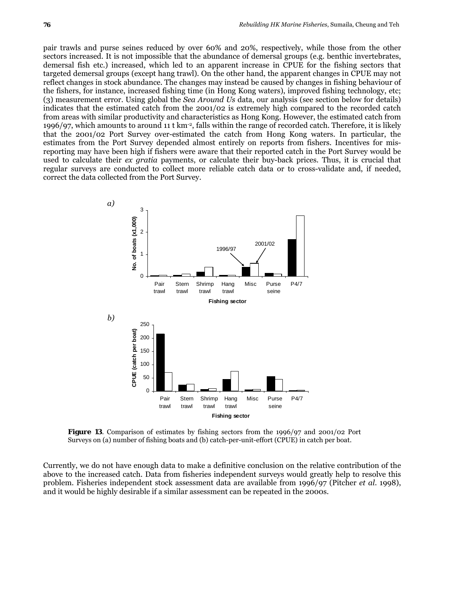pair trawls and purse seines reduced by over 60% and 20%, respectively, while those from the other sectors increased. It is not impossible that the abundance of demersal groups (e.g. benthic invertebrates, demersal fish etc.) increased, which led to an apparent increase in CPUE for the fishing sectors that targeted demersal groups (except hang trawl). On the other hand, the apparent changes in CPUE may not reflect changes in stock abundance. The changes may instead be caused by changes in fishing behaviour of the fishers, for instance, increased fishing time (in Hong Kong waters), improved fishing technology, etc; (3) measurement error. Using global the *Sea Around Us* data, our analysis (see section below for details) indicates that the estimated catch from the 2001/02 is extremely high compared to the recorded catch from areas with similar productivity and characteristics as Hong Kong. However, the estimated catch from 1996/97, which amounts to around 11 t km-2, falls within the range of recorded catch. Therefore, it is likely that the 2001/02 Port Survey over-estimated the catch from Hong Kong waters. In particular, the estimates from the Port Survey depended almost entirely on reports from fishers. Incentives for misreporting may have been high if fishers were aware that their reported catch in the Port Survey would be used to calculate their *ex gratia* payments, or calculate their buy-back prices. Thus, it is crucial that regular surveys are conducted to collect more reliable catch data or to cross-validate and, if needed, correct the data collected from the Port Survey.



**Figure 13**. Comparison of estimates by fishing sectors from the 1996/97 and 2001/02 Port Surveys on (a) number of fishing boats and (b) catch-per-unit-effort (CPUE) in catch per boat.

Currently, we do not have enough data to make a definitive conclusion on the relative contribution of the above to the increased catch. Data from fisheries independent surveys would greatly help to resolve this problem. Fisheries independent stock assessment data are available from 1996/97 (Pitcher *et al*. 1998), and it would be highly desirable if a similar assessment can be repeated in the 2000s.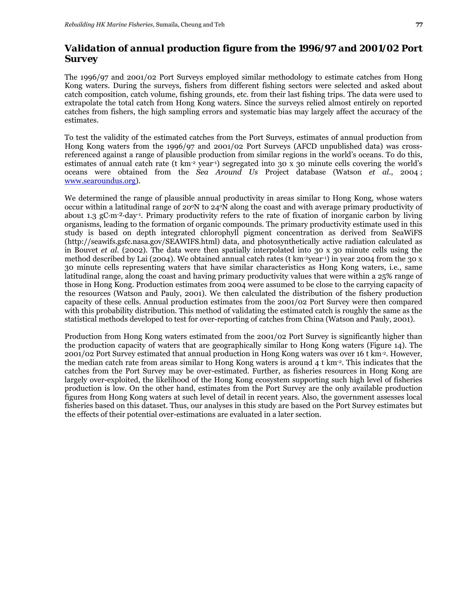# *Validation of annual production figure from the 1996/97 and 2001/02 Port Survey*

The 1996/97 and 2001/02 Port Surveys employed similar methodology to estimate catches from Hong Kong waters. During the surveys, fishers from different fishing sectors were selected and asked about catch composition, catch volume, fishing grounds, etc. from their last fishing trips. The data were used to extrapolate the total catch from Hong Kong waters. Since the surveys relied almost entirely on reported catches from fishers, the high sampling errors and systematic bias may largely affect the accuracy of the estimates.

To test the validity of the estimated catches from the Port Surveys, estimates of annual production from Hong Kong waters from the 1996/97 and 2001/02 Port Surveys (AFCD unpublished data) was crossreferenced against a range of plausible production from similar regions in the world's oceans. To do this, estimates of annual catch rate (t km-2 year-1) segregated into 30 x 30 minute cells covering the world's oceans were obtained from the *Sea Around Us* Project database (Watson *et al*., 2004 ; www.searoundus.org).

We determined the range of plausible annual productivity in areas similar to Hong Kong, whose waters occur within a latitudinal range of  $20^{\circ}$ N to  $24^{\circ}$ N along the coast and with average primary productivity of about 1.3 gC·m- ²·day-1. Primary productivity refers to the rate of fixation of inorganic carbon by living organisms, leading to the formation of organic compounds. The primary productivity estimate used in this study is based on depth integrated chlorophyll pigment concentration as derived from SeaWiFS (http://seawifs.gsfc.nasa.gov/SEAWIFS.html) data, and photosynthetically active radiation calculated as in Bouvet *et al.* (2002). The data were then spatially interpolated into 30 x 30 minute cells using the method described by Lai (2004). We obtained annual catch rates (t km-2year-1) in year 2004 from the 30 x 30 minute cells representing waters that have similar characteristics as Hong Kong waters, i.e., same latitudinal range, along the coast and having primary productivity values that were within a 25% range of those in Hong Kong. Production estimates from 2004 were assumed to be close to the carrying capacity of the resources (Watson and Pauly, 2001). We then calculated the distribution of the fishery production capacity of these cells. Annual production estimates from the 2001/02 Port Survey were then compared with this probability distribution. This method of validating the estimated catch is roughly the same as the statistical methods developed to test for over-reporting of catches from China (Watson and Pauly, 2001).

Production from Hong Kong waters estimated from the 2001/02 Port Survey is significantly higher than the production capacity of waters that are geographically similar to Hong Kong waters (Figure 14). The 2001/02 Port Survey estimated that annual production in Hong Kong waters was over 16 t km-2. However, the median catch rate from areas similar to Hong Kong waters is around 4 t km-2. This indicates that the catches from the Port Survey may be over-estimated. Further, as fisheries resources in Hong Kong are largely over-exploited, the likelihood of the Hong Kong ecosystem supporting such high level of fisheries production is low. On the other hand, estimates from the Port Survey are the only available production figures from Hong Kong waters at such level of detail in recent years. Also, the government assesses local fisheries based on this dataset. Thus, our analyses in this study are based on the Port Survey estimates but the effects of their potential over-estimations are evaluated in a later section.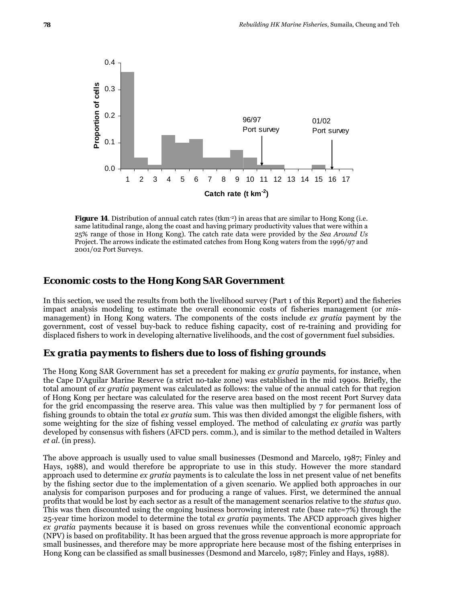

**Figure 14.** Distribution of annual catch rates (tkm<sup>-2</sup>) in areas that are similar to Hong Kong (i.e. same latitudinal range, along the coast and having primary productivity values that were within a 25% range of those in Hong Kong). The catch rate data were provided by the *Sea Around Us* Project. The arrows indicate the estimated catches from Hong Kong waters from the 1996/97 and 2001/02 Port Surveys.

#### **Economic costs to the Hong Kong SAR Government**

In this section, we used the results from both the livelihood survey (Part 1 of this Report) and the fisheries impact analysis modeling to estimate the overall economic costs of fisheries management (or *mis*management) in Hong Kong waters. The components of the costs include *ex gratia* payment by the government, cost of vessel buy-back to reduce fishing capacity, cost of re-training and providing for displaced fishers to work in developing alternative livelihoods, and the cost of government fuel subsidies.

## *Ex gratia payments to fishers due to loss of fishing grounds*

The Hong Kong SAR Government has set a precedent for making *ex gratia* payments, for instance, when the Cape D'Aguilar Marine Reserve (a strict no-take zone) was established in the mid 1990s. Briefly, the total amount of *ex gratia* payment was calculated as follows: the value of the annual catch for that region of Hong Kong per hectare was calculated for the reserve area based on the most recent Port Survey data for the grid encompassing the reserve area. This value was then multiplied by 7 for permanent loss of fishing grounds to obtain the total *ex gratia* sum. This was then divided amongst the eligible fishers, with some weighting for the size of fishing vessel employed. The method of calculating *ex gratia* was partly developed by consensus with fishers (AFCD pers. comm.), and is similar to the method detailed in Walters *et al*. (in press).

The above approach is usually used to value small businesses (Desmond and Marcelo, 1987; Finley and Hays, 1988), and would therefore be appropriate to use in this study. However the more standard approach used to determine *ex gratia* payments is to calculate the loss in net present value of net benefits by the fishing sector due to the implementation of a given scenario. We applied both approaches in our analysis for comparison purposes and for producing a range of values. First, we determined the annual profits that would be lost by each sector as a result of the management scenarios relative to the *status quo*. This was then discounted using the ongoing business borrowing interest rate (base rate=7%) through the 25-year time horizon model to determine the total *ex gratia* payments. The AFCD approach gives higher *ex gratia* payments because it is based on gross revenues while the conventional economic approach (NPV) is based on profitability. It has been argued that the gross revenue approach is more appropriate for small businesses, and therefore may be more appropriate here because most of the fishing enterprises in Hong Kong can be classified as small businesses (Desmond and Marcelo, 1987; Finley and Hays, 1988).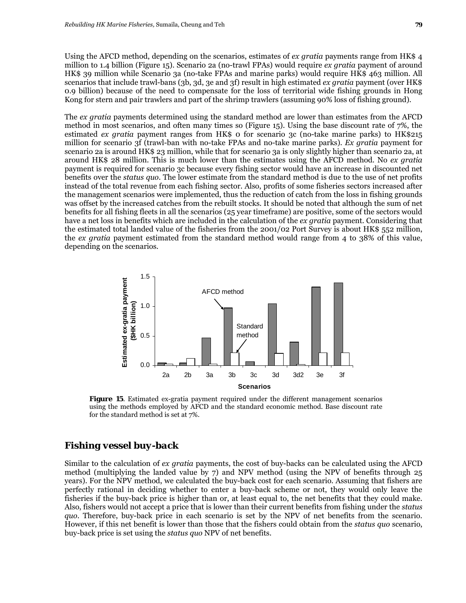Using the AFCD method, depending on the scenarios, estimates of *ex gratia* payments range from HK\$ 4 million to 1.4 billion (Figure 15). Scenario 2a (no-trawl FPAs) would require *ex gratia* payment of around HK\$ 39 million while Scenario 3a (no-take FPAs and marine parks) would require HK\$ 463 million. All scenarios that include trawl-bans (3b, 3d, 3e and 3f) result in high estimated *ex gratia* payment (over HK\$ 0.9 billion) because of the need to compensate for the loss of territorial wide fishing grounds in Hong Kong for stern and pair trawlers and part of the shrimp trawlers (assuming 90% loss of fishing ground).

The *ex gratia* payments determined using the standard method are lower than estimates from the AFCD method in most scenarios, and often many times so (Figure 15). Using the base discount rate of 7%, the estimated *ex gratia* payment ranges from HK\$ 0 for scenario 3c (no-take marine parks) to HK\$215 million for scenario 3f (trawl-ban with no-take FPAs and no-take marine parks). *Ex gratia* payment for scenario 2a is around HK\$ 23 million, while that for scenario 3a is only slightly higher than scenario 2a, at around HK\$ 28 million. This is much lower than the estimates using the AFCD method. No *ex gratia*  payment is required for scenario 3c because every fishing sector would have an increase in discounted net benefits over the *status quo*. The lower estimate from the standard method is due to the use of net profits instead of the total revenue from each fishing sector. Also, profits of some fisheries sectors increased after the management scenarios were implemented, thus the reduction of catch from the loss in fishing grounds was offset by the increased catches from the rebuilt stocks. It should be noted that although the sum of net benefits for all fishing fleets in all the scenarios (25 year timeframe) are positive, some of the sectors would have a net loss in benefits which are included in the calculation of the *ex gratia* payment. Considering that the estimated total landed value of the fisheries from the 2001/02 Port Survey is about HK\$ 552 million, the *ex gratia* payment estimated from the standard method would range from 4 to 38% of this value, depending on the scenarios.



**Figure 15.** Estimated ex-gratia payment required under the different management scenarios using the methods employed by AFCD and the standard economic method. Base discount rate for the standard method is set at 7%.

### *Fishing vessel buy-back*

Similar to the calculation of *ex gratia* payments, the cost of buy-backs can be calculated using the AFCD method (multiplying the landed value by 7) and NPV method (using the NPV of benefits through 25 years). For the NPV method, we calculated the buy-back cost for each scenario. Assuming that fishers are perfectly rational in deciding whether to enter a buy-back scheme or not, they would only leave the fisheries if the buy-back price is higher than or, at least equal to, the net benefits that they could make. Also, fishers would not accept a price that is lower than their current benefits from fishing under the *status quo*. Therefore, buy-back price in each scenario is set by the NPV of net benefits from the scenario. However, if this net benefit is lower than those that the fishers could obtain from the *status quo* scenario, buy-back price is set using the *status quo* NPV of net benefits.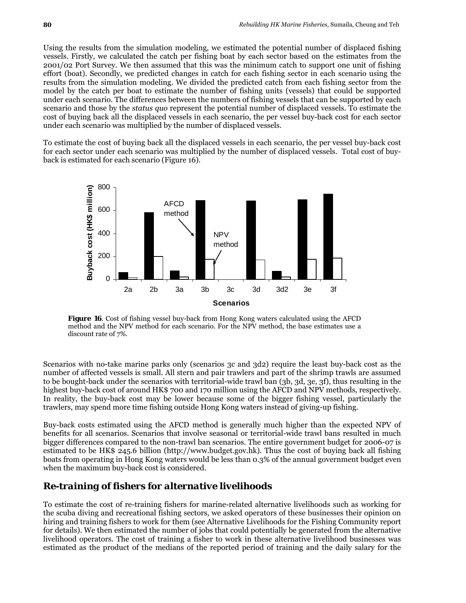Using the results from the simulation modeling, we estimated the potential number of displaced fishing vessels. Firstly, we calculated the catch per fishing boat by each sector based on the estimates from the 2001/02 Port Survey. We then assumed that this was the minimum catch to support one unit of fishing effort (boat). Secondly, we predicted changes in catch for each fishing sector in each scenario using the results from the simulation modeling. We divided the predicted catch from each fishing sector from the model by the catch per boat to estimate the number of fishing units (vessels) that could be supported under each scenario. The differences between the numbers of fishing vessels that can be supported by each scenario and those by the *status quo* represent the potential number of displaced vessels. To estimate the cost of buying back all the displaced vessels in each scenario, the per vessel buy-back cost for each sector under each scenario was multiplied by the number of displaced vessels.

To estimate the cost of buying back all the displaced vessels in each scenario, the per vessel buy-back cost for each sector under each scenario was multiplied by the number of displaced vessels. Total cost of buyback is estimated for each scenario (Figure 16).



**Figure 16**. Cost of fishing vessel buy-back from Hong Kong waters calculated using the AFCD method and the NPV method for each scenario. For the NPV method, the base estimates use a discount rate of 7%.

Scenarios with no-take marine parks only (scenarios 3c and 3d2) require the least buy-back cost as the number of affected vessels is small. All stern and pair trawlers and part of the shrimp trawls are assumed to be bought-back under the scenarios with territorial-wide trawl ban (3b, 3d, 3e, 3f), thus resulting in the highest buy-back cost of around HK\$ 700 and 170 million using the AFCD and NPV methods, respectively. In reality, the buy-back cost may be lower because some of the bigger fishing vessel, particularly the trawlers, may spend more time fishing outside Hong Kong waters instead of giving-up fishing.

Buy-back costs estimated using the AFCD method is generally much higher than the expected NPV of benefits for all scenarios. Scenarios that involve seasonal or territorial-wide trawl bans resulted in much bigger differences compared to the non-trawl ban scenarios. The entire government budget for 2006-07 is estimated to be HK\$ 245.6 billion (http://www.budget.gov.hk). Thus the cost of buying back all fishing boats from operating in Hong Kong waters would be less than 0.3% of the annual government budget even when the maximum buy-back cost is considered.

# *Re-training of fishers for alternative livelihoods*

To estimate the cost of re-training fishers for marine-related alternative livelihoods such as working for the scuba diving and recreational fishing sectors, we asked operators of these businesses their opinion on hiring and training fishers to work for them (see Alternative Livelihoods for the Fishing Community report for details). We then estimated the number of jobs that could potentially be generated from the alternative livelihood operators. The cost of training a fisher to work in these alternative livelihood businesses was estimated as the product of the medians of the reported period of training and the daily salary for the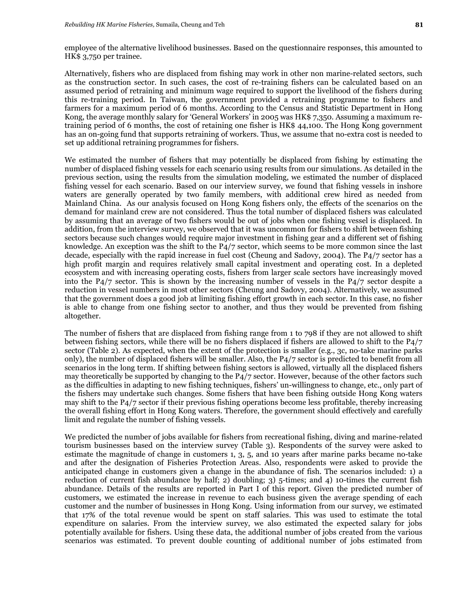employee of the alternative livelihood businesses. Based on the questionnaire responses, this amounted to HK\$ 3,750 per trainee.

Alternatively, fishers who are displaced from fishing may work in other non marine-related sectors, such as the construction sector. In such cases, the cost of re-training fishers can be calculated based on an assumed period of retraining and minimum wage required to support the livelihood of the fishers during this re-training period. In Taiwan, the government provided a retraining programme to fishers and farmers for a maximum period of 6 months. According to the Census and Statistic Department in Hong Kong, the average monthly salary for 'General Workers' in 2005 was HK\$ 7,350. Assuming a maximum retraining period of 6 months, the cost of retaining one fisher is HK\$ 44,100. The Hong Kong government has an on-going fund that supports retraining of workers. Thus, we assume that no-extra cost is needed to set up additional retraining programmes for fishers.

We estimated the number of fishers that may potentially be displaced from fishing by estimating the number of displaced fishing vessels for each scenario using results from our simulations. As detailed in the previous section, using the results from the simulation modeling, we estimated the number of displaced fishing vessel for each scenario. Based on our interview survey, we found that fishing vessels in inshore waters are generally operated by two family members, with additional crew hired as needed from Mainland China. As our analysis focused on Hong Kong fishers only, the effects of the scenarios on the demand for mainland crew are not considered. Thus the total number of displaced fishers was calculated by assuming that an average of two fishers would be out of jobs when one fishing vessel is displaced. In addition, from the interview survey, we observed that it was uncommon for fishers to shift between fishing sectors because such changes would require major investment in fishing gear and a different set of fishing knowledge. An exception was the shift to the P4/7 sector, which seems to be more common since the last decade, especially with the rapid increase in fuel cost (Cheung and Sadovy, 2004). The P4/7 sector has a high profit margin and requires relatively small capital investment and operating cost. In a depleted ecosystem and with increasing operating costs, fishers from larger scale sectors have increasingly moved into the P4/7 sector. This is shown by the increasing number of vessels in the P4/7 sector despite a reduction in vessel numbers in most other sectors (Cheung and Sadovy, 2004). Alternatively, we assumed that the government does a good job at limiting fishing effort growth in each sector. In this case, no fisher is able to change from one fishing sector to another, and thus they would be prevented from fishing altogether.

The number of fishers that are displaced from fishing range from 1 to 798 if they are not allowed to shift between fishing sectors, while there will be no fishers displaced if fishers are allowed to shift to the P4/7 sector (Table 2). As expected, when the extent of the protection is smaller (e.g., 3c, no-take marine parks only), the number of displaced fishers will be smaller. Also, the P4/7 sector is predicted to benefit from all scenarios in the long term. If shifting between fishing sectors is allowed, virtually all the displaced fishers may theoretically be supported by changing to the P4/7 sector. However, because of the other factors such as the difficulties in adapting to new fishing techniques, fishers' un-willingness to change, etc., only part of the fishers may undertake such changes. Some fishers that have been fishing outside Hong Kong waters may shift to the P4/7 sector if their previous fishing operations become less profitable, thereby increasing the overall fishing effort in Hong Kong waters. Therefore, the government should effectively and carefully limit and regulate the number of fishing vessels.

We predicted the number of jobs available for fishers from recreational fishing, diving and marine-related tourism businesses based on the interview survey (Table 3). Respondents of the survey were asked to estimate the magnitude of change in customers 1, 3, 5, and 10 years after marine parks became no-take and after the designation of Fisheries Protection Areas. Also, respondents were asked to provide the anticipated change in customers given a change in the abundance of fish. The scenarios included: 1) a reduction of current fish abundance by half; 2) doubling; 3) 5-times; and 4) 10-times the current fish abundance. Details of the results are reported in Part I of this report. Given the predicted number of customers, we estimated the increase in revenue to each business given the average spending of each customer and the number of businesses in Hong Kong. Using information from our survey, we estimated that 17% of the total revenue would be spent on staff salaries. This was used to estimate the total expenditure on salaries. From the interview survey, we also estimated the expected salary for jobs potentially available for fishers. Using these data, the additional number of jobs created from the various scenarios was estimated. To prevent double counting of additional number of jobs estimated from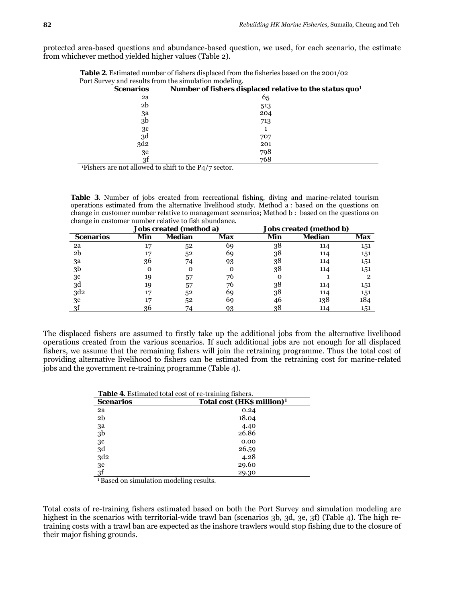protected area-based questions and abundance-based question, we used, for each scenario, the estimate from whichever method yielded higher values (Table 2).

| Port Survey and results from the simulation modeling. |                                                                            |
|-------------------------------------------------------|----------------------------------------------------------------------------|
| <b>Scenarios</b>                                      | Number of fishers displaced relative to the <i>status quo</i> <sup>1</sup> |
| 2a                                                    | 65                                                                         |
| 2b                                                    | 513                                                                        |
| 3a                                                    | 204                                                                        |
| 3 <sub>b</sub>                                        | 713                                                                        |
| 3c                                                    |                                                                            |
| 3d                                                    | 707                                                                        |
| 3d <sub>2</sub>                                       | 201                                                                        |
| 3e                                                    | 798                                                                        |
| 3f                                                    | 768                                                                        |

 **Table 2**. Estimated number of fishers displaced from the fisheries based on the 2001/02 Port Survey and results from the simulation modeling.

<sup>1</sup>Fishers are not allowed to shift to the P $4/7$  sector.

**Table 3**. Number of jobs created from recreational fishing, diving and marine-related tourism operations estimated from the alternative livelihood study. Method a : based on the questions on change in customer number relative to management scenarios; Method b : based on the questions on change in customer number relative to fish abundance.

|                  |     | Jobs created (method a) |     |     | Jobs created (method b) |     |
|------------------|-----|-------------------------|-----|-----|-------------------------|-----|
| <b>Scenarios</b> | Min | Median                  | Max | Min | Median                  | Max |
| 2a               | 17  | 52                      | 69  | 38  | 114                     | 151 |
| 2b               |     | 52                      | 69  | 38  | 114                     | 151 |
| 3a               | 36  | 74                      | 93  | 38  | 114                     | 151 |
| 3b               | Ω   | 0                       | Ο   | 38  | 114                     | 151 |
| 3 <sup>c</sup>   | 19  | 57                      | 76  | Ω   |                         | 2   |
| 3d               | 19  | 57                      | 76  | 38  | 114                     | 151 |
| 3d2              |     | 52                      | 69  | 38  | 114                     | 151 |
| 3e               |     | 52                      | 69  | 46  | 138                     | 184 |
| 3t               | 36  | 74                      | 93  | 38  | 114                     | 151 |

The displaced fishers are assumed to firstly take up the additional jobs from the alternative livelihood operations created from the various scenarios. If such additional jobs are not enough for all displaced fishers, we assume that the remaining fishers will join the retraining programme. Thus the total cost of providing alternative livelihood to fishers can be estimated from the retraining cost for marine-related jobs and the government re-training programme (Table 4).

| <b>Table 4.</b> Estimated total cost of re-training fishers. |                                        |  |  |  |  |
|--------------------------------------------------------------|----------------------------------------|--|--|--|--|
| <b>Scenarios</b>                                             | Total cost (HK\$ million) <sup>1</sup> |  |  |  |  |
| 2a                                                           | 0.24                                   |  |  |  |  |
| 2 <sub>b</sub>                                               | 18.04                                  |  |  |  |  |
| 3a                                                           | 4.40                                   |  |  |  |  |
| 3 <sub>b</sub>                                               | 26.86                                  |  |  |  |  |
| 3c                                                           | 0.00                                   |  |  |  |  |
| 3d                                                           | 26.59                                  |  |  |  |  |
| 3d <sub>2</sub>                                              | 4.28                                   |  |  |  |  |
| 3e                                                           | 29.60                                  |  |  |  |  |
| 3f                                                           | 29.30                                  |  |  |  |  |

1 Based on simulation modeling results.

Total costs of re-training fishers estimated based on both the Port Survey and simulation modeling are highest in the scenarios with territorial-wide trawl ban (scenarios 3b, 3d, 3e, 3f) (Table 4). The high retraining costs with a trawl ban are expected as the inshore trawlers would stop fishing due to the closure of their major fishing grounds.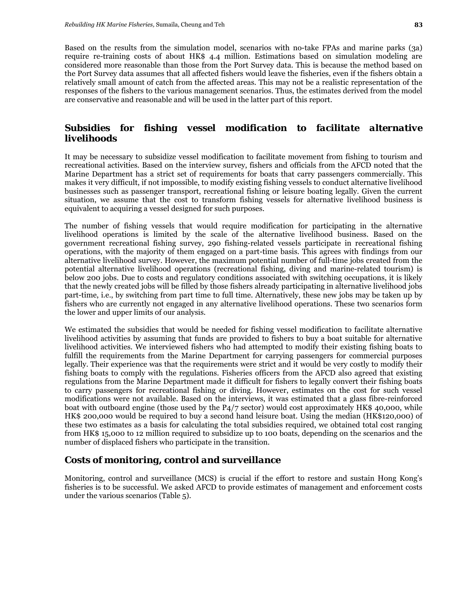Based on the results from the simulation model, scenarios with no-take FPAs and marine parks (3a) require re-training costs of about HK\$ 4.4 million. Estimations based on simulation modeling are considered more reasonable than those from the Port Survey data. This is because the method based on the Port Survey data assumes that all affected fishers would leave the fisheries, even if the fishers obtain a relatively small amount of catch from the affected areas. This may not be a realistic representation of the responses of the fishers to the various management scenarios. Thus, the estimates derived from the model are conservative and reasonable and will be used in the latter part of this report.

# *Subsidies for fishing vessel modification to facilitate alternative livelihoods*

It may be necessary to subsidize vessel modification to facilitate movement from fishing to tourism and recreational activities. Based on the interview survey, fishers and officials from the AFCD noted that the Marine Department has a strict set of requirements for boats that carry passengers commercially. This makes it very difficult, if not impossible, to modify existing fishing vessels to conduct alternative livelihood businesses such as passenger transport, recreational fishing or leisure boating legally. Given the current situation, we assume that the cost to transform fishing vessels for alternative livelihood business is equivalent to acquiring a vessel designed for such purposes.

The number of fishing vessels that would require modification for participating in the alternative livelihood operations is limited by the scale of the alternative livelihood business. Based on the government recreational fishing survey, 290 fishing-related vessels participate in recreational fishing operations, with the majority of them engaged on a part-time basis. This agrees with findings from our alternative livelihood survey. However, the maximum potential number of full-time jobs created from the potential alternative livelihood operations (recreational fishing, diving and marine-related tourism) is below 200 jobs. Due to costs and regulatory conditions associated with switching occupations, it is likely that the newly created jobs will be filled by those fishers already participating in alternative livelihood jobs part-time, i.e., by switching from part time to full time. Alternatively, these new jobs may be taken up by fishers who are currently not engaged in any alternative livelihood operations. These two scenarios form the lower and upper limits of our analysis.

We estimated the subsidies that would be needed for fishing vessel modification to facilitate alternative livelihood activities by assuming that funds are provided to fishers to buy a boat suitable for alternative livelihood activities. We interviewed fishers who had attempted to modify their existing fishing boats to fulfill the requirements from the Marine Department for carrying passengers for commercial purposes legally. Their experience was that the requirements were strict and it would be very costly to modify their fishing boats to comply with the regulations. Fisheries officers from the AFCD also agreed that existing regulations from the Marine Department made it difficult for fishers to legally convert their fishing boats to carry passengers for recreational fishing or diving. However, estimates on the cost for such vessel modifications were not available. Based on the interviews, it was estimated that a glass fibre-reinforced boat with outboard engine (those used by the P4/7 sector) would cost approximately HK\$ 40,000, while HK\$ 200,000 would be required to buy a second hand leisure boat. Using the median (HK\$120,000) of these two estimates as a basis for calculating the total subsidies required, we obtained total cost ranging from HK\$ 15,000 to 12 million required to subsidize up to 100 boats, depending on the scenarios and the number of displaced fishers who participate in the transition.

### *Costs of monitoring, control and surveillance*

Monitoring, control and surveillance (MCS) is crucial if the effort to restore and sustain Hong Kong's fisheries is to be successful. We asked AFCD to provide estimates of management and enforcement costs under the various scenarios (Table 5).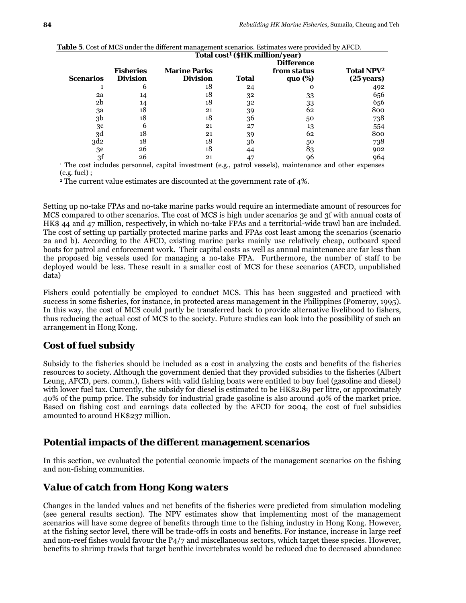|                  |                  |                     | Total cost <sup>1</sup> (\$HK million/year) |                    |                              |
|------------------|------------------|---------------------|---------------------------------------------|--------------------|------------------------------|
|                  |                  |                     |                                             |                    |                              |
|                  | <b>Fisheries</b> | <b>Marine Parks</b> |                                             | from <i>status</i> | <b>Total NPV<sup>2</sup></b> |
| <b>Scenarios</b> | <b>Division</b>  | <b>Division</b>     | <b>Total</b>                                | quo (%)            | $(25 \text{ years})$         |
|                  | 6                | 18                  | 24                                          | 0                  | 492                          |
| 2a               | 14               | 18                  | 32                                          | 33                 | 656                          |
| 2 <sub>b</sub>   | 14               | 18                  | 32                                          | 33                 | 656                          |
| за               | 18               | 21                  | 39                                          | 62                 | 800                          |
| 3 <sub>b</sub>   | 18               | 18                  | 36                                          | 50                 | 738                          |
| 3 <sup>c</sup>   | 6                | 21                  | 27                                          | 13                 | 554                          |
| 3d               | 18               | 21                  | 39                                          | 62                 | 800                          |
| 3d2              | 18               | 18                  | 36                                          | 50                 | 738                          |
| 3e               | 26               | 18                  | 44                                          | 83                 | 902                          |
| 3t               | 26               | 21                  | 47                                          | 96                 | 964                          |

| <b>Table 5.</b> Cost of MCS under the different management scenarios. Estimates were provided by AFCD. |  |  |
|--------------------------------------------------------------------------------------------------------|--|--|
|--------------------------------------------------------------------------------------------------------|--|--|

<sup>1</sup> The cost includes personnel, capital investment (e.g., patrol vessels), maintenance and other expenses (e.g. fuel) ;

<sup>2</sup> The current value estimates are discounted at the government rate of 4%.

Setting up no-take FPAs and no-take marine parks would require an intermediate amount of resources for MCS compared to other scenarios. The cost of MCS is high under scenarios 3e and 3f with annual costs of HK\$ 44 and 47 million, respectively, in which no-take FPAs and a territorial-wide trawl ban are included. The cost of setting up partially protected marine parks and FPAs cost least among the scenarios (scenario 2a and b). According to the AFCD, existing marine parks mainly use relatively cheap, outboard speed boats for patrol and enforcement work. Their capital costs as well as annual maintenance are far less than the proposed big vessels used for managing a no-take FPA. Furthermore, the number of staff to be deployed would be less. These result in a smaller cost of MCS for these scenarios (AFCD, unpublished data)

Fishers could potentially be employed to conduct MCS. This has been suggested and practiced with success in some fisheries, for instance, in protected areas management in the Philippines (Pomeroy, 1995). In this way, the cost of MCS could partly be transferred back to provide alternative livelihood to fishers, thus reducing the actual cost of MCS to the society. Future studies can look into the possibility of such an arrangement in Hong Kong.

# *Cost of fuel subsidy*

Subsidy to the fisheries should be included as a cost in analyzing the costs and benefits of the fisheries resources to society. Although the government denied that they provided subsidies to the fisheries (Albert Leung, AFCD, pers. comm.), fishers with valid fishing boats were entitled to buy fuel (gasoline and diesel) with lower fuel tax. Currently, the subsidy for diesel is estimated to be HK\$2.89 per litre, or approximately 40% of the pump price. The subsidy for industrial grade gasoline is also around 40% of the market price. Based on fishing cost and earnings data collected by the AFCD for 2004, the cost of fuel subsidies amounted to around HK\$237 million.

### **Potential impacts of the different management scenarios**

In this section, we evaluated the potential economic impacts of the management scenarios on the fishing and non-fishing communities.

### *Value of catch from Hong Kong waters*

Changes in the landed values and net benefits of the fisheries were predicted from simulation modeling (see general results section). The NPV estimates show that implementing most of the management scenarios will have some degree of benefits through time to the fishing industry in Hong Kong. However, at the fishing sector level, there will be trade-offs in costs and benefits. For instance, increase in large reef and non-reef fishes would favour the P4/7 and miscellaneous sectors, which target these species. However, benefits to shrimp trawls that target benthic invertebrates would be reduced due to decreased abundance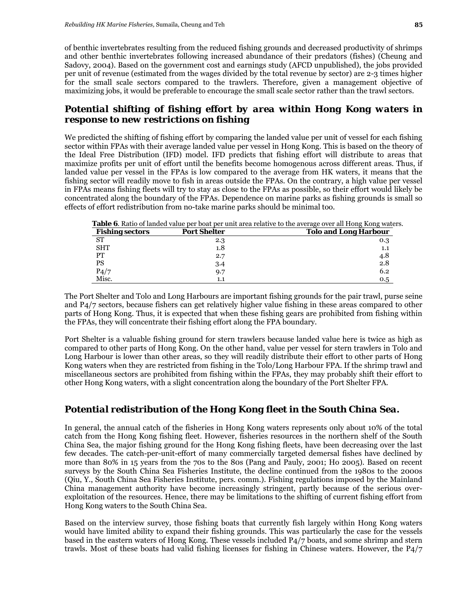of benthic invertebrates resulting from the reduced fishing grounds and decreased productivity of shrimps and other benthic invertebrates following increased abundance of their predators (fishes) (Cheung and Sadovy, 2004). Based on the government cost and earnings study (AFCD unpublished), the jobs provided per unit of revenue (estimated from the wages divided by the total revenue by sector) are 2-3 times higher for the small scale sectors compared to the trawlers. Therefore, given a management objective of maximizing jobs, it would be preferable to encourage the small scale sector rather than the trawl sectors.

# *Potential shifting of fishing effort by area within Hong Kong waters in response to new restrictions on fishing*

We predicted the shifting of fishing effort by comparing the landed value per unit of vessel for each fishing sector within FPAs with their average landed value per vessel in Hong Kong. This is based on the theory of the Ideal Free Distribution (IFD) model. IFD predicts that fishing effort will distribute to areas that maximize profits per unit of effort until the benefits become homogenous across different areas. Thus, if landed value per vessel in the FPAs is low compared to the average from HK waters, it means that the fishing sector will readily move to fish in areas outside the FPAs. On the contrary, a high value per vessel in FPAs means fishing fleets will try to stay as close to the FPAs as possible, so their effort would likely be concentrated along the boundary of the FPAs. Dependence on marine parks as fishing grounds is small so effects of effort redistribution from no-take marine parks should be minimal too.

| <b>Fishing sectors</b> | <b>Port Shelter</b> | <b>Tolo and Long Harbour</b><br>0.3<br>1.1 |  |  |
|------------------------|---------------------|--------------------------------------------|--|--|
| <b>ST</b>              | 2.3                 |                                            |  |  |
| <b>SHT</b>             | 1.8                 |                                            |  |  |
| PТ                     | 2.7                 | 4.8                                        |  |  |
| <b>PS</b>              | 3.4                 | 2.8                                        |  |  |
| P4/7                   | 9.7                 | 6.2                                        |  |  |
| Misc.                  | 1.1                 | 0.5                                        |  |  |

The Port Shelter and Tolo and Long Harbours are important fishing grounds for the pair trawl, purse seine and P4/7 sectors, because fishers can get relatively higher value fishing in these areas compared to other parts of Hong Kong. Thus, it is expected that when these fishing gears are prohibited from fishing within the FPAs, they will concentrate their fishing effort along the FPA boundary.

Port Shelter is a valuable fishing ground for stern trawlers because landed value here is twice as high as compared to other parts of Hong Kong. On the other hand, value per vessel for stern trawlers in Tolo and Long Harbour is lower than other areas, so they will readily distribute their effort to other parts of Hong Kong waters when they are restricted from fishing in the Tolo/Long Harbour FPA. If the shrimp trawl and miscellaneous sectors are prohibited from fishing within the FPAs, they may probably shift their effort to other Hong Kong waters, with a slight concentration along the boundary of the Port Shelter FPA.

# *Potential redistribution of the Hong Kong fleet in the South China Sea.*

In general, the annual catch of the fisheries in Hong Kong waters represents only about 10% of the total catch from the Hong Kong fishing fleet. However, fisheries resources in the northern shelf of the South China Sea, the major fishing ground for the Hong Kong fishing fleets, have been decreasing over the last few decades. The catch-per-unit-effort of many commercially targeted demersal fishes have declined by more than 80% in 15 years from the 70s to the 80s (Pang and Pauly, 2001; Ho 2005). Based on recent surveys by the South China Sea Fisheries Institute, the decline continued from the 1980s to the 2000s (Qiu, Y., South China Sea Fisheries Institute, pers. comm.). Fishing regulations imposed by the Mainland China management authority have become increasingly stringent, partly because of the serious overexploitation of the resources. Hence, there may be limitations to the shifting of current fishing effort from Hong Kong waters to the South China Sea.

Based on the interview survey, those fishing boats that currently fish largely within Hong Kong waters would have limited ability to expand their fishing grounds. This was particularly the case for the vessels based in the eastern waters of Hong Kong. These vessels included P4/7 boats, and some shrimp and stern trawls. Most of these boats had valid fishing licenses for fishing in Chinese waters. However, the P4/7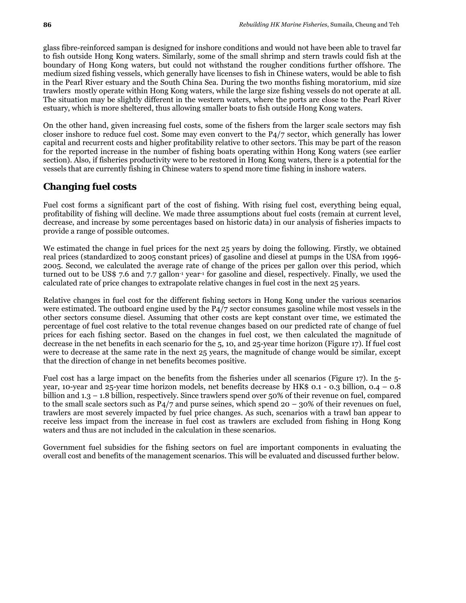glass fibre-reinforced sampan is designed for inshore conditions and would not have been able to travel far to fish outside Hong Kong waters. Similarly, some of the small shrimp and stern trawls could fish at the boundary of Hong Kong waters, but could not withstand the rougher conditions further offshore. The medium sized fishing vessels, which generally have licenses to fish in Chinese waters, would be able to fish in the Pearl River estuary and the South China Sea. During the two months fishing moratorium, mid size trawlers mostly operate within Hong Kong waters, while the large size fishing vessels do not operate at all. The situation may be slightly different in the western waters, where the ports are close to the Pearl River estuary, which is more sheltered, thus allowing smaller boats to fish outside Hong Kong waters.

On the other hand, given increasing fuel costs, some of the fishers from the larger scale sectors may fish closer inshore to reduce fuel cost. Some may even convert to the P4/7 sector, which generally has lower capital and recurrent costs and higher profitability relative to other sectors. This may be part of the reason for the reported increase in the number of fishing boats operating within Hong Kong waters (see earlier section). Also, if fisheries productivity were to be restored in Hong Kong waters, there is a potential for the vessels that are currently fishing in Chinese waters to spend more time fishing in inshore waters.

# *Changing fuel costs*

Fuel cost forms a significant part of the cost of fishing. With rising fuel cost, everything being equal, profitability of fishing will decline. We made three assumptions about fuel costs (remain at current level, decrease, and increase by some percentages based on historic data) in our analysis of fisheries impacts to provide a range of possible outcomes.

We estimated the change in fuel prices for the next 25 years by doing the following. Firstly, we obtained real prices (standardized to 2005 constant prices) of gasoline and diesel at pumps in the USA from 1996- 2005. Second, we calculated the average rate of change of the prices per gallon over this period, which turned out to be US\$ 7.6 and 7.7 gallon<sup>-1</sup> year<sup>-1</sup> for gasoline and diesel, respectively. Finally, we used the calculated rate of price changes to extrapolate relative changes in fuel cost in the next 25 years.

Relative changes in fuel cost for the different fishing sectors in Hong Kong under the various scenarios were estimated. The outboard engine used by the P4/7 sector consumes gasoline while most vessels in the other sectors consume diesel. Assuming that other costs are kept constant over time, we estimated the percentage of fuel cost relative to the total revenue changes based on our predicted rate of change of fuel prices for each fishing sector. Based on the changes in fuel cost, we then calculated the magnitude of decrease in the net benefits in each scenario for the 5, 10, and 25-year time horizon (Figure 17). If fuel cost were to decrease at the same rate in the next 25 years, the magnitude of change would be similar, except that the direction of change in net benefits becomes positive.

Fuel cost has a large impact on the benefits from the fisheries under all scenarios (Figure 17). In the 5 year, 10-year and 25-year time horizon models, net benefits decrease by HK\$ 0.1 - 0.3 billion, 0.4 – 0.8 billion and 1.3 – 1.8 billion, respectively. Since trawlers spend over 50% of their revenue on fuel, compared to the small scale sectors such as  $P_4/7$  and purse seines, which spend 20 – 30% of their revenues on fuel, trawlers are most severely impacted by fuel price changes. As such, scenarios with a trawl ban appear to receive less impact from the increase in fuel cost as trawlers are excluded from fishing in Hong Kong waters and thus are not included in the calculation in these scenarios.

Government fuel subsidies for the fishing sectors on fuel are important components in evaluating the overall cost and benefits of the management scenarios. This will be evaluated and discussed further below.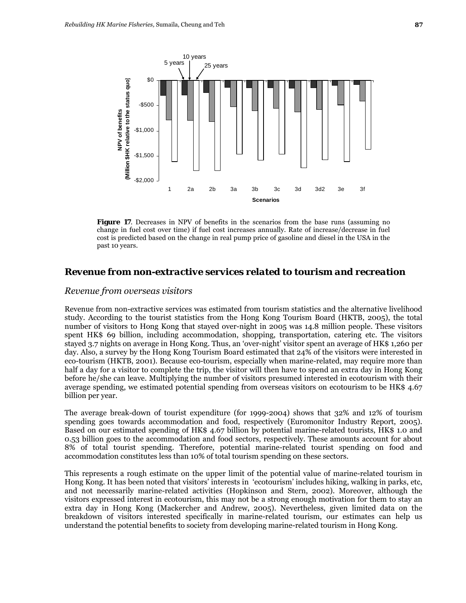

**Figure 17.** Decreases in NPV of benefits in the scenarios from the base runs (assuming no change in fuel cost over time) if fuel cost increases annually. Rate of increase/decrease in fuel cost is predicted based on the change in real pump price of gasoline and diesel in the USA in the past 10 years.

### *Revenue from non-extractive services related to tourism and recreation*

#### *Revenue from overseas visitors*

Revenue from non-extractive services was estimated from tourism statistics and the alternative livelihood study. According to the tourist statistics from the Hong Kong Tourism Board (HKTB, 2005), the total number of visitors to Hong Kong that stayed over-night in 2005 was 14.8 million people. These visitors spent HK\$ 69 billion, including accommodation, shopping, transportation, catering etc. The visitors stayed 3.7 nights on average in Hong Kong. Thus, an 'over-night' visitor spent an average of HK\$ 1,260 per day. Also, a survey by the Hong Kong Tourism Board estimated that 24% of the visitors were interested in eco-tourism (HKTB, 2001). Because eco-tourism, especially when marine-related, may require more than half a day for a visitor to complete the trip, the visitor will then have to spend an extra day in Hong Kong before he/she can leave. Multiplying the number of visitors presumed interested in ecotourism with their average spending, we estimated potential spending from overseas visitors on ecotourism to be HK\$ 4.67 billion per year.

The average break-down of tourist expenditure (for 1999-2004) shows that 32% and 12% of tourism spending goes towards accommodation and food, respectively (Euromonitor Industry Report, 2005). Based on our estimated spending of HK\$ 4.67 billion by potential marine-related tourists, HK\$ 1.0 and 0.53 billion goes to the accommodation and food sectors, respectively. These amounts account for about 8% of total tourist spending. Therefore, potential marine-related tourist spending on food and accommodation constitutes less than 10% of total tourism spending on these sectors.

This represents a rough estimate on the upper limit of the potential value of marine-related tourism in Hong Kong. It has been noted that visitors' interests in 'ecotourism' includes hiking, walking in parks, etc, and not necessarily marine-related activities (Hopkinson and Stern, 2002). Moreover, although the visitors expressed interest in ecotourism, this may not be a strong enough motivation for them to stay an extra day in Hong Kong (Mackercher and Andrew, 2005). Nevertheless, given limited data on the breakdown of visitors interested specifically in marine-related tourism, our estimates can help us understand the potential benefits to society from developing marine-related tourism in Hong Kong.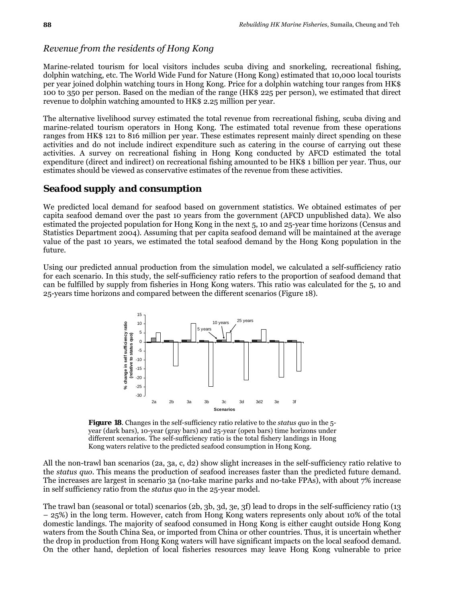#### *Revenue from the residents of Hong Kong*

Marine-related tourism for local visitors includes scuba diving and snorkeling, recreational fishing, dolphin watching, etc. The World Wide Fund for Nature (Hong Kong) estimated that 10,000 local tourists per year joined dolphin watching tours in Hong Kong. Price for a dolphin watching tour ranges from HK\$ 100 to 350 per person. Based on the median of the range (HK\$ 225 per person), we estimated that direct revenue to dolphin watching amounted to HK\$ 2.25 million per year.

The alternative livelihood survey estimated the total revenue from recreational fishing, scuba diving and marine-related tourism operators in Hong Kong. The estimated total revenue from these operations ranges from HK\$ 121 to 816 million per year. These estimates represent mainly direct spending on these activities and do not include indirect expenditure such as catering in the course of carrying out these activities. A survey on recreational fishing in Hong Kong conducted by AFCD estimated the total expenditure (direct and indirect) on recreational fishing amounted to be HK\$ 1 billion per year. Thus, our estimates should be viewed as conservative estimates of the revenue from these activities.

## *Seafood supply and consumption*

We predicted local demand for seafood based on government statistics. We obtained estimates of per capita seafood demand over the past 10 years from the government (AFCD unpublished data). We also estimated the projected population for Hong Kong in the next 5, 10 and 25-year time horizons (Census and Statistics Department 2004). Assuming that per capita seafood demand will be maintained at the average value of the past 10 years, we estimated the total seafood demand by the Hong Kong population in the future.

Using our predicted annual production from the simulation model, we calculated a self-sufficiency ratio for each scenario. In this study, the self-sufficiency ratio refers to the proportion of seafood demand that can be fulfilled by supply from fisheries in Hong Kong waters. This ratio was calculated for the 5, 10 and 25-years time horizons and compared between the different scenarios (Figure 18).



**Figure 18**. Changes in the self-sufficiency ratio relative to the *status quo* in the 5 year (dark bars), 10-year (gray bars) and 25-year (open bars) time horizons under different scenarios. The self-sufficiency ratio is the total fishery landings in Hong Kong waters relative to the predicted seafood consumption in Hong Kong.

All the non-trawl ban scenarios (2a, 3a, c, d2) show slight increases in the self-sufficiency ratio relative to the *status quo*. This means the production of seafood increases faster than the predicted future demand. The increases are largest in scenario 3a (no-take marine parks and no-take FPAs), with about 7% increase in self sufficiency ratio from the *status quo* in the 25-year model.

The trawl ban (seasonal or total) scenarios (2b, 3b, 3d, 3e, 3f) lead to drops in the self-sufficiency ratio (13 – 25%) in the long term. However, catch from Hong Kong waters represents only about 10% of the total domestic landings. The majority of seafood consumed in Hong Kong is either caught outside Hong Kong waters from the South China Sea, or imported from China or other countries. Thus, it is uncertain whether the drop in production from Hong Kong waters will have significant impacts on the local seafood demand. On the other hand, depletion of local fisheries resources may leave Hong Kong vulnerable to price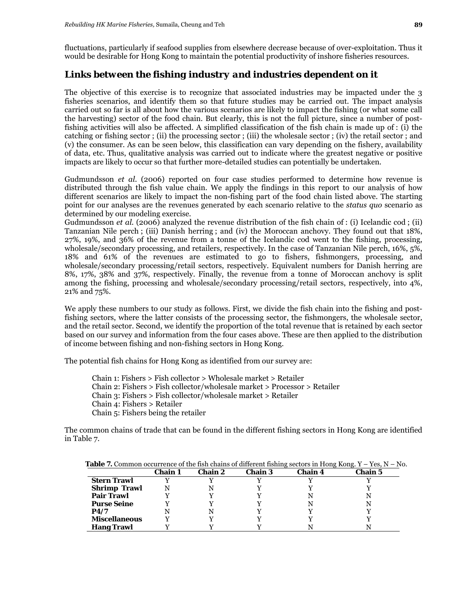fluctuations, particularly if seafood supplies from elsewhere decrease because of over-exploitation. Thus it would be desirable for Hong Kong to maintain the potential productivity of inshore fisheries resources.

## *Links between the fishing industry and industries dependent on it*

The objective of this exercise is to recognize that associated industries may be impacted under the 3 fisheries scenarios, and identify them so that future studies may be carried out. The impact analysis carried out so far is all about how the various scenarios are likely to impact the fishing (or what some call the harvesting) sector of the food chain. But clearly, this is not the full picture, since a number of postfishing activities will also be affected. A simplified classification of the fish chain is made up of : (i) the catching or fishing sector ; (ii) the processing sector ; (iii) the wholesale sector ; (iv) the retail sector ; and (v) the consumer. As can be seen below, this classification can vary depending on the fishery, availability of data, etc. Thus, qualitative analysis was carried out to indicate where the greatest negative or positive impacts are likely to occur so that further more-detailed studies can potentially be undertaken.

Gudmundsson *et al.* (2006) reported on four case studies performed to determine how revenue is distributed through the fish value chain. We apply the findings in this report to our analysis of how different scenarios are likely to impact the non-fishing part of the food chain listed above. The starting point for our analyses are the revenues generated by each scenario relative to the *status quo* scenario as determined by our modeling exercise.

Gudmundsson *et al.* (2006) analyzed the revenue distribution of the fish chain of : (i) Icelandic cod ; (ii) Tanzanian Nile perch ; (iii) Danish herring ; and (iv) the Moroccan anchovy. They found out that 18%, 27%, 19%, and 36% of the revenue from a tonne of the Icelandic cod went to the fishing, processing, wholesale/secondary processing, and retailers, respectively. In the case of Tanzanian Nile perch, 16%, 5%, 18% and 61% of the revenues are estimated to go to fishers, fishmongers, processing, and wholesale/secondary processing/retail sectors, respectively. Equivalent numbers for Danish herring are 8%, 17%, 38% and 37%, respectively. Finally, the revenue from a tonne of Moroccan anchovy is split among the fishing, processing and wholesale/secondary processing/retail sectors, respectively, into 4%, 21% and 75%.

We apply these numbers to our study as follows. First, we divide the fish chain into the fishing and postfishing sectors, where the latter consists of the processing sector, the fishmongers, the wholesale sector, and the retail sector. Second, we identify the proportion of the total revenue that is retained by each sector based on our survey and information from the four cases above. These are then applied to the distribution of income between fishing and non-fishing sectors in Hong Kong.

The potential fish chains for Hong Kong as identified from our survey are:

Chain 1: Fishers > Fish collector > Wholesale market > Retailer Chain 2: Fishers > Fish collector/wholesale market > Processor > Retailer Chain 3: Fishers > Fish collector/wholesale market > Retailer Chain 4: Fishers > Retailer Chain 5: Fishers being the retailer

The common chains of trade that can be found in the different fishing sectors in Hong Kong are identified in Table 7.

|                      | Chain 1 | Chain 2 | Chain 3 | <b>Chain 4</b> | Chain 5 |
|----------------------|---------|---------|---------|----------------|---------|
| <b>Stern Trawl</b>   |         |         |         |                |         |
| <b>Shrimp Trawl</b>  |         |         |         |                |         |
| <b>Pair Trawl</b>    |         |         |         |                |         |
| <b>Purse Seine</b>   |         |         |         |                |         |
| P4/7                 |         |         |         |                |         |
| <b>Miscellaneous</b> |         |         |         |                |         |
| <b>Hang Trawl</b>    |         |         |         |                |         |

**Table 7.** Common occurrence of the fish chains of different fishing sectors in Hong Kong. Y – Yes, N – No.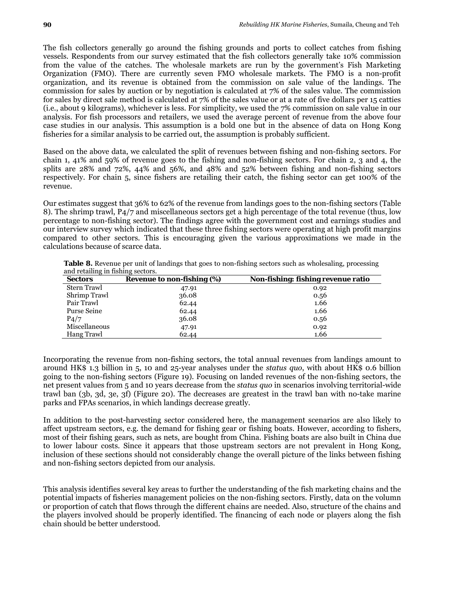The fish collectors generally go around the fishing grounds and ports to collect catches from fishing vessels. Respondents from our survey estimated that the fish collectors generally take 10% commission from the value of the catches. The wholesale markets are run by the government's Fish Marketing Organization (FMO). There are currently seven FMO wholesale markets. The FMO is a non-profit organization, and its revenue is obtained from the commission on sale value of the landings. The commission for sales by auction or by negotiation is calculated at 7% of the sales value. The commission for sales by direct sale method is calculated at 7% of the sales value or at a rate of five dollars per 15 catties (i.e., about 9 kilograms), whichever is less. For simplicity, we used the 7% commission on sale value in our analysis. For fish processors and retailers, we used the average percent of revenue from the above four case studies in our analysis. This assumption is a bold one but in the absence of data on Hong Kong fisheries for a similar analysis to be carried out, the assumption is probably sufficient.

Based on the above data, we calculated the split of revenues between fishing and non-fishing sectors. For chain 1, 41% and 59% of revenue goes to the fishing and non-fishing sectors. For chain 2, 3 and 4, the splits are 28% and 72%, 44% and 56%, and 48% and 52% between fishing and non-fishing sectors respectively. For chain 5, since fishers are retailing their catch, the fishing sector can get 100% of the revenue.

Our estimates suggest that 36% to 62% of the revenue from landings goes to the non-fishing sectors (Table 8). The shrimp trawl, P4/7 and miscellaneous sectors get a high percentage of the total revenue (thus, low percentage to non-fishing sector). The findings agree with the government cost and earnings studies and our interview survey which indicated that these three fishing sectors were operating at high profit margins compared to other sectors. This is encouraging given the various approximations we made in the calculations because of scarce data.

| <b>Sectors</b>    | <b>Revenue to non-fishing (%)</b> | Non-fishing: fishing revenue ratio |
|-------------------|-----------------------------------|------------------------------------|
| Stern Trawl       | 47.91                             | 0.92                               |
| Shrimp Trawl      | 36.08                             | 0.56                               |
| Pair Trawl        | 62.44                             | 1.66                               |
| Purse Seine       | 62.44                             | 1.66                               |
| P <sub>4</sub> /7 | 36.08                             | 0.56                               |
| Miscellaneous     | 47.91                             | 0.92                               |
| Hang Trawl        | 62.44                             | 1.66                               |

**Table 8.** Revenue per unit of landings that goes to non-fishing sectors such as wholesaling, processing and retailing in fishing sectors.

Incorporating the revenue from non-fishing sectors, the total annual revenues from landings amount to around HK\$ 1.3 billion in 5, 10 and 25-year analyses under the *status quo*, with about HK\$ 0.6 billion going to the non-fishing sectors (Figure 19). Focusing on landed revenues of the non-fishing sectors, the net present values from 5 and 10 years decrease from the *status quo* in scenarios involving territorial-wide trawl ban (3b, 3d, 3e, 3f) (Figure 20). The decreases are greatest in the trawl ban with no-take marine parks and FPAs scenarios, in which landings decrease greatly.

In addition to the post-harvesting sector considered here, the management scenarios are also likely to affect upstream sectors, e.g. the demand for fishing gear or fishing boats. However, according to fishers, most of their fishing gears, such as nets, are bought from China. Fishing boats are also built in China due to lower labour costs. Since it appears that those upstream sectors are not prevalent in Hong Kong, inclusion of these sections should not considerably change the overall picture of the links between fishing and non-fishing sectors depicted from our analysis.

This analysis identifies several key areas to further the understanding of the fish marketing chains and the potential impacts of fisheries management policies on the non-fishing sectors. Firstly, data on the volumn or proportion of catch that flows through the different chains are needed. Also, structure of the chains and the players involved should be properly identified. The financing of each node or players along the fish chain should be better understood.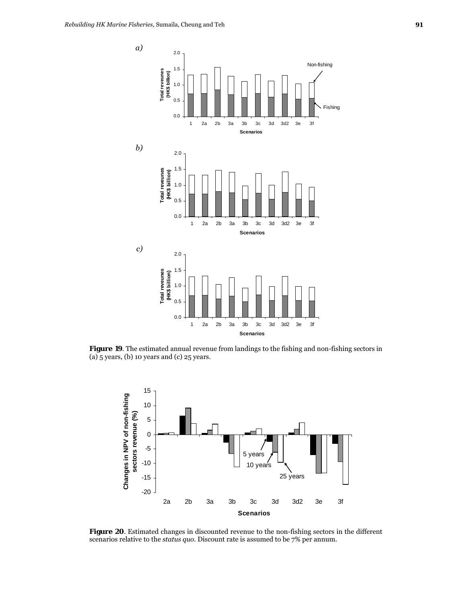

**Figure 19**. The estimated annual revenue from landings to the fishing and non-fishing sectors in (a) 5 years, (b) 10 years and (c) 25 years.



**Figure 20**. Estimated changes in discounted revenue to the non-fishing sectors in the different scenarios relative to the *status quo*. Discount rate is assumed to be 7% per annum.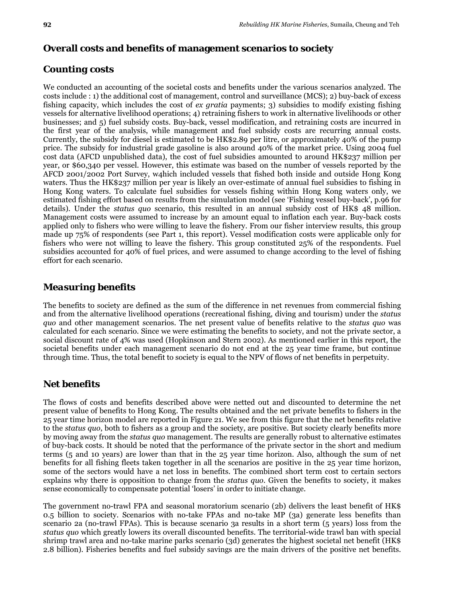## **Overall costs and benefits of management scenarios to society**

# *Counting costs*

We conducted an accounting of the societal costs and benefits under the various scenarios analyzed. The costs include : 1) the additional cost of management, control and surveillance (MCS); 2) buy-back of excess fishing capacity, which includes the cost of *ex gratia* payments; 3) subsidies to modify existing fishing vessels for alternative livelihood operations; 4) retraining fishers to work in alternative livelihoods or other businesses; and 5) fuel subsidy costs. Buy-back, vessel modification, and retraining costs are incurred in the first year of the analysis, while management and fuel subsidy costs are recurring annual costs. Currently, the subsidy for diesel is estimated to be HK\$2.89 per litre, or approximately 40% of the pump price. The subsidy for industrial grade gasoline is also around 40% of the market price. Using 2004 fuel cost data (AFCD unpublished data), the cost of fuel subsidies amounted to around HK\$237 million per year, or \$60,340 per vessel. However, this estimate was based on the number of vessels reported by the AFCD 2001/2002 Port Survey, w4hich included vessels that fished both inside and outside Hong Kong waters. Thus the HK\$237 million per year is likely an over-estimate of annual fuel subsidies to fishing in Hong Kong waters. To calculate fuel subsidies for vessels fishing within Hong Kong waters only, we estimated fishing effort based on results from the simulation model (see 'Fishing vessel buy-back', p.96 for details). Under the *status quo* scenario, this resulted in an annual subsidy cost of HK\$ 48 million. Management costs were assumed to increase by an amount equal to inflation each year. Buy-back costs applied only to fishers who were willing to leave the fishery. From our fisher interview results, this group made up 75% of respondents (see Part 1, this report). Vessel modification costs were applicable only for fishers who were not willing to leave the fishery. This group constituted 25% of the respondents. Fuel subsidies accounted for 40% of fuel prices, and were assumed to change according to the level of fishing effort for each scenario.

# *Measuring benefits*

The benefits to society are defined as the sum of the difference in net revenues from commercial fishing and from the alternative livelihood operations (recreational fishing, diving and tourism) under the *status quo* and other management scenarios. The net present value of benefits relative to the *status quo* was calculated for each scenario. Since we were estimating the benefits to society, and not the private sector, a social discount rate of 4% was used (Hopkinson and Stern 2002). As mentioned earlier in this report, the societal benefits under each management scenario do not end at the 25 year time frame, but continue through time. Thus, the total benefit to society is equal to the NPV of flows of net benefits in perpetuity.

# *Net benefits*

The flows of costs and benefits described above were netted out and discounted to determine the net present value of benefits to Hong Kong. The results obtained and the net private benefits to fishers in the 25 year time horizon model are reported in Figure 21. We see from this figure that the net benefits relative to the *status quo*, both to fishers as a group and the society, are positive. But society clearly benefits more by moving away from the *status quo* management. The results are generally robust to alternative estimates of buy-back costs. It should be noted that the performance of the private sector in the short and medium terms (5 and 10 years) are lower than that in the 25 year time horizon. Also, although the sum of net benefits for all fishing fleets taken together in all the scenarios are positive in the 25 year time horizon, some of the sectors would have a net loss in benefits. The combined short term cost to certain sectors explains why there is opposition to change from the *status quo*. Given the benefits to society, it makes sense economically to compensate potential 'losers' in order to initiate change.

The government no-trawl FPA and seasonal moratorium scenario (2b) delivers the least benefit of HK\$ 0.5 billion to society. Scenarios with no-take FPAs and no-take MP (3a) generate less benefits than scenario 2a (no-trawl FPAs). This is because scenario 3a results in a short term (5 years) loss from the *status quo* which greatly lowers its overall discounted benefits. The territorial-wide trawl ban with special shrimp trawl area and no-take marine parks scenario (3d) generates the highest societal net benefit (HK\$ 2.8 billion). Fisheries benefits and fuel subsidy savings are the main drivers of the positive net benefits.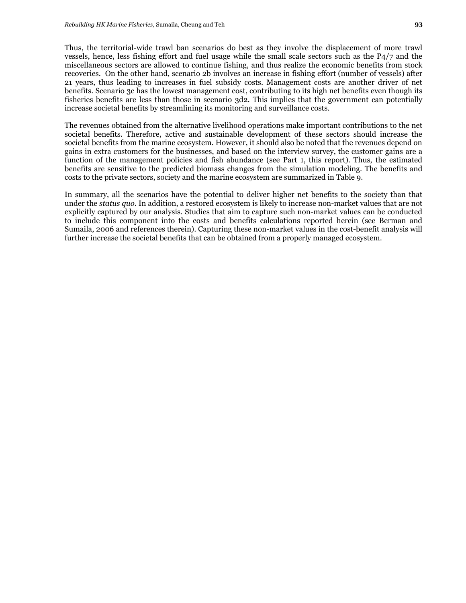Thus, the territorial-wide trawl ban scenarios do best as they involve the displacement of more trawl vessels, hence, less fishing effort and fuel usage while the small scale sectors such as the P4/7 and the miscellaneous sectors are allowed to continue fishing, and thus realize the economic benefits from stock recoveries. On the other hand, scenario 2b involves an increase in fishing effort (number of vessels) after 21 years, thus leading to increases in fuel subsidy costs. Management costs are another driver of net benefits. Scenario 3c has the lowest management cost, contributing to its high net benefits even though its fisheries benefits are less than those in scenario 3d2. This implies that the government can potentially increase societal benefits by streamlining its monitoring and surveillance costs.

The revenues obtained from the alternative livelihood operations make important contributions to the net societal benefits. Therefore, active and sustainable development of these sectors should increase the societal benefits from the marine ecosystem. However, it should also be noted that the revenues depend on gains in extra customers for the businesses, and based on the interview survey, the customer gains are a function of the management policies and fish abundance (see Part 1, this report). Thus, the estimated benefits are sensitive to the predicted biomass changes from the simulation modeling. The benefits and costs to the private sectors, society and the marine ecosystem are summarized in Table 9.

In summary, all the scenarios have the potential to deliver higher net benefits to the society than that under the *status quo*. In addition, a restored ecosystem is likely to increase non-market values that are not explicitly captured by our analysis. Studies that aim to capture such non-market values can be conducted to include this component into the costs and benefits calculations reported herein (see Berman and Sumaila, 2006 and references therein). Capturing these non-market values in the cost-benefit analysis will further increase the societal benefits that can be obtained from a properly managed ecosystem.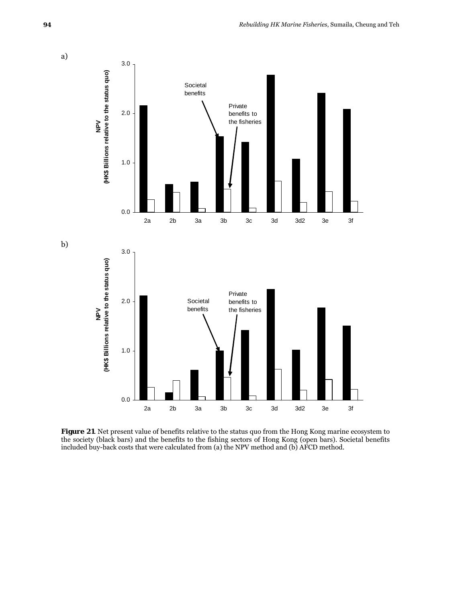

**Figure 21**. Net present value of benefits relative to the status quo from the Hong Kong marine ecosystem to the society (black bars) and the benefits to the fishing sectors of Hong Kong (open bars). Societal benefits included buy-back costs that were calculated from (a) the NPV method and (b) AFCD method.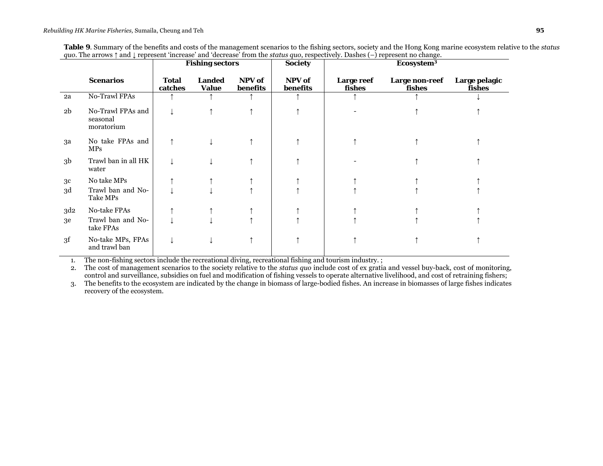|                 |                                             | <b>Fishing sectors</b>  |                               | <b>Society</b>     | Ecosystem <sup>3</sup> |                      |                          |                         |
|-----------------|---------------------------------------------|-------------------------|-------------------------------|--------------------|------------------------|----------------------|--------------------------|-------------------------|
|                 | <b>Scenarios</b>                            | <b>Total</b><br>catches | <b>Landed</b><br><b>Value</b> | NPV of<br>benefits | NPV of<br>benefits     | Large reef<br>fishes | Large non-reef<br>fishes | Large pelagic<br>fishes |
| 2a              | <b>No-Trawl FPAs</b>                        |                         |                               |                    |                        |                      |                          |                         |
| 2 <sub>b</sub>  | No-Trawl FPAs and<br>seasonal<br>moratorium |                         |                               |                    |                        |                      |                          |                         |
| за              | No take FPAs and<br><b>MPs</b>              |                         |                               |                    |                        |                      |                          |                         |
| 3 <sub>b</sub>  | Trawl ban in all HK<br>water                |                         |                               |                    |                        |                      |                          |                         |
| 3c              | No take MPs                                 |                         |                               |                    |                        |                      |                          |                         |
| 3d              | Trawl ban and No-<br>Take MPs               |                         |                               |                    |                        |                      |                          |                         |
| 3d <sub>2</sub> | No-take FPAs                                |                         |                               |                    |                        |                      |                          |                         |
| 3e              | Trawl ban and No-<br>take FPAs              |                         |                               |                    |                        |                      |                          |                         |
| 3f              | No-take MPs, FPAs<br>and trawl ban          |                         |                               |                    |                        |                      |                          |                         |

1.The non-fishing sectors include the recreational diving, recreational fishing and tourism industry. ;

2. The cost of management scenarios to the society relative to the *status quo* include cost of ex gratia and vessel buy-back, cost of monitoring, control and surveillance, subsidies on fuel and modification of fishing vessels to operate alternative livelihood, and cost of retraining fishers;

3. The benefits to the ecosystem are indicated by the change in biomass of large-bodied fishes. An increase in biomasses of large fishes indicates recovery of the ecosystem.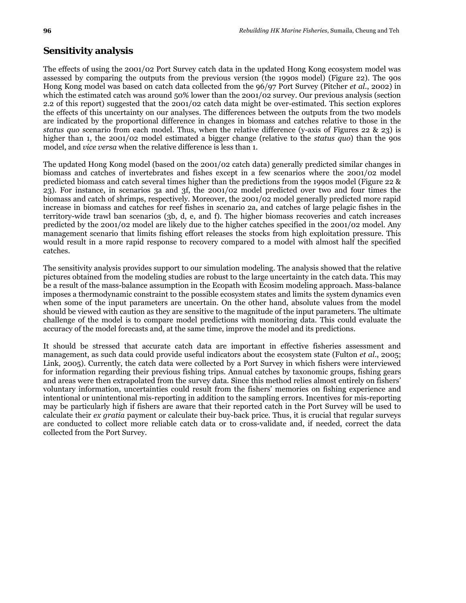The effects of using the 2001/02 Port Survey catch data in the updated Hong Kong ecosystem model was assessed by comparing the outputs from the previous version (the 1990s model) (Figure 22). The 90s Hong Kong model was based on catch data collected from the 96/97 Port Survey (Pitcher *et al*., 2002) in which the estimated catch was around 50% lower than the 2001/02 survey. Our previous analysis (section 2.2 of this report) suggested that the 2001/02 catch data might be over-estimated. This section explores the effects of this uncertainty on our analyses. The differences between the outputs from the two models are indicated by the proportional difference in changes in biomass and catches relative to those in the *status quo* scenario from each model. Thus, when the relative difference (y-axis of Figures 22 & 23) is higher than 1, the 2001/02 model estimated a bigger change (relative to the *status quo*) than the 90s model, and *vice versa* when the relative difference is less than 1.

The updated Hong Kong model (based on the 2001/02 catch data) generally predicted similar changes in biomass and catches of invertebrates and fishes except in a few scenarios where the 2001/02 model predicted biomass and catch several times higher than the predictions from the 1990s model (Figure 22 & 23). For instance, in scenarios 3a and 3f, the 2001/02 model predicted over two and four times the biomass and catch of shrimps, respectively. Moreover, the 2001/02 model generally predicted more rapid increase in biomass and catches for reef fishes in scenario 2a, and catches of large pelagic fishes in the territory-wide trawl ban scenarios (3b, d, e, and f). The higher biomass recoveries and catch increases predicted by the 2001/02 model are likely due to the higher catches specified in the 2001/02 model. Any management scenario that limits fishing effort releases the stocks from high exploitation pressure. This would result in a more rapid response to recovery compared to a model with almost half the specified catches.

The sensitivity analysis provides support to our simulation modeling. The analysis showed that the relative pictures obtained from the modeling studies are robust to the large uncertainty in the catch data. This may be a result of the mass-balance assumption in the Ecopath with Ecosim modeling approach. Mass-balance imposes a thermodynamic constraint to the possible ecosystem states and limits the system dynamics even when some of the input parameters are uncertain. On the other hand, absolute values from the model should be viewed with caution as they are sensitive to the magnitude of the input parameters. The ultimate challenge of the model is to compare model predictions with monitoring data. This could evaluate the accuracy of the model forecasts and, at the same time, improve the model and its predictions.

It should be stressed that accurate catch data are important in effective fisheries assessment and management, as such data could provide useful indicators about the ecosystem state (Fulton *et al*., 2005; Link, 2005). Currently, the catch data were collected by a Port Survey in which fishers were interviewed for information regarding their previous fishing trips. Annual catches by taxonomic groups, fishing gears and areas were then extrapolated from the survey data. Since this method relies almost entirely on fishers' voluntary information, uncertainties could result from the fishers' memories on fishing experience and intentional or unintentional mis-reporting in addition to the sampling errors. Incentives for mis-reporting may be particularly high if fishers are aware that their reported catch in the Port Survey will be used to calculate their *ex gratia* payment or calculate their buy-back price. Thus, it is crucial that regular surveys are conducted to collect more reliable catch data or to cross-validate and, if needed, correct the data collected from the Port Survey.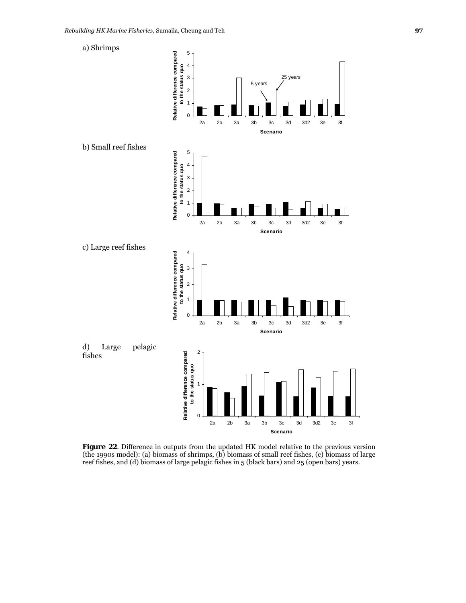a) Shrimps





**Figure 22**. Difference in outputs from the updated HK model relative to the previous version (the 1990s model): (a) biomass of shrimps, (b) biomass of small reef fishes, (c) biomass of large reef fishes, and (d) biomass of large pelagic fishes in 5 (black bars) and 25 (open bars) years.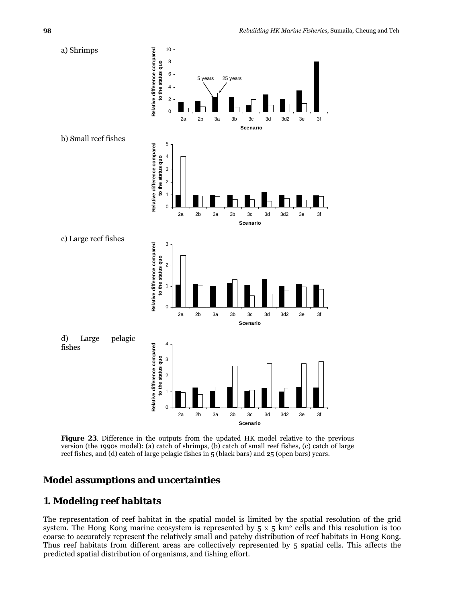

**Figure 23**. Difference in the outputs from the updated HK model relative to the previous version (the 1990s model): (a) catch of shrimps, (b) catch of small reef fishes, (c) catch of large reef fishes, and (d) catch of large pelagic fishes in 5 (black bars) and 25 (open bars) years.

#### **Model assumptions and uncertainties**

# *1. Modeling reef habitats*

The representation of reef habitat in the spatial model is limited by the spatial resolution of the grid system. The Hong Kong marine ecosystem is represented by  $5 \times 5$  km<sup>2</sup> cells and this resolution is too coarse to accurately represent the relatively small and patchy distribution of reef habitats in Hong Kong. Thus reef habitats from different areas are collectively represented by 5 spatial cells. This affects the predicted spatial distribution of organisms, and fishing effort.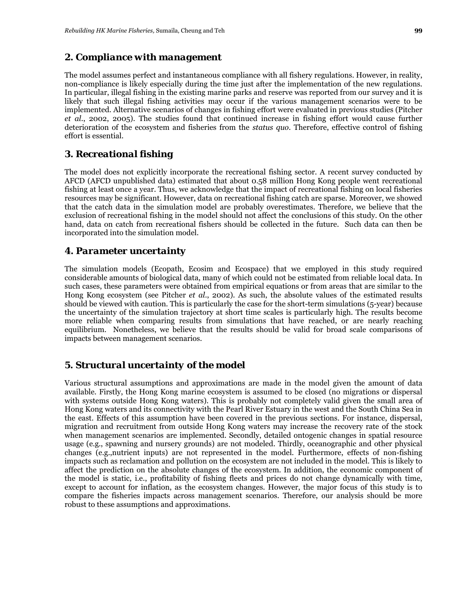#### *2. Compliance with management*

The model assumes perfect and instantaneous compliance with all fishery regulations. However, in reality, non-compliance is likely especially during the time just after the implementation of the new regulations. In particular, illegal fishing in the existing marine parks and reserve was reported from our survey and it is likely that such illegal fishing activities may occur if the various management scenarios were to be implemented. Alternative scenarios of changes in fishing effort were evaluated in previous studies (Pitcher *et al*., 2002, 2005). The studies found that continued increase in fishing effort would cause further deterioration of the ecosystem and fisheries from the *status quo*. Therefore, effective control of fishing effort is essential.

#### *3. Recreational fishing*

The model does not explicitly incorporate the recreational fishing sector. A recent survey conducted by AFCD (AFCD unpublished data) estimated that about 0.58 million Hong Kong people went recreational fishing at least once a year. Thus, we acknowledge that the impact of recreational fishing on local fisheries resources may be significant. However, data on recreational fishing catch are sparse. Moreover, we showed that the catch data in the simulation model are probably overestimates. Therefore, we believe that the exclusion of recreational fishing in the model should not affect the conclusions of this study. On the other hand, data on catch from recreational fishers should be collected in the future. Such data can then be incorporated into the simulation model.

#### *4. Parameter uncertainty*

The simulation models (Ecopath, Ecosim and Ecospace) that we employed in this study required considerable amounts of biological data, many of which could not be estimated from reliable local data. In such cases, these parameters were obtained from empirical equations or from areas that are similar to the Hong Kong ecosystem (see Pitcher *et al*., 2002). As such, the absolute values of the estimated results should be viewed with caution. This is particularly the case for the short-term simulations (5-year) because the uncertainty of the simulation trajectory at short time scales is particularly high. The results become more reliable when comparing results from simulations that have reached, or are nearly reaching equilibrium. Nonetheless, we believe that the results should be valid for broad scale comparisons of impacts between management scenarios.

### *5. Structural uncertainty of the model*

Various structural assumptions and approximations are made in the model given the amount of data available. Firstly, the Hong Kong marine ecosystem is assumed to be closed (no migrations or dispersal with systems outside Hong Kong waters). This is probably not completely valid given the small area of Hong Kong waters and its connectivity with the Pearl River Estuary in the west and the South China Sea in the east. Effects of this assumption have been covered in the previous sections. For instance, dispersal, migration and recruitment from outside Hong Kong waters may increase the recovery rate of the stock when management scenarios are implemented. Secondly, detailed ontogenic changes in spatial resource usage (e.g., spawning and nursery grounds) are not modeled. Thirdly, oceanographic and other physical changes (e.g.,nutrient inputs) are not represented in the model. Furthermore, effects of non-fishing impacts such as reclamation and pollution on the ecosystem are not included in the model. This is likely to affect the prediction on the absolute changes of the ecosystem. In addition, the economic component of the model is static, i.e., profitability of fishing fleets and prices do not change dynamically with time, except to account for inflation, as the ecosystem changes. However, the major focus of this study is to compare the fisheries impacts across management scenarios. Therefore, our analysis should be more robust to these assumptions and approximations.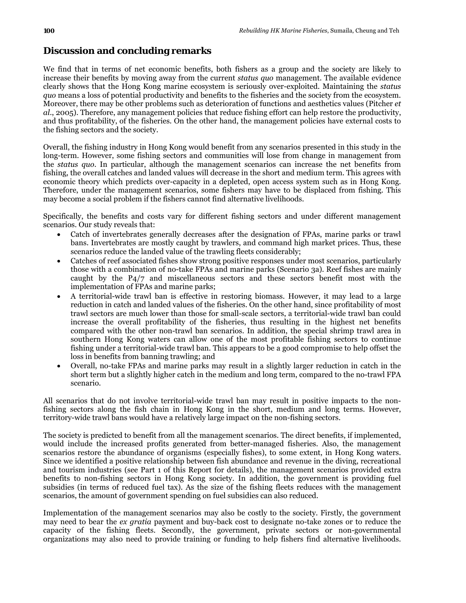# **Discussion and concluding remarks**

We find that in terms of net economic benefits, both fishers as a group and the society are likely to increase their benefits by moving away from the current *status quo* management. The available evidence clearly shows that the Hong Kong marine ecosystem is seriously over-exploited. Maintaining the *status quo* means a loss of potential productivity and benefits to the fisheries and the society from the ecosystem. Moreover, there may be other problems such as deterioration of functions and aesthetics values (Pitcher *et al*., 2005). Therefore, any management policies that reduce fishing effort can help restore the productivity, and thus profitability, of the fisheries. On the other hand, the management policies have external costs to the fishing sectors and the society.

Overall, the fishing industry in Hong Kong would benefit from any scenarios presented in this study in the long-term. However, some fishing sectors and communities will lose from change in management from the *status quo*. In particular, although the management scenarios can increase the net benefits from fishing, the overall catches and landed values will decrease in the short and medium term. This agrees with economic theory which predicts over-capacity in a depleted, open access system such as in Hong Kong. Therefore, under the management scenarios, some fishers may have to be displaced from fishing. This may become a social problem if the fishers cannot find alternative livelihoods.

Specifically, the benefits and costs vary for different fishing sectors and under different management scenarios. Our study reveals that:

- Catch of invertebrates generally decreases after the designation of FPAs, marine parks or trawl bans. Invertebrates are mostly caught by trawlers, and command high market prices. Thus, these scenarios reduce the landed value of the trawling fleets considerably;
- Catches of reef associated fishes show strong positive responses under most scenarios, particularly those with a combination of no-take FPAs and marine parks (Scenario 3a). Reef fishes are mainly caught by the P4/7 and miscellaneous sectors and these sectors benefit most with the implementation of FPAs and marine parks;
- A territorial-wide trawl ban is effective in restoring biomass. However, it may lead to a large reduction in catch and landed values of the fisheries. On the other hand, since profitability of most trawl sectors are much lower than those for small-scale sectors, a territorial-wide trawl ban could increase the overall profitability of the fisheries, thus resulting in the highest net benefits compared with the other non-trawl ban scenarios. In addition, the special shrimp trawl area in southern Hong Kong waters can allow one of the most profitable fishing sectors to continue fishing under a territorial-wide trawl ban. This appears to be a good compromise to help offset the loss in benefits from banning trawling; and
- Overall, no-take FPAs and marine parks may result in a slightly larger reduction in catch in the short term but a slightly higher catch in the medium and long term, compared to the no-trawl FPA scenario.

All scenarios that do not involve territorial-wide trawl ban may result in positive impacts to the nonfishing sectors along the fish chain in Hong Kong in the short, medium and long terms. However, territory-wide trawl bans would have a relatively large impact on the non-fishing sectors.

The society is predicted to benefit from all the management scenarios. The direct benefits, if implemented, would include the increased profits generated from better-managed fisheries. Also, the management scenarios restore the abundance of organisms (especially fishes), to some extent, in Hong Kong waters. Since we identified a positive relationship between fish abundance and revenue in the diving, recreational and tourism industries (see Part 1 of this Report for details), the management scenarios provided extra benefits to non-fishing sectors in Hong Kong society. In addition, the government is providing fuel subsidies (in terms of reduced fuel tax). As the size of the fishing fleets reduces with the management scenarios, the amount of government spending on fuel subsidies can also reduced.

Implementation of the management scenarios may also be costly to the society. Firstly, the government may need to bear the *ex gratia* payment and buy-back cost to designate no-take zones or to reduce the capacity of the fishing fleets. Secondly, the government, private sectors or non-governmental organizations may also need to provide training or funding to help fishers find alternative livelihoods.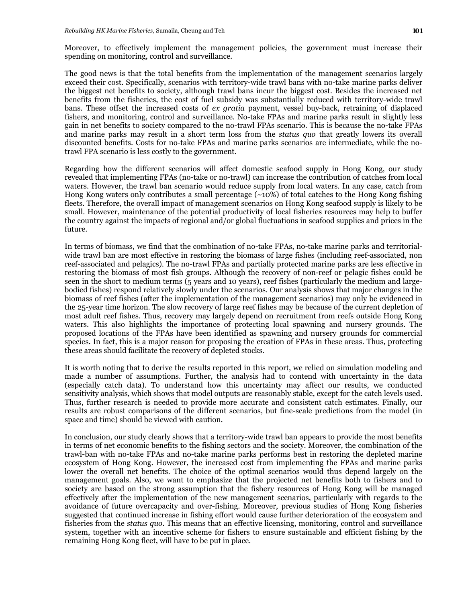Moreover, to effectively implement the management policies, the government must increase their spending on monitoring, control and surveillance.

The good news is that the total benefits from the implementation of the management scenarios largely exceed their cost. Specifically, scenarios with territory-wide trawl bans with no-take marine parks deliver the biggest net benefits to society, although trawl bans incur the biggest cost. Besides the increased net benefits from the fisheries, the cost of fuel subsidy was substantially reduced with territory-wide trawl bans. These offset the increased costs of *ex gratia* payment, vessel buy-back, retraining of displaced fishers, and monitoring, control and surveillance. No-take FPAs and marine parks result in slightly less gain in net benefits to society compared to the no-trawl FPAs scenario. This is because the no-take FPAs and marine parks may result in a short term loss from the *status quo* that greatly lowers its overall discounted benefits. Costs for no-take FPAs and marine parks scenarios are intermediate, while the notrawl FPA scenario is less costly to the government.

Regarding how the different scenarios will affect domestic seafood supply in Hong Kong, our study revealed that implementing FPAs (no-take or no-trawl) can increase the contribution of catches from local waters. However, the trawl ban scenario would reduce supply from local waters. In any case, catch from Hong Kong waters only contributes a small percentage (~10%) of total catches to the Hong Kong fishing fleets. Therefore, the overall impact of management scenarios on Hong Kong seafood supply is likely to be small. However, maintenance of the potential productivity of local fisheries resources may help to buffer the country against the impacts of regional and/or global fluctuations in seafood supplies and prices in the future.

In terms of biomass, we find that the combination of no-take FPAs, no-take marine parks and territorialwide trawl ban are most effective in restoring the biomass of large fishes (including reef-associated, non reef-associated and pelagics). The no-trawl FPAs and partially protected marine parks are less effective in restoring the biomass of most fish groups. Although the recovery of non-reef or pelagic fishes could be seen in the short to medium terms (5 years and 10 years), reef fishes (particularly the medium and largebodied fishes) respond relatively slowly under the scenarios. Our analysis shows that major changes in the biomass of reef fishes (after the implementation of the management scenarios) may only be evidenced in the 25-year time horizon. The slow recovery of large reef fishes may be because of the current depletion of most adult reef fishes. Thus, recovery may largely depend on recruitment from reefs outside Hong Kong waters. This also highlights the importance of protecting local spawning and nursery grounds. The proposed locations of the FPAs have been identified as spawning and nursery grounds for commercial species. In fact, this is a major reason for proposing the creation of FPAs in these areas. Thus, protecting these areas should facilitate the recovery of depleted stocks.

It is worth noting that to derive the results reported in this report, we relied on simulation modeling and made a number of assumptions. Further, the analysis had to contend with uncertainty in the data (especially catch data). To understand how this uncertainty may affect our results, we conducted sensitivity analysis, which shows that model outputs are reasonably stable, except for the catch levels used. Thus, further research is needed to provide more accurate and consistent catch estimates. Finally, our results are robust comparisons of the different scenarios, but fine-scale predictions from the model (in space and time) should be viewed with caution.

In conclusion, our study clearly shows that a territory-wide trawl ban appears to provide the most benefits in terms of net economic benefits to the fishing sectors and the society. Moreover, the combination of the trawl-ban with no-take FPAs and no-take marine parks performs best in restoring the depleted marine ecosystem of Hong Kong. However, the increased cost from implementing the FPAs and marine parks lower the overall net benefits. The choice of the optimal scenarios would thus depend largely on the management goals. Also, we want to emphasize that the projected net benefits both to fishers and to society are based on the strong assumption that the fishery resources of Hong Kong will be managed effectively after the implementation of the new management scenarios, particularly with regards to the avoidance of future overcapacity and over-fishing. Moreover, previous studies of Hong Kong fisheries suggested that continued increase in fishing effort would cause further deterioration of the ecosystem and fisheries from the *status quo*. This means that an effective licensing, monitoring, control and surveillance system, together with an incentive scheme for fishers to ensure sustainable and efficient fishing by the remaining Hong Kong fleet, will have to be put in place.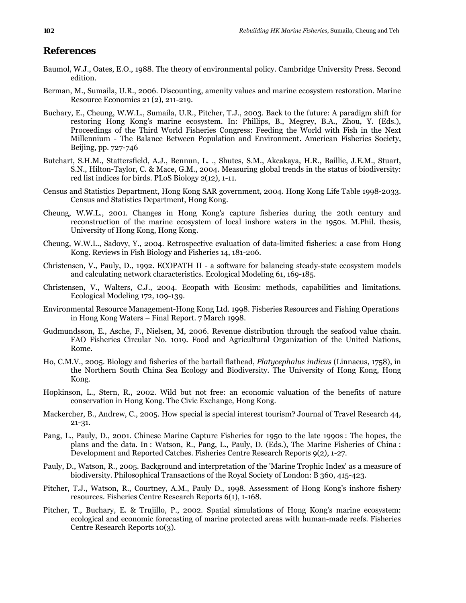# **References**

- Baumol, W.J., Oates, E.O., 1988. The theory of environmental policy. Cambridge University Press. Second edition.
- Berman, M., Sumaila, U.R., 2006. Discounting, amenity values and marine ecosystem restoration. Marine Resource Economics 21 (2), 211-219.
- Buchary, E., Cheung, W.W.L., Sumaila, U.R., Pitcher, T.J., 2003. Back to the future: A paradigm shift for restoring Hong Kong's marine ecosystem. In: Phillips, B., Megrey, B.A., Zhou, Y. (Eds.), Proceedings of the Third World Fisheries Congress: Feeding the World with Fish in the Next Millennium - The Balance Between Population and Environment. American Fisheries Society, Beijing, pp. 727-746
- Butchart, S.H.M., Stattersfield, A.J., Bennun, L. ., Shutes, S.M., Akcakaya, H.R., Baillie, J.E.M., Stuart, S.N., Hilton-Taylor, C. & Mace, G.M., 2004. Measuring global trends in the status of biodiversity: red list indices for birds. PLoS Biology 2(12), 1-11.
- Census and Statistics Department, Hong Kong SAR government, 2004. Hong Kong Life Table 1998-2033. Census and Statistics Department, Hong Kong.
- Cheung, W.W.L., 2001. Changes in Hong Kong's capture fisheries during the 20th century and reconstruction of the marine ecosystem of local inshore waters in the 1950s. M.Phil. thesis, University of Hong Kong, Hong Kong.
- Cheung, W.W.L., Sadovy, Y., 2004. Retrospective evaluation of data-limited fisheries: a case from Hong Kong. Reviews in Fish Biology and Fisheries 14, 181-206.
- Christensen, V., Pauly, D., 1992. ECOPATH II a software for balancing steady-state ecosystem models and calculating network characteristics. Ecological Modeling 61, 169-185.
- Christensen, V., Walters, C.J., 2004. Ecopath with Ecosim: methods, capabilities and limitations. Ecological Modeling 172, 109-139.
- Environmental Resource Management-Hong Kong Ltd. 1998. Fisheries Resources and Fishing Operations in Hong Kong Waters – Final Report. 7 March 1998.
- Gudmundsson, E., Asche, F., Nielsen, M, 2006. Revenue distribution through the seafood value chain. FAO Fisheries Circular No. 1019. Food and Agricultural Organization of the United Nations, Rome.
- Ho, C.M.V., 2005. Biology and fisheries of the bartail flathead, *Platycephalus indicus* (Linnaeus, 1758), in the Northern South China Sea Ecology and Biodiversity. The University of Hong Kong, Hong Kong.
- Hopkinson, L., Stern, R., 2002. Wild but not free: an economic valuation of the benefits of nature conservation in Hong Kong. The Civic Exchange, Hong Kong.
- Mackercher, B., Andrew, C., 2005. How special is special interest tourism? Journal of Travel Research 44, 21-31.
- Pang, L., Pauly, D., 2001. Chinese Marine Capture Fisheries for 1950 to the late 1990s : The hopes, the plans and the data. In : Watson, R., Pang, L., Pauly, D. (Eds.), The Marine Fisheries of China : Development and Reported Catches. Fisheries Centre Research Reports 9(2), 1-27.
- Pauly, D., Watson, R., 2005. Background and interpretation of the 'Marine Trophic Index' as a measure of biodiversity. Philosophical Transactions of the Royal Society of London: B 360, 415-423.
- Pitcher, T.J., Watson, R., Courtney, A.M., Pauly D., 1998. Assessment of Hong Kong's inshore fishery resources. Fisheries Centre Research Reports 6(1), 1-168.
- Pitcher, T., Buchary, E. & Trujillo, P., 2002. Spatial simulations of Hong Kong's marine ecosystem: ecological and economic forecasting of marine protected areas with human-made reefs. Fisheries Centre Research Reports 10(3).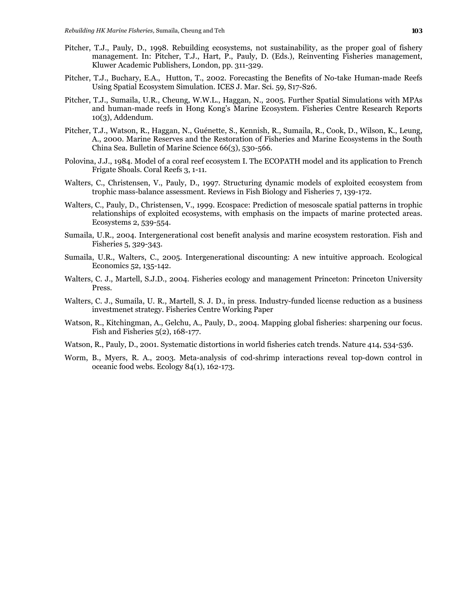- Pitcher, T.J., Pauly, D., 1998. Rebuilding ecosystems, not sustainability, as the proper goal of fishery management. In: Pitcher, T.J., Hart, P., Pauly, D. (Eds.), Reinventing Fisheries management, Kluwer Academic Publishers, London, pp. 311-329.
- Pitcher, T.J., Buchary, E.A., Hutton, T., 2002. Forecasting the Benefits of No-take Human-made Reefs Using Spatial Ecosystem Simulation. ICES J. Mar. Sci. 59, S17-S26.
- Pitcher, T.J., Sumaila, U.R., Cheung, W.W.L., Haggan, N., 2005. Further Spatial Simulations with MPAs and human-made reefs in Hong Kong's Marine Ecosystem. Fisheries Centre Research Reports 10(3), Addendum.
- Pitcher, T.J., Watson, R., Haggan, N., Guénette, S., Kennish, R., Sumaila, R., Cook, D., Wilson, K., Leung, A., 2000. Marine Reserves and the Restoration of Fisheries and Marine Ecosystems in the South China Sea. Bulletin of Marine Science 66(3), 530-566.
- Polovina, J.J., 1984. Model of a coral reef ecosystem I. The ECOPATH model and its application to French Frigate Shoals. Coral Reefs 3, 1-11.
- Walters, C., Christensen, V., Pauly, D., 1997. Structuring dynamic models of exploited ecosystem from trophic mass-balance assessment. Reviews in Fish Biology and Fisheries 7, 139-172.
- Walters, C., Pauly, D., Christensen, V., 1999. Ecospace: Prediction of mesoscale spatial patterns in trophic relationships of exploited ecosystems, with emphasis on the impacts of marine protected areas. Ecosystems 2, 539-554.
- Sumaila, U.R., 2004. Intergenerational cost benefit analysis and marine ecosystem restoration. Fish and Fisheries 5, 329-343.
- Sumaila, U.R., Walters, C., 2005. Intergenerational discounting: A new intuitive approach. Ecological Economics 52, 135-142.
- Walters, C. J., Martell, S.J.D., 2004. Fisheries ecology and management Princeton: Princeton University Press.
- Walters, C. J., Sumaila, U. R., Martell, S. J. D., in press. Industry-funded license reduction as a business investmenet strategy. Fisheries Centre Working Paper
- Watson, R., Kitchingman, A., Gelchu, A., Pauly, D., 2004. Mapping global fisheries: sharpening our focus. Fish and Fisheries 5(2), 168-177.
- Watson, R., Pauly, D., 2001. Systematic distortions in world fisheries catch trends. Nature 414, 534-536.
- Worm, B., Myers, R. A., 2003. Meta-analysis of cod-shrimp interactions reveal top-down control in oceanic food webs. Ecology 84(1), 162-173.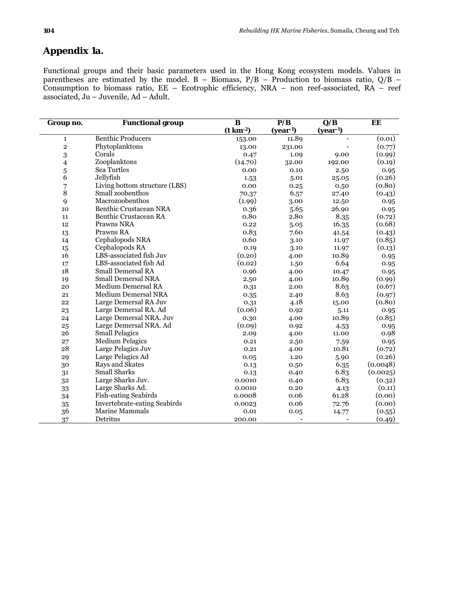# **Appendix 1a.**

Functional groups and their basic parameters used in the Hong Kong ecosystem models. Values in parentheses are estimated by the model.  $B - Biomass$ ,  $P/B - Production$  to biomass ratio,  $Q/B -$ Consumption to biomass ratio, EE – Ecotrophic efficiency, NRA – non reef-associated, RA – reef associated, Ju – Juvenile, Ad – Adult.

| Group no.     | <b>Functional group</b>             | B<br>$(t \text{ km}^{-2})$ | P/B<br>$(year-1)$ | $\overline{\mathbf{Q}/\mathbf{B}}$<br>$(year-1)$ | EE       |
|---------------|-------------------------------------|----------------------------|-------------------|--------------------------------------------------|----------|
| $\mathbf{1}$  | <b>Benthic Producers</b>            | 153.00                     | 11.89             |                                                  | (0.01)   |
| $\mathbf 2$   | Phytoplanktons                      | 13.00                      | 231.00            |                                                  | (0.77)   |
| 3             | Corals                              | 0.47                       | 1.09              | 9.00                                             | (0.99)   |
| 4             | Zooplanktons                        | (14.70)                    | 32.00             | 192.00                                           | (0.19)   |
|               | Sea Turtles                         | 0.00                       | 0.10              | 2.50                                             | 0.95     |
| $\frac{5}{6}$ | Jellyfish                           | 1.53                       | 5.01              | 25.05                                            | (0.26)   |
| 7             | Living bottom structure (LBS)       | 0.00                       | 0.25              | 0.50                                             | (0.80)   |
| 8             | Small zoobenthos                    | 70.37                      | 6.57              | 27.40                                            | (0.43)   |
| 9             | Macrozoobenthos                     | (1.99)                     | 3.00              | 12.50                                            | 0.95     |
| 10            | Benthic Crustacean NRA              | 0.36                       | 5.65              | 26.90                                            | 0.95     |
| 11            | Benthic Crustacean RA               | 0.80                       | 2.80              | 8.35                                             | (0.72)   |
| 12            | Prawns NRA                          | 0.22                       | 5.05              | 16.35                                            | (0.68)   |
| 13            | Prawns RA                           | 0.83                       | 7.60              | 41.54                                            | (0.43)   |
| 14            | Cephalopods NRA                     | 0.60                       | 3.10              | 11.97                                            | (0.85)   |
| 15            | Cephalopods RA                      | 0.19                       | 3.10              | 11.97                                            | (0.13)   |
| 16            | LBS-associated fish Juv             | (0.20)                     | 4.00              | 10.89                                            | 0.95     |
| 17            | LBS-associated fish Ad              | (0.02)                     | 1.50              | 6.64                                             | 0.95     |
| 18            | <b>Small Demersal RA</b>            | 0.96                       | 4.00              | 10.47                                            | 0.95     |
| 19            | <b>Small Demersal NRA</b>           | 2.50                       | 4.00              | 10.89                                            | (0.99)   |
| 20            | <b>Medium Demersal RA</b>           | 0.31                       | 2.00              | 8.63                                             | (0.67)   |
| 21            | <b>Medium Demersal NRA</b>          | 0.35                       | 2.40              | 8.63                                             | (0.97)   |
| 22            | Large Demersal RA Juv               | 0.31                       | 4.18              | 15.00                                            | (0.80)   |
| 23            | Large Demersal RA. Ad               | (0.06)                     | 0.92              | 5.11                                             | 0.95     |
| 24            | Large Demersal NRA. Juv             | 0.30                       | 4.00              | 10.89                                            | (0.85)   |
| 25            | Large Demersal NRA. Ad              | (0.09)                     | 0.92              | 4.53                                             | 0.95     |
| 26            | <b>Small Pelagics</b>               | 2.09                       | 4.00              | 11.00                                            | 0.98     |
| 27            | <b>Medium Pelagics</b>              | 0.21                       | 2.50              | 7.59                                             | 0.95     |
| 28            | Large Pelagics Juv                  | 0.21                       | 4.00              | 10.81                                            | (0.72)   |
| 29            | Large Pelagics Ad                   | 0.05                       | 1.20              | 5.90                                             | (0.26)   |
| 30            | Rays and Skates                     | 0.13                       | 0.50              | 6.35                                             | (0.0048) |
| 31            | <b>Small Sharks</b>                 | 0.13                       | 0.40              | 6.83                                             | (0.0025) |
| 32            | Large Sharks Juv.                   | 0.0010                     | 0.40              | 6.83                                             | (0.32)   |
| 33            | Large Sharks Ad.                    | 0.0010                     | 0.20              | 4.13                                             | (0.11)   |
| 34            | Fish-eating Seabirds                | 0.0008                     | 0.06              | 61.28                                            | (0.00)   |
| 35            | <b>Invertebrate-eating Seabirds</b> | 0.0023                     | 0.06              | 72.76                                            | (0.00)   |
| 36            | <b>Marine Mammals</b>               | 0.01                       | 0.05              | 14.77                                            | (0.55)   |
| 37            | Detritus                            | 200.00                     |                   |                                                  | (0.49)   |

Ĭ.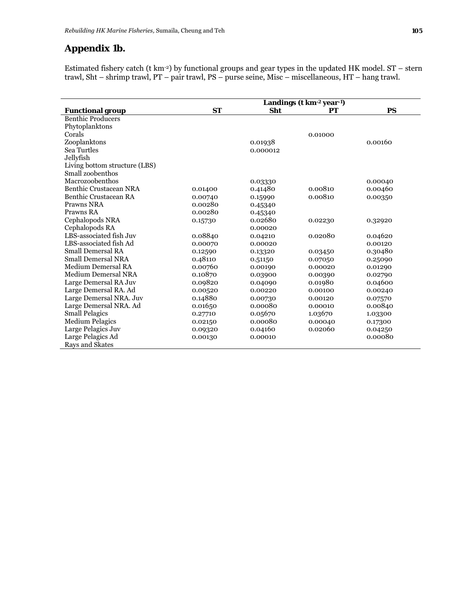### **Appendix 1b.**

Estimated fishery catch (t km-2) by functional groups and gear types in the updated HK model. ST – stern trawl, Sht – shrimp trawl, PT – pair trawl, PS – purse seine, Misc – miscellaneous, HT – hang trawl.

|                               |           |            | Landings (t km <sup>-2</sup> year <sup>-1</sup> ) |           |
|-------------------------------|-----------|------------|---------------------------------------------------|-----------|
| <b>Functional group</b>       | <b>ST</b> | <b>Sht</b> | РT                                                | <b>PS</b> |
| <b>Benthic Producers</b>      |           |            |                                                   |           |
| Phytoplanktons                |           |            |                                                   |           |
| Corals                        |           |            | 0.01000                                           |           |
| Zooplanktons                  |           | 0.01938    |                                                   | 0.00160   |
| Sea Turtles                   |           | 0.000012   |                                                   |           |
| Jellyfish                     |           |            |                                                   |           |
| Living bottom structure (LBS) |           |            |                                                   |           |
| Small zoobenthos              |           |            |                                                   |           |
| Macrozoobenthos               |           | 0.03330    |                                                   | 0.00040   |
| <b>Benthic Crustacean NRA</b> | 0.01400   | 0.41480    | 0.00810                                           | 0.00460   |
| <b>Benthic Crustacean RA</b>  | 0.00740   | 0.15990    | 0.00810                                           | 0.00350   |
| Prawns NRA                    | 0.00280   | 0.45340    |                                                   |           |
| Prawns RA                     | 0.00280   | 0.45340    |                                                   |           |
| Cephalopods NRA               | 0.15730   | 0.02680    | 0.02230                                           | 0.32920   |
| Cephalopods RA                |           | 0.00020    |                                                   |           |
| LBS-associated fish Juv       | 0.08840   | 0.04210    | 0.02080                                           | 0.04620   |
| LBS-associated fish Ad        | 0.00070   | 0.00020    |                                                   | 0.00120   |
| <b>Small Demersal RA</b>      | 0.12590   | 0.13320    | 0.03450                                           | 0.30480   |
| <b>Small Demersal NRA</b>     | 0.48110   | 0.51150    | 0.07050                                           | 0.25090   |
| <b>Medium Demersal RA</b>     | 0.00760   | 0.00190    | 0.00020                                           | 0.01290   |
| <b>Medium Demersal NRA</b>    | 0.10870   | 0.03900    | 0.00390                                           | 0.02790   |
| Large Demersal RA Juv         | 0.09820   | 0.04090    | 0.01980                                           | 0.04600   |
| Large Demersal RA. Ad         | 0.00520   | 0.00220    | 0.00100                                           | 0.00240   |
| Large Demersal NRA. Juv       | 0.14880   | 0.00730    | 0.00120                                           | 0.07570   |
| Large Demersal NRA. Ad        | 0.01650   | 0.00080    | 0.00010                                           | 0.00840   |
| <b>Small Pelagics</b>         | 0.27710   | 0.05670    | 1.03670                                           | 1.03300   |
| <b>Medium Pelagics</b>        | 0.02150   | 0.00080    | 0.00040                                           | 0.17300   |
| Large Pelagics Juv            | 0.09320   | 0.04160    | 0.02060                                           | 0.04250   |
| Large Pelagics Ad             | 0.00130   | 0.00010    |                                                   | 0.00080   |
| Rays and Skates               |           |            |                                                   |           |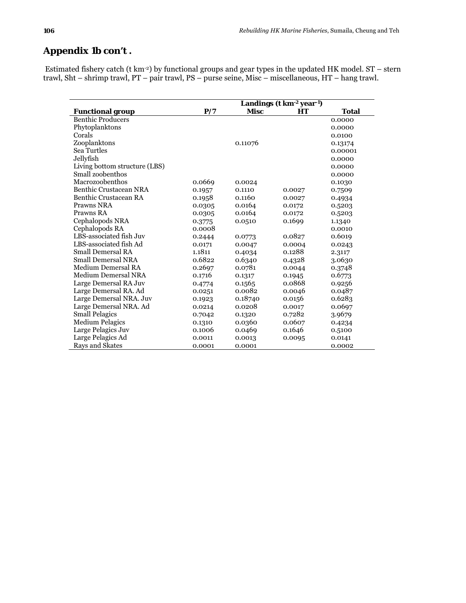# **Appendix 1b con't .**

 Estimated fishery catch (t km-2) by functional groups and gear types in the updated HK model. ST – stern trawl, Sht – shrimp trawl, PT – pair trawl, PS – purse seine, Misc – miscellaneous, HT – hang trawl.

|                               |        |             | Landings (t km <sup>-2</sup> year <sup>-1</sup> ) |         |
|-------------------------------|--------|-------------|---------------------------------------------------|---------|
| <b>Functional group</b>       | P/7    | <b>Misc</b> | HТ                                                | Total   |
| <b>Benthic Producers</b>      |        |             |                                                   | 0.0000  |
| Phytoplanktons                |        |             |                                                   | 0.0000  |
| Corals                        |        |             |                                                   | 0.0100  |
| Zooplanktons                  |        | 0.11076     |                                                   | 0.13174 |
| Sea Turtles                   |        |             |                                                   | 0.00001 |
| Jellyfish                     |        |             |                                                   | 0.0000  |
| Living bottom structure (LBS) |        |             |                                                   | 0.0000  |
| Small zoobenthos              |        |             |                                                   | 0.0000  |
| Macrozoobenthos               | 0.0669 | 0.0024      |                                                   | 0.1030  |
| Benthic Crustacean NRA        | 0.1957 | 0.1110      | 0.0027                                            | 0.7509  |
| Benthic Crustacean RA         | 0.1958 | 0.1160      | 0.0027                                            | 0.4934  |
| Prawns NRA                    | 0.0305 | 0.0164      | 0.0172                                            | 0.5203  |
| Prawns RA                     | 0.0305 | 0.0164      | 0.0172                                            | 0.5203  |
| Cephalopods NRA               | 0.3775 | 0.0510      | 0.1699                                            | 1.1340  |
| Cephalopods RA                | 0.0008 |             |                                                   | 0.0010  |
| LBS-associated fish Juv       | 0.2444 | 0.0773      | 0.0827                                            | 0.6019  |
| LBS-associated fish Ad        | 0.0171 | 0.0047      | 0.0004                                            | 0.0243  |
| Small Demersal RA             | 1.1811 | 0.4034      | 0.1288                                            | 2.3117  |
| <b>Small Demersal NRA</b>     | 0.6822 | 0.6340      | 0.4328                                            | 3.0630  |
| Medium Demersal RA            | 0.2697 | 0.0781      | 0.0044                                            | 0.3748  |
| <b>Medium Demersal NRA</b>    | 0.1716 | 0.1317      | 0.1945                                            | 0.6773  |
| Large Demersal RA Juv         | 0.4774 | 0.1565      | 0.0868                                            | 0.9256  |
| Large Demersal RA. Ad         | 0.0251 | 0.0082      | 0.0046                                            | 0.0487  |
| Large Demersal NRA. Juv       | 0.1923 | 0.18740     | 0.0156                                            | 0.6283  |
| Large Demersal NRA. Ad        | 0.0214 | 0.0208      | 0.0017                                            | 0.0697  |
| <b>Small Pelagics</b>         | 0.7042 | 0.1320      | 0.7282                                            | 3.9679  |
| <b>Medium Pelagics</b>        | 0.1310 | 0.0360      | 0.0607                                            | 0.4234  |
| Large Pelagics Juv            | 0.1006 | 0.0469      | 0.1646                                            | 0.5100  |
| Large Pelagics Ad             | 0.0011 | 0.0013      | 0.0095                                            | 0.0141  |
| Rays and Skates               | 0.0001 | 0.0001      |                                                   | 0.0002  |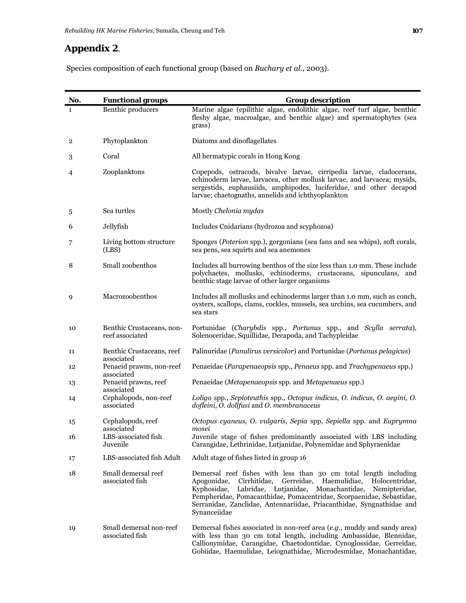# **Appendix 2**.

Species composition of each functional group (based on *Buchary et al*., 2003).

| No.                     | <b>Functional groups</b>                     | <b>Group description</b>                                                                                                                                                                                                                                                                                                                                                                 |
|-------------------------|----------------------------------------------|------------------------------------------------------------------------------------------------------------------------------------------------------------------------------------------------------------------------------------------------------------------------------------------------------------------------------------------------------------------------------------------|
| 1                       | <b>Benthic producers</b>                     | Marine algae (epilithic algae, endolithic algae, reef turf algae, benthic<br>fleshy algae, macroalgae, and benthic algae) and spermatophytes (sea<br>grass)                                                                                                                                                                                                                              |
| $\overline{\mathbf{2}}$ | Phytoplankton                                | Diatoms and dinoflagellates                                                                                                                                                                                                                                                                                                                                                              |
| 3                       | Coral                                        | All hermatypic corals in Hong Kong                                                                                                                                                                                                                                                                                                                                                       |
| 4                       | Zooplanktons                                 | Copepods, ostracods, bivalve larvae, cirripedia larvae, cladocerans,<br>echinoderm larvae, larvacea, other mollusk larvae, and larvacea; mysids,<br>sergestids, euphausiids, amphipodes, luciferidae, and other decapod<br>larvae; chaetognaths, annelids and ichthyoplankton                                                                                                            |
| 5                       | Sea turtles                                  | Mostly Chelonia mydas                                                                                                                                                                                                                                                                                                                                                                    |
| 6                       | Jellyfish                                    | Includes Cnidarians (hydrozoa and scyphozoa)                                                                                                                                                                                                                                                                                                                                             |
| 7                       | Living bottom structure<br>(LBS)             | Sponges (Poterion spp.), gorgonians (sea fans and sea whips), soft corals,<br>sea pens, sea squirts and sea anemones                                                                                                                                                                                                                                                                     |
| 8                       | Small zoobenthos                             | Includes all burrowing benthos of the size less than 1.0 mm. These include<br>polychaetes, mollusks, echinoderms, crustaceans, sipunculans, and<br>benthic stage larvae of other larger organisms                                                                                                                                                                                        |
| 9                       | Macrozoobenthos                              | Includes all mollusks and echinoderms larger than 1.0 mm, such as conch,<br>oysters, scallops, clams, cockles, mussels, sea urchins, sea cucumbers, and<br>sea stars                                                                                                                                                                                                                     |
| 10                      | Benthic Crustaceans, non-<br>reef associated | Portunidae (Charybdis spp., Portunus spp., and Scylla serrata),<br>Solenoceridae, Squillidae, Decapoda, and Tachypleidae                                                                                                                                                                                                                                                                 |
| 11                      | Benthic Crustaceans, reef<br>associated      | Palinuridae (Panulirus versicolor) and Portunidae (Portunus pelagicus)                                                                                                                                                                                                                                                                                                                   |
| 12                      | Penaeid prawns, non-reef<br>associated       | Penaeidae (Parapenaeopsis spp., Penaeus spp. and Trachypenaeus spp.)                                                                                                                                                                                                                                                                                                                     |
| 13                      | Penaeid prawns, reef<br>associated           | Penaeidae (Metapenaeopsis spp. and Metapenaeus spp.)                                                                                                                                                                                                                                                                                                                                     |
| 14                      | Cephalopods, non-reef<br>associated          | Loligo spp., Sepioteuthis spp., Octopus indicus, O. indicus, O. aegini, O.<br>dofleini, O. dollfusi and O. membranaceus                                                                                                                                                                                                                                                                  |
| 15                      | Cephalopods, reef<br>associated              | Octopus cyaneus, O. vulgaris, Sepia spp, Sepiella spp. and Euprymna<br>mosei                                                                                                                                                                                                                                                                                                             |
| 16                      | LBS-associated fish<br>Juvenile              | Juvenile stage of fishes predominantly associated with LBS including<br>Carangidae, Lethrinidae, Lutjanidae, Polynemidae and Sphyraenidae                                                                                                                                                                                                                                                |
| 17                      | LBS-associated fish Adult                    | Adult stage of fishes listed in group 16                                                                                                                                                                                                                                                                                                                                                 |
| 18                      | Small demersal reef<br>associated fish       | Demersal reef fishes with less than 30 cm total length including<br>Gerreidae,<br>Apogonidae,<br>Cirrhitidae,<br>Haemulidiae,<br>Holocentridae,<br>Kyphosidae,<br>Labridae, Lutjanidae, Monachantidae,<br>Nemipteridae,<br>Pempheridae, Pomacanthidae, Pomacentridae, Scorpaenidae, Sebastidae,<br>Serranidae, Zanclidae, Antennariidae, Priacanthidae, Syngnathidae and<br>Synanceiidae |
| 19                      | Small demersal non-reef<br>associated fish   | Demersal fishes associated in non-reef area (e.g., muddy and sandy area)<br>with less than 30 cm total length, including Ambassidae, Blennidae,<br>Callionymidae, Carangidae, Chaetodontidae, Cynoglossidae, Gerreidae,                                                                                                                                                                  |

Gobiidae, Haemulidae, Leiognathidae, Microdesmidae, Monachantidae,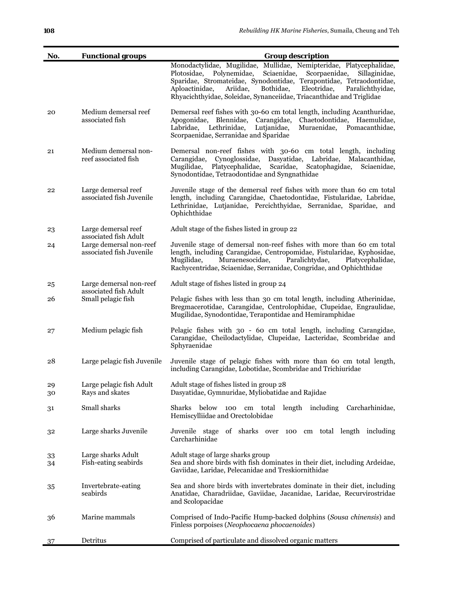| No.      | <b>Functional groups</b>                            | <b>Group description</b>                                                                                                                                                                                                                                                                                                                                                         |
|----------|-----------------------------------------------------|----------------------------------------------------------------------------------------------------------------------------------------------------------------------------------------------------------------------------------------------------------------------------------------------------------------------------------------------------------------------------------|
|          |                                                     | Monodactylidae, Mugilidae, Mullidae, Nemipteridae, Platycephalidae,<br>Scorpaenidae,<br>Plotosidae,<br>Polynemidae,<br>Sciaenidae,<br>Sillaginidae,<br>Sparidae, Stromateidae, Synodontidae, Terapontidae, Tetraodontidae,<br>Eleotridae,<br>Aploactinidae,<br>Ariidae,<br>Bothidae,<br>Paralichthyidae,<br>Rhyacichthyidae, Soleidae, Synanceiidae, Triacanthidae and Triglidae |
| 20       | Medium demersal reef<br>associated fish             | Demersal reef fishes with 30-60 cm total length, including Acanthuridae,<br>Apogonidae, Blennidae, Carangidae,<br>Chaetodontidae, Haemulidae,<br>Labridae, Lethrinidae,<br>Lutjanidae,<br>Muraenidae, Pomacanthidae,<br>Scorpaenidae, Serranidae and Sparidae                                                                                                                    |
| 21       | Medium demersal non-<br>reef associated fish        | Demersal non-reef fishes with 30-60 cm total length, including<br>Carangidae, Cynoglossidae, Dasyatidae, Labridae, Malacanthidae,<br>Mugilidae,<br>Platycephalidae,<br>Scaridae,<br>Scatophagidae,<br>Sciaenidae,<br>Synodontidae, Tetraodontidae and Syngnathidae                                                                                                               |
| 22       | Large demersal reef<br>associated fish Juvenile     | Juvenile stage of the demersal reef fishes with more than 60 cm total<br>length, including Carangidae, Chaetodontidae, Fistularidae, Labridae,<br>Lethrinidae, Lutjanidae, Percichthyidae, Serranidae, Sparidae, and<br>Ophichthidae                                                                                                                                             |
| 23       | Large demersal reef<br>associated fish Adult        | Adult stage of the fishes listed in group 22                                                                                                                                                                                                                                                                                                                                     |
| 24       | Large demersal non-reef<br>associated fish Juvenile | Juvenile stage of demersal non-reef fishes with more than 60 cm total<br>length, including Carangidae, Centropomidae, Fistularidae, Kyphosidae,<br>Muraenesocidae,<br>Paralichtydae,<br>Mugilidae,<br>Platycephalidae,<br>Rachycentridae, Sciaenidae, Serranidae, Congridae, and Ophichthidae                                                                                    |
| 25       | Large demersal non-reef<br>associated fish Adult    | Adult stage of fishes listed in group 24                                                                                                                                                                                                                                                                                                                                         |
| 26       | Small pelagic fish                                  | Pelagic fishes with less than 30 cm total length, including Atherinidae,<br>Bregmacerotidae, Carangidae, Centrolophidae, Clupeidae, Engraulidae,<br>Mugilidae, Synodontidae, Terapontidae and Hemiramphidae                                                                                                                                                                      |
| 27       | Medium pelagic fish                                 | Pelagic fishes with 30 - 60 cm total length, including Carangidae,<br>Carangidae, Cheilodactylidae, Clupeidae, Lacteridae, Scombridae and<br>Sphyraenidae                                                                                                                                                                                                                        |
| 28       | Large pelagic fish Juvenile                         | Juvenile stage of pelagic fishes with more than 60 cm total length,<br>including Carangidae, Lobotidae, Scombridae and Trichiuridae                                                                                                                                                                                                                                              |
| 29<br>30 | Large pelagic fish Adult<br>Rays and skates         | Adult stage of fishes listed in group 28<br>Dasyatidae, Gymnuridae, Myliobatidae and Rajidae                                                                                                                                                                                                                                                                                     |
| 31       | Small sharks                                        | below 100 cm total length including Carcharhinidae,<br>Sharks<br>Hemiscylliidae and Orectolobidae                                                                                                                                                                                                                                                                                |
| 32       | Large sharks Juvenile                               | Juvenile stage of sharks over 100 cm total length including<br>Carcharhinidae                                                                                                                                                                                                                                                                                                    |
| 33       | Large sharks Adult                                  | Adult stage of large sharks group                                                                                                                                                                                                                                                                                                                                                |
| 34       | Fish-eating seabirds                                | Sea and shore birds with fish dominates in their diet, including Ardeidae,<br>Gaviidae, Laridae, Pelecanidae and Treskiornithidae                                                                                                                                                                                                                                                |
| 35       | Invertebrate-eating<br>seabirds                     | Sea and shore birds with invertebrates dominate in their diet, including<br>Anatidae, Charadriidae, Gaviidae, Jacanidae, Laridae, Recurvirostridae<br>and Scolopacidae                                                                                                                                                                                                           |
| 36       | Marine mammals                                      | Comprised of Indo-Pacific Hump-backed dolphins (Sousa chinensis) and<br>Finless porpoises (Neophocaena phocaenoides)                                                                                                                                                                                                                                                             |
| 37       | Detritus                                            | Comprised of particulate and dissolved organic matters                                                                                                                                                                                                                                                                                                                           |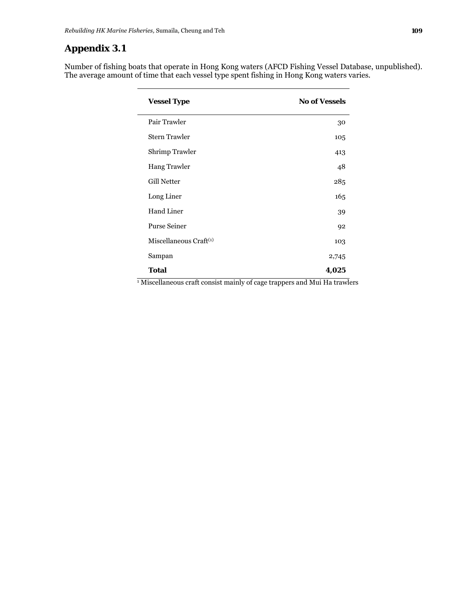### **Appendix 3.1**

Number of fishing boats that operate in Hong Kong waters (AFCD Fishing Vessel Database, unpublished). The average amount of time that each vessel type spent fishing in Hong Kong waters varies.

| <b>Vessel Type</b>          | <b>No of Vessels</b> |
|-----------------------------|----------------------|
| Pair Trawler                | 30                   |
| <b>Stern Trawler</b>        | 105                  |
| Shrimp Trawler              | 413                  |
| <b>Hang Trawler</b>         | 48                   |
| Gill Netter                 | 285                  |
| Long Liner                  | 165                  |
| Hand Liner                  | 39                   |
| <b>Purse Seiner</b>         | 92                   |
| Miscellaneous $Craft^{(1)}$ | 103                  |
| Sampan                      | 2,745                |
| <b>Total</b>                | 4,025                |

1 Miscellaneous craft consist mainly of cage trappers and Mui Ha trawlers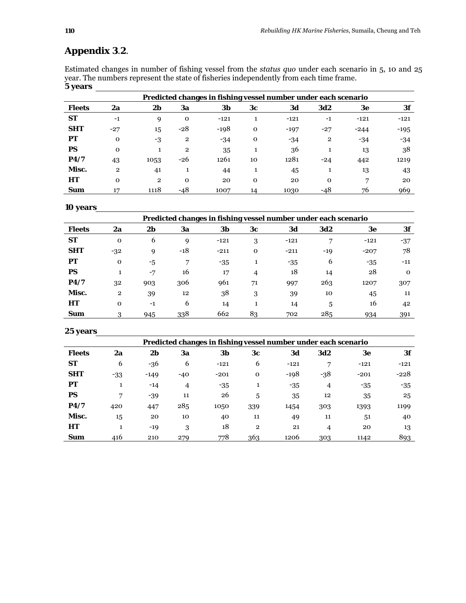# **Appendix 3**.**2**.

Estimated changes in number of fishing vessel from the *status quo* under each scenario in 5, 10 and 25 year. The numbers represent the state of fisheries independently from each time frame. **5 years** 

|               | Predicted changes in fishing vessel number under each scenario |                |             |        |             |        |                |        |        |  |
|---------------|----------------------------------------------------------------|----------------|-------------|--------|-------------|--------|----------------|--------|--------|--|
| <b>Fleets</b> | 2a                                                             | 2b             | 3a          | 3b     | 3c          | 3d     | <b>3d2</b>     | 3e     | 3f     |  |
| <b>ST</b>     | $-1$                                                           | 9              | $\mathbf 0$ | $-121$ |             | $-121$ | $-1$           | $-121$ | $-121$ |  |
| <b>SHT</b>    | $-27$                                                          | 15             | $-28$       | $-198$ | $\mathbf 0$ | $-197$ | $-27$          | $-244$ | $-195$ |  |
| РT            | $\Omega$                                                       | -3             | 2           | $-34$  | $\mathbf 0$ | -34    | $\overline{2}$ | -34    | -34    |  |
| <b>PS</b>     | $\mathbf 0$                                                    | 1              | 2           | 35     |             | 36     |                | 13     | 38     |  |
| P4/7          | 43                                                             | 1053           | -26         | 1261   | 10          | 1281   | $-24$          | 442    | 1219   |  |
| Misc.         | $\mathbf{2}$                                                   | 41             | 1           | 44     |             | 45     |                | 13     | 43     |  |
| HT            | $\Omega$                                                       | $\overline{2}$ | $\mathbf 0$ | 20     | $\mathbf 0$ | 20     | $\mathbf 0$    | 7      | 20     |  |
| Sum           | 17                                                             | 1118           | $-48$       | 1007   | 14          | 1030   | -48            | 76     | 969    |  |

#### **10 years**

| Predicted changes in fishing vessel number under each scenario |                |      |       |        |                |        |            |        |          |
|----------------------------------------------------------------|----------------|------|-------|--------|----------------|--------|------------|--------|----------|
| <b>Fleets</b>                                                  | 2a             | 2b   | 3a    | 3b     | 3c             | 3d     | <b>3d2</b> | 3e     | 3f       |
| <b>ST</b>                                                      | $\mathbf 0$    | 6    | 9     | $-121$ | 3              | $-121$ | ⇁          | $-121$ | $-37$    |
| <b>SHT</b>                                                     | $-32$          | 9    | $-18$ | $-211$ | $\mathbf 0$    | $-211$ | -19        | $-207$ | 78       |
| PТ                                                             | $\mathbf 0$    | $-5$ | 7     | $-35$  |                | -35    | 6          | $-35$  | $-11$    |
| <b>PS</b>                                                      | 1              | $-7$ | 16    | 17     | $\overline{4}$ | 18     | 14         | 28     | $\Omega$ |
| P4/7                                                           | 32             | 903  | 306   | 961    | 71             | 997    | 263        | 1207   | 307      |
| Misc.                                                          | $\overline{2}$ | 39   | 12    | 38     | 3              | 39     | 10         | 45     | 11       |
| HT                                                             | $\Omega$       | $-1$ | 6     | 14     |                | 14     | 5          | 16     | 42       |
| Sum                                                            | 3              | 945  | 338   | 662    | 83             | 702    | 285        | 934    | 391      |

**25 years** 

÷.

|               | Predicted changes in fishing vessel number under each scenario |                |                |        |              |        |            |        |        |  |
|---------------|----------------------------------------------------------------|----------------|----------------|--------|--------------|--------|------------|--------|--------|--|
| <b>Fleets</b> | 2a                                                             | 2 <sub>b</sub> | 3a             | 3b     | 3c           | 3d     | <b>3d2</b> | 3e     | 3f     |  |
| <b>ST</b>     | 6                                                              | -36            | 6              | $-121$ | 6            | $-121$ | 7          | $-121$ | $-121$ |  |
| <b>SHT</b>    | $-33$                                                          | $-149$         | $-40$          | $-201$ | $\mathbf 0$  | $-198$ | $-38$      | $-201$ | $-228$ |  |
| PТ            | 1                                                              | $-14$          | $\overline{4}$ | $-35$  | л.           | $-35$  | 4          | $-35$  | -35    |  |
| PS            | 7                                                              | $-39$          | 11             | 26     | 5            | 35     | 12         | 35     | 25     |  |
| P4/7          | 420                                                            | 447            | 285            | 1050   | 339          | 1454   | 303        | 1393   | 1199   |  |
| Misc.         | 15                                                             | 20             | 10             | 40     | 11           | 49     | 11         | 51     | 40     |  |
| HT            |                                                                | $-19$          | 3              | 18     | $\mathbf{2}$ | 21     | 4          | 20     | 13     |  |
| Sum           | 416                                                            | 210            | 279            | 778    | 363          | 1206   | 303        | 1142   | 893    |  |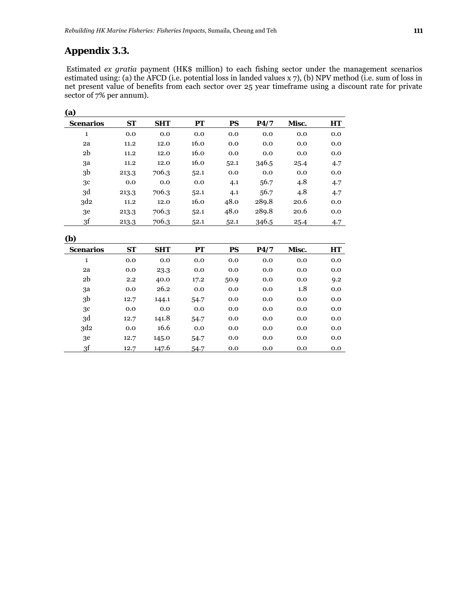### **Appendix 3.3.**

 Estimated *ex gratia* payment (HK\$ million) to each fishing sector under the management scenarios estimated using: (a) the AFCD (i.e. potential loss in landed values x 7), (b) NPV method (i.e. sum of loss in net present value of benefits from each sector over 25 year timeframe using a discount rate for private sector of 7% per annum).

| (a)              |           |            |      |           |       |       |     |
|------------------|-----------|------------|------|-----------|-------|-------|-----|
| <b>Scenarios</b> | <b>ST</b> | <b>SHT</b> | PТ   | <b>PS</b> | P4/7  | Misc. | HT  |
| 1                | 0.0       | 0.0        | 0.0  | 0.0       | 0.0   | 0.0   | 0.0 |
| 2a               | 11.2      | 12.0       | 16.0 | 0.0       | 0.0   | 0.0   | 0.0 |
| 2 <sub>b</sub>   | 11.2      | 12.0       | 16.0 | 0.0       | 0.0   | 0.0   | 0.0 |
| за               | 11.2      | 12.0       | 16.0 | 52.1      | 346.5 | 25.4  | 4.7 |
| 3 <sub>b</sub>   | 213.3     | 706.3      | 52.1 | 0.0       | 0.0   | 0.0   | 0.0 |
| 3c               | 0.0       | 0.0        | 0.0  | 4.1       | 56.7  | 4.8   | 4.7 |
| 3d               | 213.3     | 706.3      | 52.1 | 4.1       | 56.7  | 4.8   | 4.7 |
| 3d2              | 11.2      | 12.0       | 16.0 | 48.0      | 289.8 | 20.6  | 0.0 |
| 3e               | 213.3     | 706.3      | 52.1 | 48.0      | 289.8 | 20.6  | 0.0 |
| 3f               | 213.3     | 706.3      | 52.1 | 52.1      | 346.5 | 25.4  | 4.7 |

**(b)** 

| $\sim$           |           |            |      |      |      |       |     |
|------------------|-----------|------------|------|------|------|-------|-----|
| <b>Scenarios</b> | <b>ST</b> | <b>SHT</b> | PТ   | PS   | P4/7 | Misc. | HT  |
| 1                | 0.0       | 0.0        | 0.0  | 0.0  | 0.0  | 0.0   | 0.0 |
| 2a               | 0.0       | 23.3       | 0.0  | 0.0  | 0.0  | 0.0   | 0.0 |
| 2b               | 2.2       | 40.0       | 17.2 | 50.9 | 0.0  | 0.0   | 9.2 |
| 3a               | 0.0       | 26.2       | 0.0  | 0.0  | 0.0  | 1.8   | 0.0 |
| 3 <sub>b</sub>   | 12.7      | 144.1      | 54.7 | 0.0  | 0.0  | 0.0   | 0.0 |
| 3c               | 0.0       | 0.0        | 0.0  | 0.0  | 0.0  | 0.0   | 0.0 |
| 3d               | 12.7      | 141.8      | 54.7 | 0.0  | 0.0  | 0.0   | 0.0 |
| 3d <sub>2</sub>  | 0.0       | 16.6       | 0.0  | 0.0  | 0.0  | 0.0   | 0.0 |
| 3e               | 12.7      | 145.0      | 54.7 | 0.0  | 0.0  | 0.0   | 0.0 |
| 3f               | 12.7      | 147.6      | 54.7 | 0.0  | 0.0  | 0.0   | 0.0 |
|                  |           |            |      |      |      |       |     |